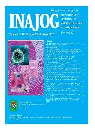#### **DO TOT SPRITUATES PTT** Indematin Ш N **Unions** of Citate Personal **Koneprison** Winner & Holling, NGS And ATA





**Commence** 

*District Co.* 

**STATISTICS** 

**Harry Corporation** 

<u>a samara</u>

**Astronomy**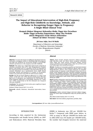# **The Impact of Educational Intervention of HighRisk Pregnancy and HighRisk Childbirth on Knowledge, Attitude, and Behavior in Recognizing Danger Signs in Pregnancy: A Single Blind Clinical Trial**

**Dampak Edukasi Mengenai Kehamilan Risiko Tinggi dan Persalinan Risiko Tinggi terhadap Pengetahuan, Sikap, dan Perilaku dalam Mengenali Tanda Bahaya Kehamilan: Sebuah Uji Klinis Tersamar Tunggal**

#### **JM Seno Adjie, Devi M Malik**

Department of Obstetrics and Gynecology Faculty of Medicine Universitas Indonesia/ Dr. Cipto Mangunkusumo Hospital Jakarta

**Abstrak**

#### **Abstract**

**Objective**: To assess the impact of additional educational interventions given to pregnant women in identifying high-risk pregnancy and high-risk childbirth by measuring changes in knowledge, attitudes and behaviors in the pregnancy and after childbirth.

**Methods**: This study was a single blind clinical trial conducted at obstetrics out-patient clinic of Dr. Cipto Mangunkusumo Hospital, Jakarta. Total sample were 52 responders, for the 26 responders to the control group and 26 responders to the intervention group. The research instrument was a questionnaire form, which include knowledge, attitude and behaviour of a number of 48 questions. Analysis was performed using SPSS 20 with bivariate analysis.

**Results**: We did not found significant differences in a range of age  $(30.65 \pm 29.38 \text{ with } 1.20 \pm 0.75)$ , education (both groups showed a high level of education) and employment for both groups. We found significant differences on knowledge, behaviour ( $p = 0.001$ and  $= 0.042$ , respectively) on the first antenatal care compared with after childbirth.

**Conclusion**: The educational intervention gives significant impact in attitude and behaviour.

[Indones J Obstet Gynecol 2017; 5-2: 69-72]

**Keywords**: attitude, behaviour, educational intervention, knowledge

#### **Tujuan**: Untuk menilai dampak intervensi edukasi tambahan yang diberikan pada ibu hamil dalam mengenal kehamilan risiko tinggi dan tanda bahaya persalinan dengan menilai adanya perubahan pada pengetahuan, sikap dan perilaku pada awal kedatangan dan sesudah persalinan.

**Metode**: Penelitian ini merupakan penelitian uji intervensi tersamar tunggal yang berlokasi di poli kebidanan Rumah Sakit Dr. Cipto Mangunkusumo, Jakarta. Total sampel sebanyak 52 responder, masing-masing 26 responder untuk kelompok kontrol dan 26 responder untuk kelompok intervensi. Instrumen penelitian berbentuk kuisioner yang meliputi pengetahuan, sikap dan perilaku sejumlah 48 pertanyaan. Media edukasi tambahan yang diberikan pada kelompok intervensi menggunakan media lembar balik yang dikeluarkan oleh HOGSI dan USAID.

**Hasil**: Penelitian didapatkan untuk karakteristik dari dua kelompok tidak didapatkan perbedaan bermakna dilihat dari rentang usia  $(30,65 \pm 1,20)$  dengan 29,38  $\pm$  0,75), pendidikan (kedua kelompok menunjukkan tingkat pendidikan tinggi) dan pekerjaan. Pada kedua kelompok didapatkan adanya perbedaan pengetahuan, sikap dan pengetahuan (nilai p <0,001). Perbandingan antara kedua kelompok kontrol dan intervensi sesudah persalinan memberikan hasil yang secara statistik berbeda bermakna pada sikap dan perilaku (p = 0,001 dan p=0,042).

**Kesimpulan**: Asuhan antenatal dengan intervensi edukasi menggunakan alat bantu dapat meningkatkan sikap dan perilaku pada ibu hamil.

[Maj Obstet Ginekol Indones 2017; 5-2: 69-72] **Kata kunci**: intervensi edukasi, pengetahuan, perilaku, sikap

**Correspondence:** JM Seno Adjie; jmseno@hotmail.com

# INTRODUCTION

According to data acquired by the Indonesian Demographic and Health Survey (IDHS) on 2007 and Riskesdason 2010, Maternal Mortality Rate

(MMR) in Indonesia was 228 per 100,000 live births.1-3 Compared with MMR years before, in 1991 as many as 390 per 100,000 live births and in 2002-2003 was 253 deaths per 100,000 births, the number had dropped, however the maternal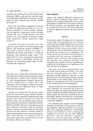mortality rate in Indonesia was still relatively high. Indonesia's MMR is still quite far from the target of the fifth MDG (Millennium Development Goals) which in 2015 is expected only 102 per 100,000 live births.<sup>2,4,5</sup>

One of the interventions supposed to decrease the MMR are appropriate antenatal care services, delivery assistance by health provider, adequate care for high-risk pregnancies, family planning, reducing the rate of unsafe abortion and post abortion care, and programs for behavior change (raise awareness) among reproductive aged women.3,5-8

Antenatal care given by health care was expected to give result in a healthy pregnancy and delivery and decreased neonatal morbidity.7,8-12 This study is aimed to look at the impact of additional educational intervention on high-risk pregnancy and childbirth danger signs.13 We expect that the impact of giving the intervention will give changes in knowledge, attitude and behaviour in recognizing danger signs of labor and high-risk pregnancies.

# METHODS

This study was a single blind randomized clinical trial with control group involving pregnant women who underwent a routine ANC at obstetrics clinic, Dr. Cipto Mangunkusumo Hospital during the period of August 2015 to August 2016. The responders were all pregnant women who underwent antenatal care at Obstetrics Clinic, Dr. Cipto Mangunkusumo Hospital.

Samples were divided into two groups; control group and intervention group. Sample allocation was performed by using block randomization. Both groups would receive antenatal care from the obstetrics clinic. The intervention group would be given additional education by using sheet issued by HOGSI and USAID, while the control group was not given additional education. After we obtained patients' consent, we would obtain the initial data derived from the interview. Patients would be followed during pregnancy and also participated in labor. After delivery, the patients would be interviewed again with a questionnaire to assess knowledge, attitude and behavior.

### **Data Analysis**

Analysis the statistical differences between two groups would be analyzed using paired T-test/ Wilcoxon. The statistical differences in the control group before and after the intervention would also be analyzed using the same hypothesis tests. Data are presented in the mean, SD, mean difference, CI from the difference between the mean and the p-value.

#### RESULT

We obtained a total of 52 patients to be responders in this study. The responders met our inclusion criteria and were willing to follow the course of the study. Responders were divided into two groups randomly selected using excel windows, into a control group and the intervention group. Each of the group was consisted of 26 responders. The control group was provided with education in accordance with the provision of education in obstetric clinic while the intervention group was provided with additional education. The responders were guided to fill out a questionnaire consisted of 48 questions at the beginning of the ANC and after the childbirth.

The results of our study showed that the mean age of the control group was  $29.38 \pm 0.75$  years and the treatment group was  $30.65 \pm 1.20$ . Education revealed high-level education in both groups (57.6% of control group and the treatment group 50%). In the control group 38.5% of responders are primigravid and 23.1% of responders in the treatment group was primigravida.

Having obtained two sets of questionnaires from each responder, we continued the process of coding and data processing using Microsoft Excel and for statistical calculations performed with the SPSS program. We made the classification level of knowledge, attitudes and behaviour of responders into categories of good, average and bad based on a subjective judgment.

We performed data analysis of the knowledge, attitudes and behaviour of both groups, to find out any significant difference between each groups. There were significant differences in knowledge, attitude, and behaviour of the control group compared on the first visit and after childbirth (p<0.001). We also obtained a significant difference result in knowledge, attitude and behavior among intervention groups (p<0.001).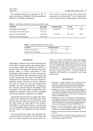We analyzed between two groups on the 1<sup>st</sup> time visit and after childbirth. We found significant difference in attitude and behavior.

tools and the control group who underwent antenatal care without tools.<sup>16</sup> In our study, there was an improvement of knowledge in each group,

| Table 1. Knowledge and Behavior Comparison of both Groups |
|-----------------------------------------------------------|
|                                                           |

| <b>Parameter</b>                | Mean (SD)    | <b>Deviation (SD)</b> | CI 95%        | p     |
|---------------------------------|--------------|-----------------------|---------------|-------|
| Knowledge of control groups     | 14.42 (2.74) | 4.73(0.87)            | $2.97 - 6.48$ | 0.336 |
| Knowledge of intervention group | 19.15(3.5)   |                       |               |       |
| Behaviour of control groups     | 19.34 (3.12) | 2.57(3.12)            | $0.27 - 4.87$ | 0.042 |
| Behaviour of intervention group | 21.92 (4.93) |                       |               |       |

**Table 2.** Attitude Comparison of both Groups

| Parameter                      | Median (min-max) | p     |
|--------------------------------|------------------|-------|
| Attitude of control groups     | $18(11 - 26)$    | 0.001 |
| Attitude of intervention group | $22(15-34)$      |       |

# DISCUSSION

Knowledge is defined as the result of knowing that occurs after a person perform the sensing process of an object, which will underlie her perform a specific action. The higher the education level, the greater ability to receive information.14 Prior knowledge in both groups was poor, amounted to 92.3% and 100% for the intervension group and control, respectively. Our result was aligned with Athanaseet al in Tanzania<sup>15</sup>, that the majority of pregnant women who did not receive antenatal care did not know the risk and complication possibly occur due to hypertension in pregnancy. Our research revealed that the knowledge of the responders was in the middle and high level, thus making the responders able to receive counseling and education given to antenatal care quickly.

Knowledge between the two groups after intervention were collected after the mother gave birth showed that antenatal care performed by using the print media can help improve the mother's knowledge. In each group there is an increased level of knowledge before and after the antenatal care, but there is no significant increase between the two.

The use of the print media tools antenatal care can help health care providers, yet so far there has been no study comparing the group given the

where we found intervention group had higher knowledge than the control group (9.96 vs. 4:57). We found significant differences between the two groups with  $p = 0.001$  for the attitude and  $p = 0.042$ for behavior. In literature searches, we could not find any research that follow - include changes in attitudes and behaviour at antenatal care using media tools.

# **REFERENCES**

- 1. Hernawati I. Analisis Kematian Ibu di Indonesia tahun 2010-2011. Available from: http://www.kesehatanibu. depkes.go.id/wp-content/uploads/downloads/2011/08/ Analisis-Kematian-Ibu-di-Indonesia-Tahun-2010.pdf.
- 2. Alisjahbana AS, Tuwo LD, Sardjunani N, Murniningtyas E, et al. Laporan Pencapaian Tujuan Pembangunan Milenium di Indonesia. Indonesia: Kementerian Perencanaan Pembangunan Nasional/Badan Perencanaan Pembangunan Nasional (BAPPENAS), 2010.
- 3. Alisjahbana AS, Tuwo LD, Sardjunani N, Murniningtyas E, et al. Ringkasan Peta Jalan Percepatan Pencapaian Tujuan Pembangunan Milenium di Indonesia. Indonesia: Kementerian Perencanaan Pembangunan Nasional/Badan Perencanaan Pembangunan Nasional (BAPPENAS), 2010.
- 4. Ahmad S, Suseno U, Hasnawati, Sugito, Purwanto H, Brahim R, et al. Profil Kesehatan Indonesia 2008. Jakarta: Departemen Kesehatan Republik Indonesia; 2009.
- 5. Infodatin, Pusat data dan Informasi Kementerian Kesehatan RI. 2014
- 6. Gerein N, Mayhem S, Lubben M. Special communication, A framework for a new approach to antenatal care. Int J Gynecol Obstet. 2003; 80: 175-82.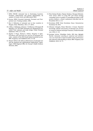- 7. WHO, UNICEF. Antenatal Care in Developing Countries; Promises, achievements and missed opportunities, An analysis of trends, levels and differentials 2003.
- 8. Europe WROf. Essential Antenatal, Perinatal and Postpartum Care; Training modules. 2002.
- 9. Ren Z. Utilisation of antenatal care in four countries in Ningxia, China. Midwifery. 2011; 27: 260-6.
- 10. J Villar, L Bakketeig, A Donner, Y Al-Mazrou, H Ba'aqeel, JM BelizaÂn, et al. The WHO Antenatal Care Randomised Controlled Trial: rationale and study design. Pediat Perinatal Epidemiol. 1992; 12: 27-58.
- 11. Ngatho S Mugo, Michael J Dibley, Kingsley E Agho. Prevalence and risk factor for non-use of antenatal care visits : analysis of the 2010 South Sudan household survey. BMC Pregnancy and Childbirth 2015; 15: 68.
- 12. Banta D. What is the efficacy/effectiveness of antenatal care and the financial and organizational implications? Copenhagen: WHO Regional Office for Europe's Health Evidence Network, 2003.
- 13. Mary-Katepa Bwalya, Chipepo Kankasa, Olusegun Babaniyi, Seter Siziya. Effect of using HIV and infant feeding counseling cards on quality of counselling provided to HIV positive mothers: a cluster randomized controlled trial. Int Breastfeed 2011; 6: 13.
- 14. Kesehatan BPdP. Riset Kesehatan Dasar. Kementerian Kesehatan RI, 2010.
- 15. Athanase Lilungulu, Dimas Matovelo, A Gesase. Reported knowledge, attitude and practice of antenatal care services in women in Dodoma municipal Tanzania. J Pediat Neonatal care. 2016; 4: 1-8.
- 16. Jennings Larissa, Yebadokpo Andre, Affo Jean, Agbogbe Marthe. Antenatal conseling in maternal and newborn care: use of job aids to improve health worker performance and maternal understanding in Benin. BMC Pregnancy and Childbirth. 2010; 10: 75.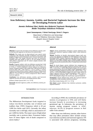# **Iron Deficiency Anemia, Cystitis, and Bacterial Vaginosis Increase the Risk for Developing Preterm Labor**

# **Anemia Defisiensi Besi, Sistitis dan Bakterial Vaginosis Meningkatkan Risiko Terjadinya Kelahiran Prematur**

**Janet Sumampouw, I Ketut Suwiyoga, Ketut S. Negara**

Department of Obstetrics and Gynecology Faculty of Medicine Universitas Udayana Sanglah General Hospital Center Bali

#### **Abstract**

**Objective**: To prove the association of iron deficiency anemia, cystitis, and bacterial vaginosis as risk factors for preterm labor.

**Methods**: This study was an observational case-control study conducted at the Polyclinic and IRD of Obstetrics and Gynecology Sanglah Denpasar General Hospital Center between September and December 2015. The sample selection was done by consecutive sampling with total sample as many as 35 case samples (women with preterm pregnancy) and 35 control samples (women with aterm pregnancy).

**Results**: Pregnant mothers with iron deficiency anemia had 4 fold increased risk of developing preterm labor ( $OR = 4.04$ ,  $95\% CI = 1.15$ to 14.16,  $p = 0.023$ ) compared to those without iron deficiency anemia. Pregnant mothers with cystitis had 4 fold increased risk of preterm labor (OR = 4.00, 95% CI = 1.25 to 12.80, p = 0.016) compared to those without cystitis. Pregnant mothers with bacterial vaginosis had 3 fold increased risk of preterm frequency (OR = 3.24, 95% CI = 1.22 to 8.63,  $p = 0.017$  compared to those without bacterial vaginosis.

**Conclusion**: Iron deficiency anemia, cystitis, and bacterial vaginosis increase the risk for developing preterm labor.

[Indones J Obstet Gynecol 2017; 5-2: 73-76]

**Keywords**: bacterial vaginosis, cystitis, iron deficiency anemia, preterm labor

#### **Abstrak**

**Tujuan**: Untuk membuktikan hubungan anemia defisiensi besi, sistitis, dan bakterial vaginosis sebagai faktor risiko kelahiran prematur.

**Metode**: Penelitian ini bersifat observasional dengan studi casecontrol yang dilakukan di Poliklinik dan IRD Kebidanan dan Penyakit Kandungan RSUP Sanglah Denpasar, yang dilakukan mulai bulan September 2015 hingga Desember 2015. Pemilihan sampel dilakukan dengan cara berurutan sampling dengan sampel penelitian sebanyak 35 sampel kasus (ibu hamil preterm) dan 35 sampel kontrol (ibu hamil aterm).

**Hasil**: Ibu hamil dengan anemia defisiensi besi mempunyai peningkatan risiko 4 kali terjadinya kelahiran prematur (OR = 4,04, IK 95% = 1,15-14,16, p = 0,023) dibandingkan dengan ibu hamil tanpa anemia defisiensi besi. Ibu hamil dengan sistitis mempunyai risiko 4 kali lebih terjadinya kelahiran prematur (OR = 4,00, IK 95% = 1,25- 12,80, p = 0,016) dibandingkan dengan ibu hamil tanpa sistitis. Ibu dengan vaginosis bakterial memiliki peningkatan risiko 3 kali terjadinya kelahiran prematur (OR = 3,24, IK 95% = 1,22-8,63, p = 0,017) dibandingkan dengan ibu hamil tanpa vaginosis bakterial.

**Kesimpulan**: Anemia defisiensi besi, sistitis, dan vaginosis bakterial meningkatkan risiko terjadinya kelahiran prematur.

[Maj Obstet Ginekol Indones 2017; 5-2: 73-76]

**Kata kunci**: anemia defisiensi besi, kelahiran prematur, sisititis, vaginosis bakterial

**Correspondence:** Janet Sumampouw; email: janetsumampouw@yahoo.com

# INTRODUCTION

The Millennium Development Goals targeted to reduce two-thirds mortality rate of infants and toddlers than 1990's frequency which is 20 per 1,000 live births until 2015. Currently, the infant mortality rate is still high, which is amounted to 67 per 1,000 live births. The major cause of high infant mortality rate is preterm labor. Premature babies have 35 times higher risk of death compared to aterm babies.1

According to WHO, the worldwide prevalence of anemia in pregnancy is 55% and will likely increase linearly in accordance to increasing gestational age. In Indonesia, the prevalence of anemia among pregnant women is  $63\%^2$ , whereas, 46.2% of pregnant women in Bali suffer from anemia.3

Other than iron deficiency anemia, other factors that may affect premature labor include urinary tract infection (cystitis) and bacterial vaginosis. UTI is associated with adverse pregnancy, including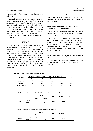preterm labor, fetal growth retardation, and stillbirth.4

Bacterial vaginosis is a gram-positive streptococcus bacteria, also known as Streptococcus agalactiae. Approximately 40-70% of pregnant women with bacterial vaginosis will likely spread the pathogenic bacteria to their babies vertically ie during vaginal labor. This occurs due to retrograde bacterial infection from the vagina into the uterus which later penetrate into the placental membrane, thus may lead to premature labor, stillbirth, and miscarriage.5

### METHODS

This research was an observational case-control study conducted at the Polyclinic and IRD of Obstetrics and Gynecology Sanglah Denpasar General Hospital Center during the period from September 2015 to December 2015. The sample selection was done by consecutive sampling with total sample as many as 35 case samples (women with preterm pregnancy) and 35 control samples (women with aterm pregnancy). Mean values were compared between groups using independent T test, p < 0.05 was considered statistically significant.

### RESULT

Demographic characteristics of the subjects are presented in Table 1. No significant differences were observed.

# **Association between Iron Deficiency Anemia and Preterm Labor**

Chi-Square test was used to determine the association between iron deficiency anemia and preterm labor (Table 2).

Iron deficiency anemia was significantly associated with preterm labor ( $p = 0.023$ ) OR = 0.023). In addition, subjects with iron deficiency anemia had 4 fold increased risk of developing preterm labor (OR = 4.04, 95% CI = 1.15 to 14.16,  $p = 0.023$  compared to those without iron deficiency anemia.

# **Association between Cystitis and Preterm Labor**

Chi-Square test was used to determine the association between cystitis and preterm labor (Table 3).

| Variable               | <b>Preterm Pregnancy (N=35)</b> |      | <b>Aterm Pregnancy (N=35)</b> |      |       |  |
|------------------------|---------------------------------|------|-------------------------------|------|-------|--|
|                        | Mean                            | SD   | Mean                          | SD   | D     |  |
| Age (Years)            | 25.37                           | 5.53 | 26.89                         | 6.33 | 0.290 |  |
| Parity                 | 0.74                            | 1.07 | 1.03                          | 1.04 | 0.261 |  |
| <b>Gestational Age</b> | 31.74                           | 3.09 | 38.63                         | 1.42 | 0.001 |  |

**Table 1.** Demographic Characteristics of the Subjects

**Table 2.** Association between Iron Deficiency Anemia and Preterm Labor

|            |          |      | Group   | <b>OR</b>          | CI 95%<br>D |       |
|------------|----------|------|---------|--------------------|-------------|-------|
|            |          | Case | Control |                    |             |       |
| <b>IDA</b> | Positive | 12   |         | 4.04<br>1.15-14.16 |             | 0.023 |
|            | Negative | 23   | 31      |                    |             |       |

**Table 3.** The Association between Cystitis and Premature Labor

|          |          |      | Group                               | CI 95%<br>OR<br>D |       |  |
|----------|----------|------|-------------------------------------|-------------------|-------|--|
|          |          | Case | Control                             |                   |       |  |
| Cystitis | Positive | 14   | $\mathcal{D}$<br>1.25-12.80<br>4.00 |                   | 0.016 |  |
|          | Negative | 21   | 30                                  |                   |       |  |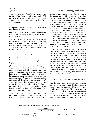Cystitis was significantly associated with preterm labor. Subjects with cystitis had 4 fold increased risk of preterm labor (OR = 4.00, 95% CI  $= 1.25$  to 12.80,  $p = 0.016$  compared to those without cystitis.

# **Association between Bacterial Vaginosis and Preterm Labor**

Chi-Square test was used to determine the association between bacterial vaginosis and preterm labor (Table 4).

Bacterial vaginosis was significantly associated with preterm labor ( $p = 0.017$ ). In addition, subjects with bacterial vaginosis had 3 fold increasing risk of preterm frequency (OR =  $3.24$ , 95% CI = 1.22 to 8.63,  $p = 0.017$  compared to those without bacterial vaginosis.

# DISCUSSION

We found that subjects with iron deficiency anemia had 4 fold increased risk of developing preterm pregnancy compared to those without iron deficiency anemia. Anemia may lead to complications in preterm neonates, including low Apgar score and fetal distress. Anemia in the second trimester and third trimester may can cause premature parturition, antepartum haemorrhage, intrauterine growth restrisction, intrapartum asphyxia, gestosis, and cardiac decompensation.6 This research was supported by the results of Karasahin et al. research, (2006) which suggested that pregnant women with anemia had four times higher risk of developing premature labor and 1.9 times higher risk of having low birth weight (LBW) baby compared to nonanemic pregnant women.7

Chi-Square test results demonstrated that pregnant women with cystitis had 4 fold increased risk of preterm frequency compared to those

without cystitis. Cystitis is an infection involving the kidney, ureter, bladder, or urethra, while urinary tract infection (UTI) is a general term that indicates the presence of microorganisms (MO) in the urine. $8 \text{ In a study involving } 25.746 \text{ pregnant}$ women with UTI disorders, it is reported that the majority pregnant women developed complications such as premature birth, gestational hypertension, anemia, and amnionitis.<sup>9</sup> Similar to our study, Dimetry et al found that the risk of developing preterm labor were higher in people mothers who had histories of UTI during pregnancy.10 The study also revealed pregnant mothers suffering from UTI during had 2.2 times higher risk of developing premature labor compared to those without history of (RR = 2.2; 95% CI = 1.35 to 3.58). 10

Chi-Square test result showed that bacterial vaginosis had 3 fold increasing risk of preterm frequency compared to those without bacterial vaginosis. Bacterial vaginosis was associated with increased risk of developing preterm labor (OR 1.5; 95% confidence interval, 1.2 to 1.9).<sup>11</sup> The prevalence of bacterial vaginosis was 16%, and the rate of preterm birth was 5.2%. Bacterial vaginosis was significantly associated with low birth weight (OR 1.95, 95% CI 1.3 to 2.9), premature birth of low birth weight babies (OR 2.5, 95% CI 1.6 to 3.9), and preterm labor (OR 2.4, 95% CI 1.4 to 4.1).12

# CONCLUSIONS AND RECOMMENDATIONS

Iron deficiency anemia, cystitis, and bacterial vaginosis increase the risk for developing preterm labor. To prevent premature labor, it is recommended that mothers should undergo complete blood count, urinalysis, and vaginal swab during antenatal care visit. Thus, iron deficiency anemia, cystitis, and bacterial vaginosis, could be detected earlier, and appropriate therapy may be given.

**Table 4.** Association between Bacterial Vaginosis and Preterm Labor

|                            |          |      | Group   | 0R   | CI 95%    | D     |
|----------------------------|----------|------|---------|------|-----------|-------|
|                            |          | Case | Control |      |           |       |
| <b>Bacterial Vaginosis</b> | Positive | 23   | 13      | 3.24 | 1.22-8.63 | 0.017 |
|                            | Negative | 12   | 22      |      |           |       |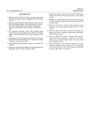#### **REFERENCES**

- 1. Hindeker dalam Fatimah, Hubungan Tingkat Pengetahuan Tentang Gizi dengan Kadar Hemoglobin pada Ibu Hamil.  $2011 \cdot 1 - 4$
- 2. Indryani, Amirudin. Faktor Risiko Kejadian Partus Lama di RSIA Siti Fatimah Makasar. 2006. Retrieved from: http:// ridwanamiruddin.wordpress.com/faktor-risiko-partuslama-di-rsia-siti-fatimah, diakses tanggal 22 September 2014.
- 3. Ani. Pengaruh Pemberian Tablet Besi terhadap Kadar Feritin Serum dan hemoglobin pada Wanita Pra Hamil dengan Anemia Defisiensi Besi Derajat Ringan di Bali. 2007
- 4. Cunningham FG, Gant NF, Leveno KJ, Gilstrap LC, Hauth JC, Wenstrom KD. Obstetri Williams. Ed. 21. Jakarta: EGC, 2006; 18-20; 91; 146-9; 191-93; 1463.
- 5. Jawetz. Mikrobiologi Kedokteran. Jakarta: ECG. 2008; 233: 199-200.
- 6. Mansjoer A. Kapita Selekta Kedokteran. Ilmu Kebidanan dan Kandungan. Jakarta: Media Acsulapius. 2008.
- 7. Karasahin E, Seyit T, Umit G, Ugur K, Iskender B. Maternal Anemia and Perinatal Outcome. Perinatal J, 2007; 15(3): 127-30.
- 8. Sukandar E. Infeksi Saluran Kemih Pasien Dewasa. Buku Ajar Ilmu Penyakit Dalam, Jilid I. Jakarta: Balai Penerbit FK UI. 2004: 553-7.
- 9. Delzell JE, Lefevre ML. Urinary Tract Infections During Pregnancy in: Am Fam Physician (AAFP). 2010; 1; 61(3): 713-20.
- 10. Shahira R, Hanan M, El-Tokhy. Urinary Tract Infection and Adverse Outcome of Pregnancy. J Egy Public Health Assoc, 2007; 82(3-4): 203-18.
- 11. Sharon L. Hillier Ph.D., Robert P. Nugent Ph.D., David A. Association Between Bacterial Vaginosis and Preterm Delivery of a Low-Birth-Weight Infant. New Eng J Med, 2015; 333(26): 1737-41.
- 12. Svare JA, Schmidt H, Lose G. Bacterial vaginosis in a cohort of Danish pregnant women: prevalence and relationship with preterm delivery, low birth weight and perinatal infections. BJOG 2006; 113: 1419-25.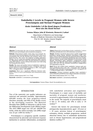# **Endothelin1 Levels in Pregnant Women with Severe Preeclampsia and Normal Pregnant Women**

**Kadar Endothelin1 di Ibu Hamil dengan Preeklamsia Berat dan Ibu Hamil Normal**

**Yosiana Wijaya, John JE Wantania, Bismarck J Laihad**

Department of Obstetrics and Gynecology Faculty of Medicine Universitas Sam Ratulangi/ Prof. Dr. R.D. Kandou General Hospital Manado

#### **Abstract**

**Objective**: To determine the ratio of serum endothelin-1 levels between severe preeclampsia and normotensive pregnancy.

**Methods**: Observational analytic study using cross-sectional. Sixteen woman with normal pregnancy and sixteen others with severe preeclampsia who met the inclusion and exclusion criteria, were tested for ET-1. The serum was analyzed at Prodia Laboratory, Manado. The ET-1 level was examined using ELISA (R&D Systems, Inc., Minneapolis, MN 55413, USA). The data obtained was analyzed using SPSS software version 20.0.and discussions were held using the existing literature theory.

**Results**: The mean and median levels of endothelin-1 plasma in patients with severe preeclampsia is 2:46  $\pm$  1:44 pg/ml, 1:09  $\pm$  0:26 pg/ml, whereas in normotensive pregnancy is  $1:03 \pm 0:26$  pg/ml,  $1.95 \pm 1.44$  pg/ml with p < 0.05 (0000).

**Conclusion**: There was a significant difference between endothelin-1 level in severe preeclampsia and normotensive pregnancies.

[Indones J Obstet Gynecol 2017; 5-2: 77-82] **Keywords**: endothelin-1, normotensive, preeclampsia

#### **Abstrak**

**Tujuan**: Mengetahui perbandingan kadar endothelin-1 antara kehamilan preeklamsia berat dan kehamilan normotensi.

**Metode**: Penelitian kuantitatif observasional analitik menggunakan pendekatan potong lintang. Dilakukan pemeriksaan kadar endothelin-1 pada 32 sampel ibu hamil yang memenuhi kriteria inklusi dan eksklusi, terdiri atas 16 kehamilan preeklamsia berat dan 16 kehamilan normotensi. Analisis sampel dilakukan di Laboratorium Prodia Manado. Pemeriksaan kadar endothelin-1 menggunakan metode ELISA. Data yang diperoleh diolah dengan menggunakan perangkat lunak SPSS versi 20.0 dan dilakukan pembahasan menggunakan teori kepustakaan yang ada.

**Hasil**: Rerata dan median kadar endothelin-1 plasma pada penderita preeklamsia berat yaitu 2,46  $\pm$  1,44 pg/ml, 1,09  $\pm$  0,6 pg/ml, sedangkan pada kehamilan normotensi yaitu  $1,03 \pm 0.26$  pg/ml, 1,95  $\pm$  1,44 pg/ml dengan nilai p < 0,05 (0,000).

**Kesimpulan**: Terdapat perbedaan signifikan kadar endothelin-1 antara kehamilan preeklamsia berat dengan kehamilan normotensi.

[Maj Obstet Ginekol Indones 2017; 5-2: 77-82]

**Kata kunci**: endothelin-1, normotensif, preeklamsia

**Correspondence:** Yosiana Wijaya. Email: flo.stasia@yahoo.com

# INTRODUCTION

Two of the maternity care quality indicators are maternal and perinatal mortality. Approximately 600,000 women die from pregnancy-related disorders annually, and 98% of the deaths occurs in the developing countries. The Maternal Mortality Rate (MMR) in Indonesia is still far from the Millennium Development Goals (MDGs) target. The 2015 MMR target was 102 per 100,000 live births, while the infant mortality rate (IMR) target was 23 per 1.000 live births. $1-4$ 

Preeclampsia is a pregnancy specific condition characterized by placental and maternal response dysfunction to systemic inflammation, accompanied with endothelial activation and coagulation. Preeclampsia is a major cause of morbidity and mortality of pregnant women and newborns, occurred in approximately 2-8% of all pregnancies in the world. The majority of preeclampsia onset is late  $(> 34$  weeks), and  $10\%$  is early  $(< 34$ weeks).5-7

Several risk factors for preeclampsia include primigravida, hyperplacentosis, aged < 20 years or > 35 years, previous history of preeclampsia/ eclampsia, obesity, multiple pregnancies, medical abnormal history due to endothelial dysfunction such as chronic hypertension, and pregestational diabetes mellitus.5,7,8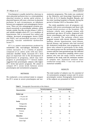Preeclampsia is usually started by a decrease in utero-placental perfusion due to a cytotrophoblast abnormal invasion in uterine spiral arteries. A placental hypoxia will cause a decrease in placental perfusion. In such circumstances, an imbalance between pro-angiogenic and antiangiogenic factors occur. There are two antiangiogenic proteins produced excessively in preeclamptic patients, which include soluble Fms-like tyrosine kinase-1 (sFlt-1) and soluble endoglin where ET-1 as a mediator of hypertension. Due to increased free radical and cytokine, decreased proangiogenic factors (VEGF and PIGF), and uncontrolled increase in lipid peroxide, vascular endothelial dysfunction occurs.9,10

ET-1 is a potent vasoconstrictor produced by endothelial cells, macrophages, fibroblasts, and cardiac myocytes. It is a family of peptide composed of 21 amino acids with two intramolecular disulfide bonds. Increased ET-1 level plays an important role in the development of hypertension in pregnancy, which may later progress to preeclampsia.6,11,12 Several studies suggested that preeclamptic subjects with higher ET-1 levels had poorer prognosis. We aimed to compare ET-1 serum levels between severe preeclampsia and normotensive pregnancy.

### METHODS

We conducted a cross-sectional study to compare the ET-1 serum in severe preeclampsia and normotensive pregnancies. This study was conducted at the Obstetrics and Gynecology Department of the Prof. dr. R. D. Kandou Hospital, Manado, and the sister teaching hospitals in Manado, during the period of October 2015 to November 2015.

The study population were all pregnancy outpatients with severe preeclampsia and those with normal blood pressure at the hospitals. The inclusion criteria were pregnant women with gestational age above 20 weeks, diagnosed with severe preeclampsia and were willing to participate in research. The exclusion criteria were pregnant women with chronic illnesses: diabetes mellitus, chronic hypertension, renal disease, thyroid disease, and patients who had received the cholesterol medication, twin pregnancies, and those who refused to participate in the study. The control group was the normotensive pregnant women with the same gestational age. We collected the sample by consecutive sampling, where every patient who met the study criteria would be included in the study until the minimum number of samples met. Statistical analyses were conducted using SPSS. T test was used for numerical variables.

#### RESULTS

The total number of subjects was 32, consisted of 16 normotensive pregnant women and 16 severe preeclamptic women. Demographic characteristics of the subjects are presented in Table 1.

|  |  | Tabel 1. Demographic Characteristics of the Subjects |  |  |
|--|--|------------------------------------------------------|--|--|
|--|--|------------------------------------------------------|--|--|

| <b>Characteristics</b> |             | Normal pregnancy | Severe preeclampsia |    |
|------------------------|-------------|------------------|---------------------|----|
|                        | $\mathbf n$ | $\%$             | $\mathbf n$         | %  |
| Mother age             |             |                  |                     |    |
| < 35 years old         | 14          | 88               | 8                   | 50 |
| $\geq$ 35 years old    | 2           | 12               | 8                   | 50 |
| <b>Parity</b>          |             |                  |                     |    |
| Primigravida           | 8           | 50               | 6                   | 38 |
| Multigravida           | 8           | 50               | 10                  | 62 |
| <b>Gestational age</b> |             |                  |                     |    |
| Preterm                | 5           | 31               | 6                   | 38 |
| Aterm                  | 11          | 69               | 10                  | 62 |
| <b>Education</b>       |             |                  |                     |    |
| Primary school         | $\Omega$    | $\theta$         | $\mathbf{1}$        | 7  |
| Junior high            | 3           | 19               | 3                   | 19 |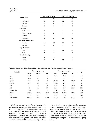| Characteristics                |                  | Normal pregnancy | Severe preeclampsia |              |
|--------------------------------|------------------|------------------|---------------------|--------------|
|                                | n                | $\%$             | $\mathbf n$         | $\%$         |
| High school                    | 13               | 81               | 10                  | 62           |
| Diploma                        | $\mathbf{0}$     | $\mathbf{0}$     | $\boldsymbol{0}$    | $\mathbf{0}$ |
| Graduate                       | $\mathbf{0}$     | $\mathbf{0}$     | $\overline{2}$      | 12           |
| <b>Occupation</b>              |                  |                  |                     |              |
| Public servant                 | $\mathbf{1}$     | 6                | 2                   | 13           |
| Private employee               | $\Omega$         | $\Omega$         | $\theta$            | $\mathbf{0}$ |
| Student                        | $\overline{2}$   | 13               | $\mathbf{1}$        | 6            |
| Housewife                      | 13               | 81               | 13                  | 81           |
| <b>History of Preeclampsia</b> |                  |                  |                     |              |
| Negative                       | 16               | 100              | 13                  | 81           |
| Positive                       | $\boldsymbol{0}$ | $\mathbf{0}$     | 3                   | 19           |
| <b>Body Mass Index</b>         |                  |                  |                     |              |
| $\leq 25$                      | 12               | 75               | 10                  | 62           |
| >25                            | 4                | 25               | 6                   | 38           |
| <b>Infant Birth weight</b>     |                  |                  |                     |              |
| $\leq 2500$                    | 3                | 19               | 6                   | 38           |
| > 2500                         | 13               | 81               | 10                  | 62           |

**Table 2.** Comparison of the Characteristics between Subjects with Preeclampsia and Normal Pregnancy

| <b>Variables</b> |             | Normal pregnancy |           |             | Severe preeclampsia |           |       |
|------------------|-------------|------------------|-----------|-------------|---------------------|-----------|-------|
|                  | <b>Mean</b> | <b>Median</b>    | <b>SD</b> | <b>Mean</b> | <b>Median</b>       | <b>SD</b> | p     |
| Age              | 26.19       | 27.5             | 7.26      | 30.88       | 34.5                | 6.95      | 0.51  |
| Parity           | 1.75        | 1.5              | 1.54      | 3           | 2.5                 | 2.03      | 0.16  |
| Systole          | 112.5       | 110              | 7.75      | 168.13      | 160                 | 21.67     | 0     |
| Diastole         | 73.13       | 70               | 4.79      | 113.13      | 110                 | 15.37     | 0     |
| <b>AST</b>       | 21          | 19               | 6.55      | 36.44       | 28.5                | 31.46     | 0.138 |
| <b>ALT</b>       | 12          | 11.5             | 3.5       | 24.81       | 19.5                | 21.69     | 0.043 |
| Hemoglobin       | 11.41       | 11.1             | 1.47      | 10.66       | 11.65               | 3.95      | 0.669 |
| Platelet         | 284125      | 266000           | 60202     | 294688      | 294500              | 78408     | 0.672 |
| BMI              | 22.94       | 21.5             | 5.29      | 24.25       | 23.5                | 4.09      | 0.196 |
| Birth weight     | 2806.25     | 3050             | 831.44    | 2653.13     | 2750                | 642.77    | 0.16  |

We found no significant difference between the preeclamptic population and the normotensive group  $(p > 0.05)$  for the following variables: maternal age, parity, AST, the number of hemoglobin and platelets, BMI and birth weight. There were significant differences between the preeclamptic and normotensive groups for these variables: systolic, diastolic and the levels of ALT ( $p < 0.05$ ).

From Graph 1, the obtained results mean and median distribution of ET-1 appears to be higher severe preeclampsia (2.46  $\pm$  1.44 pg/ml, 1.95  $\pm$ 1.44 pg/ml) compared to normotensive pregnancy  $(1.03 \pm 0.26 \text{ pg/ml}, 1.09 \pm 0.26 \text{ pg/ml}).$  This result demonstrate increased levels of ET-1 in severe preeclampsia compared to normotensive pregnancy.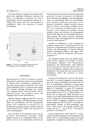The Mann-Whitney statistical test showed that there were significant differences between the levels of endothelin-1 between the severe preeclamptic and the normotensive groups  $(p =$ 0.000). This means that the concentration of endothelin-1 affects the occurence of severe preeclampsia.



**Figure 1.** The ET-1 Correlation between Severe Preeclampsia and Normotensive Pregnancy

#### DISCUSSION

Approximately 5-10% of pregnant women experienced a syndrome known as preeclampsia. In women with normotensive pregnancies, a thorough physiological alterations and body system adaptation occur. In cardiovascular system, ET-1 receptor blockage maintains the vascular tone. Pregnant women with risk factors, such as maternal disease and oxidative stress, the angiogenic factor were dysfunctional.14

Multiple evidence suggested that ET-1 was one of the preeclampsia pathophysiological factors. When the preeclampsia and the normotensive groups were compared, an elevated ET-1 in preeclampsia group was found. It indicates that the concentration of ET-1 affects the occurrence of severe preeclampsia.<sup>11</sup>

Early incident in preeclampsia occurs due to decreased utero-placental perfusion, which happens because of remodelling failure of the spiral arteries and endothelial dysfunction.

Placental hypoxia will lead to decreased placental perfusion. In such circumstane, an imbalance factors between proangiogenic and antiangiogenic occurs. In preeclampsia, there are two antiangiogenic proteins produced excessively in the maternal circulation: soluble Fms-like tyrosine kinase-1 (sFlt-1) and soluble endoglin where ET-1 as a mediator of hypertension. Due to increase in free radical and cytokine causing oxidative stress and decrease in proangiogenic factors VEGF, PIGF and an uncontrolled increase in lipid peroxide. This causes vascular endothelial dysfunction that is disintegration of endothelial structure and function.9,10

Increase in endothelin-1 in the circulation of pregnant women have an important role in the occurrence of hypertension in pregnancy and may develop into preeclampsia. In several different studies, preeclamptic patients with higher ET-1 level in the maternal circulation had poorer prognosis.11,15

The obtained results mean and median distribution of ET-1 appears to be higher in severe preeclampsia compared with normotensive pregnancies. The interpretation result indicates that the presence of increased levels of ET-1 in severe preeclampsia compare with normotensive pregnancies. This means that the concentration of endothelin-1 affects the occurence of severe preeclampsia.

Croom et al conducted are search on the serum level of ET-1 in normal pregnancy and preeclampsia. This study demonstrated increased levels of ET-1 in preeclampsia compared to normal pregnancy. In normal pregnancy, the level of ET-1 0.5 pg/ml (1st trimester), 1.1 pg/ml (3rd trimester), and 1.7 pg/ml (at birth). Whereas in patients with preeclampsia, level of ET-1 1.9 pg/ml (before delivery) and 3.5 pg/ml (at birth). Slowinski et al found a very strong relationship between the level of ET-1 in patients and preeclampsia at 24 weeks and 36 weeks of pregnancy compared to normotensive pregnancy. The level of ET-1 was higher in preeclamptic patients at both gestational ages  $(1.07 \pm 2.00 \text{ vs } 0.54 \pm 0.56 \text{ pg/ml}, \text{p=0.045 at } 24$ weeks and  $0.75 \pm 1.20$  vs  $0.44 \pm 0.45$  pg/ml, p=0.023 at 36 weeks).16,17

Several studies have shown that ET-1 is associated with the development of preeclampsia. The levels of ET-1 in preeclamptic patients increased significantly compared to normal pregnancy. ET-1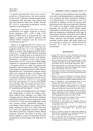is a potent vasoconstrictor that can be used as predictors of hypertension and preeclampsia. Increase in ET-1 indicated vasospasm progressivity accompanied with decreased renal plasma flow and utero-placental blood flow. Finally, elevated ET-1 level is responsible formitogenic activity reported on preeclampsia.6,13

Aggarwal et al found that ET-1 level in preeclampsia was higher compared to normotensive pregnancy  $(1.52 \pm 0.55 \text{ vs } 0.88 \pm 0.35$ pg/ml, p<0.001). Nova et al found that ET-1 was highest in patients with HELLP syndrome than without HELLP syndrome and the lowest in normotensive group.13,18

Kamoi et al suggested that ET-1 level in normotensive pregnant women was lower than non pregnant women  $(0.6 \pm 0.1 \text{ vs } 1.5 \pm 0.3 \text{ pg/ml})$  and higher in women with pregnancy-induced hypertension (1.9  $\pm$  0.3 pg/ml). After delivery, increased levels of ET-1 would go back to its normal level in line with decreased blood pressure in all patients. Meanwhile, in pregnant women with chronic hypertension, the ET-1 levels were slightly higher compared to normotensive pregnant women (0.9  $\pm$  0.3 pg/ml, p<0.01). In a study of 6 patients with pregnancy induced hypertension (PIH), 2 patients with pregnancy induced proteinuria (PIP) without hypertension and 7 normotensive pregnant women which was conducted by Ohya et al, subjects with PIP had the highest levels of ET-1, while the normotensive pregnant population had the lowest levels  $(4.4 \pm 0.5 \text{ vs } 4.5 \pm 0.6 \text{ vs } 1.5 \pm 0.2 \text{ pg/ml})$ . One week after delivery, ET-1 level in PIH and PIP were still high. After one month, the level of ET-1 in PIH population began to decline, whereas the PIP population still had high ET-1 levels.19,20

In the severe preeclamptic group, four subjects had complications, in which two subjects developed suffered from eclampsia, one subject had eclampsia and one subject suffered from eclampsia with HELLP syndrome. Of these subjects, four them had their ET-1 levels increased significantly, which may indicate further endothelial damage in preeclampsia. These findings are consistent with a study conducted by Nova et al, which found that ET-1 level were significantly elevated in patients with HELLP syndrome compared without HELLP syndrome. However, this needs to be done with greater samples to assess the association between complications of preeclampsia with high levels of ET-1.13

This study has some limitations that may affect the results. Counfounding factors including level of urea, creatinine and other biochemical mediators as predispositions of preeclampsia, were not controlled. In addition, we did not examine other biochemical factors that were expected to influence ET-1 levels to our subjects. Family physicians and maternity care provider should educate patient and families to do antenatal care regularly to detect high risk pregnancies, including the early signs of preeclampsia, therefore prevention and treatment can be done as early as possible and is expected to reduce maternal and perinatal morbidity and mortality. Further studies with larger sample size are required to obtain the causal association between ET-1 and the complications of preeclampsia.

# REFERENCES

- 1. Angsar MD. Hipertensi dalam Kehamilan pada Ilmu Kebidanan Sarwono Prawiroharjo. 4 ed. Jakarta: PT Bina Pustaka Sarwono Prawirohardjo; 2010: 530-61.
- 2. World Health Organization. Maternal Mortality in 2005: Estimates Developed by WHO, UNICEF, UNFPA and The World Bank. Geneve: World Health Organization, 2007.
- 3. Badan Kependudukan dan Keluarga Berencana Nasional. Survei Demografi dan Kesehatan Indonesia 2012. Jakarta: Badan Pusat Statistik; 2013: 110-2, 226-8.
- 4. Supriyantoro, Primadi O. Profil Kesehatan Indonesia Tahun 2013. Jakarta: Kementerian Kesehatan Republik Indonesia; 2014: 71-83.
- 5. Wibowo N, Irwinda R, Frisdiantiny E. Pedoman Nasional Pelayanan Kedokteran: Diagnosis dan Tatalaksana Preeklamsia: Kementerian Kesehatan Republik Indonesia; 2014.
- 6. Jain A. Endothelin-1: A Key Pathological Factor in Preeclampsia? Reprod Bio Med Online. 2012; 25: 443-9.
- 7. Roeshadi RH. Hipertensi dalam Kehamilan In: Hariadi R, editor. Ilmu Kedokteran Fetomaternal. 1st ed. Surabaya: Himpunan Kedokteran Fetomaternal POGI; 2004: 494-8.
- 8. Moffett A and Hiby SE. Immunological Factors and Placentation: Implications for Pre-eclampsia in Preeclampsia: Etiology and Clinical Practice. Lyall F and Belfort M. New York: Cambridge University Press. 2007: 92-102.
- 9. Maynard SE, Karumanchi SA. Angiogenic Factors and Preeclampsia. Semin Nephrol. 2011; 31(1): 33-46.
- 10. Karumanchi SA and Cerdeira AS. Angiogenic Factors in Preeclampsia and Related Disorders. Cold Spring Harb Perspect Med. 2012: 1-17.
- 11. George EM, Granger JP. Endothelin: Key Mediator of Hypertension in Preeclampsia. Am J Hypertens. 2011; 24(9): 964-9.
- 12. Dhaun N, Goddard J, Kohan DE, Pollock DM, Schiffrin EL, Webb DJ. Role of Endothelin-1 in Clinical Hypertension: 20 Years On. Am J Hypertens. 2008; 52: 452-9.
- 13. Nova A, Sibai BM, Barton JR, Mercer BM, Mitchell MD. Maternal Plasma Level of Endothelin is Increased in Preeclampsia. Am J Obstet Gynecol. 1991; 165(3): 724-7.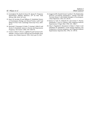- 14. Cunningham FG, Hauth JC, Rouse DC, Spong CY. Pregnancy Hypertension. Williams Obstetrics. 23<sup>th</sup> ed. New York: McGraw Hill; 2010: 567-618.
- 15. Noori M, Savvidou M and Williams D. Endothelial Factors in Preeclampsia: Etiology and Clinical Practice. Lyall F and Belfort M. New York: Cambridge University Press. 2007: 50-77.
- 16. Slowinski T, Neumayer H, Stolze T, Gossing G, Halle H, and Hocher B. Endothelin System in Normal and Hypertensive Pregnancy. Clin Science. 2002; 103: 4465-95.
- 17. Croom C, Nolan T, Devoe L, Lightfoot B, and Caruana R. Endothelin-1 Serum Levels in Normal and Preeclamptic Pregnancies. Am J Obstet Gynecol. 1992; 161(1 part 2): 440.
- 18. Anggarwal PK, Chandel N, Jain V and Jha V. The Relationship between Circulating Endothelin-1, Soluble Fims-like Tyrosine Kinase-1 and Soluble Endoglin in Preeclampsia. J Hum Hipertense. 2012; 26: 236-41.
- 19. Kamoi K, Sudo N, Ishibashi M, and Yamaji T. Plasma Endothelin-1 Level in Patients with Pregnancy-Induced Hypertension. N Engl J Med. 1990; 323: 1486-7.
- 20. Ohya Y, Nagafuchi E, Kumamoto K, Nakao Y, Fujita S, and Fuhishima M. Endothelin-1 Levels during Pregnancy and Postpartum in Normal pregnancy and Pregnancy-Induced Hypertension. Hypertens Res. 1992; 15: 149-54.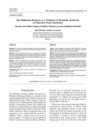# **Anti Müllerian Hormone as a Predictor of Metabolic Syndrome in Polycystic Ovary Syndrome**

# **Hormon Anti Mülleri sebagai Prediktor Sindrom Ovarium Polikistik Metabolik**

**Budi Wiweko, Cynthia A. Susanto**

Department of Obstetrics and Gynecology Faculty of Medicine Universitas Indonesia/ Dr. Cipto Mangunkusumo General Hospital Jakarta

#### **Abstract**

**Objective**: To evaluate whether Anti Müllerian Hormone (AMH) can be used as a predictor of metabolic syndrome in Polycystic Ovarian Syndrome (PCOS).

**Methods**: This cross-sectional study was conducted in Yasmin Clinic, Dr. Cipto Mangunkusumo General Hospital Jakarta between June and December 2012. Forty-one patients diagnosed with PCOS based on Rotterdam Criteria were enrolled. Secondary were was taken from medical record..

**Results**: A total of 22 subjects were involved in this study. Mean AMH level in the metabolic syndrome group is compared to the non-metabolic syndrome group  $(10.72\pm6.23 \text{ ng/ml vs } 7.97\pm4.50$ ng/ml, p=0.12). AMH was strongly associated with HDL, triglyceride and insulin resistance (r-value of -0.29, 0.23, and 0.21 respectively, p< 0.05).

**Conclusion**: AMH can be used as a predictor of metabolic syndrome in PCOS.

[Indones J Obstet Gynecol 2017; 5-2: 83-86]

**Keywords**: anti müllerian hormone, metabolic syndrome, polycystic ovarian syndrome

#### **Abstrak**

**Tujuan**: Untuk mengevaluasi apakah Anti Müllerian Hormone (AMH) dapat dijadikan prediktor untuk sindroma metabolik pada pasien Sindroma Ovarium Polikistik (SOPK).

**Metode**: Studi ini merupakan studi potong lintang yang dilakukan di Klinik Yasmin Rumah Sakit Dr. Cipto Mangunkusumo Jakarta pada bulan Juni hingga Desember 2012. Empat puluh satu persen pasien didiagnosis SOPK berdasarkan kriteria Rotterdam. Data sekunder didapatkan dari rekam medis.

**Hasil**: Pada studi ini terdapat 22 pasien yang mengalami sindroma metabolik. Nilai rerata kadar AMH pada pasien SOPK dengan sindroma metabolik ditemukan lebih tinggi dibandingkan dengan pasien tanpa sindroma metabolik (10,726,23 ng/ml vs 7,974,50 ng/ml, p=0,12). Hasil penelitian ini juga menunjukkan bahwa AMH berhubungan dengan HDL, trigliserida, dan resistensi insulin dengan nilai r -0,29, 0,23, dan 0,21 (p < 0,05).

**Kesimpulan**: AMH dapat menjadi salah satu parameter untuk memprediksi sindrom metabolik pada pasien SOPK.

[Maj Obstet Ginekol Indones 2017; 5-2: 83-86]

**Kata kunci**: anti müllerian hormone, sindroma metabolik, sindroma ovarium polikistik

**Correspondence:** Budi Wiweko, Email: wiwekobudi@yahoo.co.id

#### INTRODUCTION

Anti Müllerian Hormone (AMH), also known as Mullerian inhibiting substance, is a member of the transforming growth factor  $\beta$  family of growth and differentiation factors. AMH is known to have an essential role in folliculogenesis. AMH inhibits the growth of primordial follicles, and inhibits the sensitivity of antral follicles to follicle-stimulating hormone (FSH) during cyclical recruitment. Thus, AMH is believed to play an important role in the regulation of the ovarian follicular growth. In addition, AMH is widely used as an ovarian reserve marker.1,2 To date, the raise of AMH level found in polycystic ovarian syndrome (PCOS) is

believed due to increased expression of the promoter gene. In addition, its level increases up to two to three times compared to normal women worldwide.3,4 In addition, the more severe PCOS phenotype one person has, the higher level of plasma AMH is detected.4,5

PCOS is one of the diseases frequently found in reproductive aged women. It affects both endocrine and metabolic system. In fact, 46% women with PCOS has shown association in the development of metabolic syndrome in later life  $(p<0.0001)$ <sup>6</sup> A study in Korea surprisingly demonstrated that young women with PCOS (mean age of 26.5 years old) had a three-fold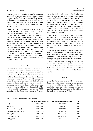increased risk of developing metabolic syndrome compared to normal population.7 However, due to many panels of examinations should performed to diagnose metabolic syndrome and not all patients present with the same characteristics, sometimes the diagnosis of metabolic syndrome is disregarded.

Currently, the relationship between level of AMH with the risk of cardiovascular event, particularly metabolic syndrome, remains unknown. Several studies suggested that the disturbance in lipid profile in patient with PCOS was not associated with body mass index.8 However, Skalba et al found that AMH was significantly associated with total cholesterol, LDL and HDL.9 Legro et al found that numerous PCOS patients with metabolic syndrome were under diagnosed, which may lead to inadequate therapy.10 Therefore, a panel of examination that can predict the risk of cardiovascular event in PCOS is needed to be carried out, therefore clinicians will be able give adequate treatment to patients with PCOS.

### **METHOD**

A cross sectional study design was used. The inclusion criteria were women of reproductive age (15- 45 years) who met the diagnostic criteria for PCOS based on Rotterdam 2003 in Yasmin Clinic, Dr. Cipto Mangunkusumo General Hospital during the period of June to December 2012 and agreed to participating in the research. Patient who consumed hormonal therapy or uses insulinsensitizing agents within three months before, and had done ovarian drilling was being excluded. The patient would be diagnosed as having PCOS according to the Rotterdam consensus, $11$  which

were the finding of 2 out of the 3 following criterias; oligo-and/or an ovulation, hyper androgenism, defined as hirsutism (Ferriman-Gallwey score > 8), or minor signs including acne, seboborrhea, and/or testosterone > 3 nmol/l and/or androstenedione > 12 nmol/l, and criteria for polycystic ovary by ultrasound examination (minimum of 12 follicles with 2-9 mm diameter in each ovary, and/or increasing ovarian volume with a minimum size 10 mm3).

According to the American Heart Association,12 metabolic syndrome is diagnosed when someone fulfill three among five diagnose criteria which are blood pressure  $\geq 130/85$  mmHg, triglyceride  $\geq 150$ mg/dl, fasting blood glucose  $\geq 100$  mg/dl, HDL-C < 50 mg/dl, and waist circumference  $\geq 80$  cm (Asian women).

Secondary data derived medical records were used to obtain the data of the subjects including AMH levels and all panels to diagnose metabolic syndrome: blood pressure, triglyceride, HDL-C, fasting blood glucose, and waist circumference.

Data were processed using Windows SPSS version 11.0. Results were presented as mean  $\pm$  SD. Relationship between each variable to AMH level was analyzed with independent t-test, p-value of < 0.05 would be considered statistically significant.

# RESULT

Using the Rotterdam criteria, 41 subjects were diagnosed with PCOS. Among these patients, twenty-two subjects were confirmed to have metabolic syndrome while nineteen had normal metabolic profile. Characteristics of the subjects in the study are presented in Table 1.

| <b>Table 1.</b> Baseline Characteristics of the Subjects |
|----------------------------------------------------------|
|----------------------------------------------------------|

|                               | Metabolic syndrome (n=22) | Non metabolic syndrome (n=19) | p     |
|-------------------------------|---------------------------|-------------------------------|-------|
| Age (years)                   | $30.14 \pm 2.88$          | $31.11 \pm 3.43$              | 0.33  |
| BMI $(kg/m2)$                 | $29.62 \pm 4.62$          | $26.89 \pm 4.11$              | 0.05  |
| Waist circumference (cm)      | $91.80 \pm 9.72$          | $87.00 \pm 7.19$              | 0.08  |
| Fasting blood Glucose (mg/dl) | $102.45 \pm 29.45$        | $89.16 \pm 6.64$              | 0.06  |
| $HDL$ (mg/dl)                 | $42.36 \pm 6.99$          | $48.68 \pm 11.93$             | 0.04  |
| Triglyceride (mg/dl)          | $195.27 \pm 10.41$        | $101.26 \pm 4.69$             | 0.001 |
| $AMH$ (ng/ml)                 | $10.72 \pm 6.23$          | $7.97 \pm 4.50$               | 0.12  |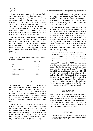Mean age between patients who had metabolic syndrome was younger than non metabolic syndrome  $(30.14 \pm 2.88 \text{ vs } 31.11 \pm 3.43)$ . Significant results in the metabolic syndrome group were found in HDL level  $(42.36 \pm 6.99 \text{ vs } 10^{-12})$ 48.68  $\pm$  11.93, p = 0.04) and triglyceride (195.27  $\pm$ 10.41 vs  $101.26 \pm 4.69$ , p < 0.001). Despite no significant association was found, the level of AMH was higher in the metabolic syndrome group compared to the non - metabolic syndrome group  $(10.72 \pm 6.23 \text{ vs } 7.97 \pm 4.50 \text{, p} = 0.12)$ .

Independent t-test was performed to determine the association of AMH between each of variable of metabolic syndrome. Variables such as BMI, waist circumference and fasting blood glucose were not significantly associated with AMH, whereas both HDL and triglyceride were significantly associated with AMH ( $p < 0.05$ ) [Table 2]).

**Table 2.** p-value of AMH as Predictor of each Variable of Metabolic Syndrome

|                       | <b>AMH</b> p-value |
|-----------------------|--------------------|
| BMI                   | 0.05               |
| Waist circumference   | 0.08               |
| Fasting blood glucose | 0.06               |
| HDL.                  | 0.04               |
| Triglyceride          | 0.01               |

# DISCUSSION

We found no significant difference between metabolic syndrome and non metabolic syndrome in PCOS. Moreover, metabolic syndrome can be seen as early as 30 years old. This finding is consistent a previous study conducted Park which demonstrated that young PCOS Korean women with mean age of 26.5 years old were three times at risk in developing metabolic syndrome in later life.7

In this study, AMH was higher in the PCOS group. This is consistent with previous studies.3,4 In addition, the metabolic syndrome population had higher AMH levels compared to the nonmetabolic syndrome group.  $(10.72 \pm 6.23 \text{ vs } 7.97)$  $\pm$  4.50, respectively). Despite the non-sigfniciant difference (p=0.12), 25% difference in clinical view might be considered as a significant finding.

Numerous studies found that increased plasma AMH level was significantly correlated with body weight.13,14 However, we found no significant association between BMI and AMH level (p=0.05), which is consistent with a previous study conducted by Skalba et al.<sup>13</sup>

To date, there is a new finding that AMH can replaced one of the criteria diagnosis of Rotterdam, such as polycystic ovarian morphology. Wiweko et al found that AMH was proven to be significant predictor of PCOS (cutoff value = 4.19ng/ml).4 More over, AMH can be used of predictor of therapeutic response in PCOS.15 AMH was found to have significant association with fasting insulin, glucose, in women with or without PCOS. However, this study did not demonstrate significant association between fasting blood glucose with level of AMH ( $p = 0.06$ ).

It is well known that metabolic syndrome is related to the development of cardiovascular risk in later life. PCOS is not only disease of reproductive system but also a disease of metabolic. 46% women with PCOS suffer from metabolic syndrome.6,8 In addition, PCOS was associated with the development of dyslipidemia in obese women due to the increment of androgen level which may lead to atherosclerosis.<sup>10,16</sup> We found that AMH was significantly associated with HDL and triglyceride, which is in line with a previous study conducted by Skalba et al. Based on these findings, we suggest that AMH can be used as potential predictor of metabolic syndrome in PCOS. Our limitations include limited sample size. Further studies are required to make the result more useful, to treat PCOS more holistically.

# CONCLUSIONS

AMH level is associated with two markers of metabolic syndrome, triglyceride and HDL. This study demonstrates that AMH might be used as a potential predictor of metabolic syndrome in PCOS. Thus clinician can be aware and treat it as early as it can to prevent women with PCOS from developing cardiovascular event.

#### **REFERENCES**

1. Gruijters MJ, Visser JA, Durlinger AL, Themmen AP. Anti-Mullerian hormone and its role in ovarian function. Mol Cell Endocrinol. 2003; 211: 85-90.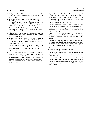- 2. Durlinger AL, Visser JA, Themmen AP. Regulation of ovarian function: the role of anti-Mullerian hormone. Reprod. 2002; 124(5): 601-9.
- 3. Dewailly D, Gronier H, Poncelet E, Robin G, Leroy M, Pigny P, et al. Diagnosis of polycystic ovary syndrome (PCOS): revisiting the threshold values of follicle count on ultrasound and of the serum AMH level for the definition of polycystic ovaries. Hum Reprod. 2011; 26(11): 3123-9.
- 4. Wiweko B, Maidarti M, Priangga M, Shafira N. AMH as a Diagnostic and Prognostic Tool of PCOS. Ferti Link presentation at Buha 2010.
- 5. Pellatt L, Rice S, Mason HD. Anti-Müllerian hormone and polycystic ovary syndrome: a mountain too high? Reprod. 2010; 139(5): 825-33.
- 6. Glueck CJ, Wang RP, Goldberg N, Sieve-Smith L. Incidence and Treatment of Metabolic Syndrome in Newly Referred Women with Confirmed polycystic Ovarian Syndrome. Metabol. 2003; 52(7): 908-15.
- 7. Park HR, Choi Y, Lee HJ, Oh JY, Hong YS, Sung YA. The metabolic syndrome in young Korean women with polycystic ovary syndrome. Diabetes Res Clin Pract. 2007; 77 Suppl 1: S243-6.
- 8. Wild R. Dyslipidemia in PCOS. Steroids. 2012; 77: 295-9.
- 9. Skalba P, Cygal A, Madej P, Dabkowska-Huc A, Sikora J, Martirosian G, et al. Is the plasma anti-Mullerian hormone (AMH) level associated with bodyweight and metabolic, and hormonal disturbances in women with and without polycystic ovary syndrome? Eur J Obstet Gynecol Reprod Biol. 2011; 158: 254-9.
- 10. Legro R, Kunselman A. Self-selected women with polycystic ovary syndrome are reproductively and metabolically abnormal and under treated. Fertil Steril. 2002; 78: 51-7.
- 11. Revised 2003 consensus on diagnostic criteria and longterm health risks related to polycystic ovary syndrome (PCOS). Hum Reprod. 2004; 19(1): 41-7.
- 12. Grundy S, Brewer H, Cleeman J, Smith S, Lenfant D. Definition of metabolic syndrome: report of the National, Heart, Lung, and Blood Institute/American Heart Association conference on scientific issues related to definition. Circul. 2004; 109: 403-38.
- 13. Freeman E, Gracia C, Sammel M, Lin H, Lim L, Strauss 3rd J. Association of anti-mullerian hormone levels with obesity in late reproductive-age-women. Fertil Steril. 2007; 87(1): 101-6.
- 14. El-Halawaty S, Rizk A, Kamal M, Aboulhassan M, Al-Sawah H, Noah O, et al. Clinical significance of serum concentration of anti-Mullerian hormone in obese women with polycystic ovary syndrome. Reprod Biomed Online. 2007; 15(5): 495- 9.
- 15. Fleming R, Harborne L, MacLaughlin DT, Ling D, Norman J, Sattar N, et al. Metformin reduces serum mullerianinhibiting substance levels in women with polycystic ovary syndrome after protracted treatment. Fertil Steril. 2005; 83(1): 130-6.
- 16. Fruzzetti F, Perini D, Lazzarini V, Parrini D, Genazzani A. Hyper androgenemia influences the prevalence of the metabolic syndrome abnormalities in adolescents with the polycystic ovary syndrome. Gynecol Endocrinol 2009; 25(5): 335-43.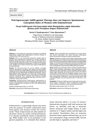# **Postlaparoscopic GnRHagonist Therapy does not Improve Spontaneous Conception Rates of Women with Endometriosis**

**Terapi GnRHagonis Postlaparoskopi tidak Meningkatkan Angka Kehamilan Spontan pada Perempuan dengan Endometriosis**

**Kevin D Tjandraprawira2, Tono Djuwantono1,2**

<sup>1</sup>Department of Obstetrics and Gynecology Faculty of Medicine Universitas Padjadjaran Dr. Hasan Sadikin General Hospital <sup>2</sup>Bandung Fertility Center, Limijati Women and Children Hospital Bandung

#### **Abstract**

**Objective**: To investigate the reproductive benefits of combining laparoscopic surgery with GnRH-agonist hormonal therapy in treating women with endometriosis.

**Methods**: This is a non-randomized prospective analytic study of patients with endometriosis conducted in a private hospital in Bandung during the period of January 2014 to December 2015, whom were later followed up after 12-24 months for assessment of post-surgical reproductive performance. A total of 121 patients were enrolled, 60 of which received post-surgical GnRH-agonist hormonal therapy.

**Results**: We discovered that 56 women (46.3%) eventually achieved spontaneous conception after surgery but upon further analysis, it was discovered that GnRH-agonist played no significantly meaningful role in improving the spontaneous pregnancy rates of these patients (OR 1.539; 95% CI 0.750-3.159; p-value 0.239). Furthermore, even though there was a wide range as to when they achieved conception, those untreated with hormonal therapy tended to conceive far more quickly than those who were  $(5.91 \pm 1.00)$ 6.28; 8.56  $\pm$  4.24; p-value: 0.011).

**Conclusion**: Post-laparoscopic GnRH-agonist administration to women with endometriosis does not significantly improve their chances of spontaneous conception. In fact, such administration seems to delay it.

[Indones J Obstet Gynecol 2017; 5-2: 87-93]

**Keywords**: endometriosis, GnRH-agonist, laparoscopy

#### **Abstrak**

**Tujuan**: Untuk menyelidiki efek reproduktif dari terapi kombinasi operasi laparoskopi dan terapi hormonal GnRh-agonis dalam manajemen perempuan dengan endometriosis.

**Metode**: Penelitian ini adalah studi analitik prospektif tidak teracak pada pasien-pasien dari sebuah rumah sakit swasta di Bandung dari tahun 2014-2015 yang menderita endometriosis dan kemudian diikuti hingga 12-24 bulan untuk mengevaluasi performa reproduktif postoperatif mereka. Terdapat 121 pasien pada penelitian ini, 60 di antaranya mendapatkan terapi hormonal GnRH-agonis post-operatif.

**Hasil**: Penelitian ini menemukan bahwa 56 pasien (46,3%) berhasil hamil setelah dilakukan laparoskopi tetapi disimpulkan bahwa GnRh-agonis tidak memainkan peranan signifikan dalam meningkatkan angka kehamilan dari pasien-pasien ini (OR 1,539; 95% CI 0,750-3,159; p 0,239). Selain itu, meskipun terdapat variasi cukup luas terkait kapan pasien-pasien ini berhasil hamil, mereka yang tidak mendapatkan GnRH-agonis cenderung berhasil hamil lebih cepat dibandingkan mereka yang dapat  $(5.91 \pm 6.28; 8.56 \pm 4.24;$ p 0,011).

**Kesimpulan**: Pemberian GnRH-agonis post-laparoskopi pada pasienpasien dengan endometriosis tidak meningkatkan kemungkinan mereka hamil dan sebaliknya, cenderung menunda kehamilan.

[Maj Obstet Ginekol Indones 2017; 5-2: 87-93]

**Kata kunci**: endometriosis, GnRH-agonis, laparoskopi

**Correspondence:** Kevin D Tjandraprawira. Email: kevintjandraprawira@gmail.com

# INTRODUCTION

Endometriosis is a gynecologic disease that stems from the presence of uterine endometrial tissue (both glands and stroma) outside the uterine cavity.1 These ectopic tissues are often planted on the pelvic viscera, e.g. ovaries, and the peritoneum. It is a disease of primarily women of reproductive age. While studies vary on its prevalence in the general population, it is estimated that endometriosis adversely affects 1 in every 10 women.2 Endometriosis acquaints itself with numerous risk factors, e.g. infertility, early age at menarche, shorter menstrual cycle length, history of endometriosis in 1st degree relative and diet high in fat and alcohol.1 Nevertheless, there are numerous protective factors against endometriosis, e.g. use of oral contraceptive drugs, increased BMI, exercise and diet high in vegetables and fruits.1,2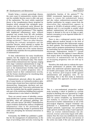Despite being a common gynecologic disease, the exact cause of endometriosis remains elusive and the available theories seem to offer only part of the explanation. The most widely supported theory is the transplantation theory proposed by Sampson which assumed that retrograde menstruation into the peritoneal cavity allowed the implantation of sloughed endometrial tissue on the pelvic viscera and/or peritoneum.1,2 This, together with heightened inflammatory state, reduced apoptosis and evasion from NK cells predation, have allowed the endometrial tissue to not just implant but also persist and flourish in their foreign territories.<sup>2,3</sup> There are other theories, including the coelomic metaplasia and the induction theories, which attempt to explain the histogenesis of endometriosis and it seems more likely that an eclectic mix of the various theories available today underlies the true pathomechanism of endometriosis.1

To date, endometriosis has many classification systems, but the original one, proposed for the ASRM remains the benchmark today. This classification divides endometriosis into 4 groups, ranging from stage I (minimal endometriosis) to stage IV (severe endometriosis). There are other systems, such as the Endometriosis Fertility Index (EFI) primarily used to predict pregnancy rates of patients based on their endometriosis severity, and the Enzian classification for classifying deep infiltrative endometriosis.4

Endometriosis adversely affects the quality of life of many females as it primarily produces pain. Various types of pain have been reported, including dysmenorrhea, dyspareunia, dyschesia and nonmenstrual pelvic pain.5 Even more unfortunate has been the revelation that the painful symptoms are only part of the misfortune befalling these patients as endometriosis is also linked to infertility.6,7

There are several causes of infertility, conveniently divided into 3 groups: ovulatory dysfunction (20-40%), tubal and peritoneal pathology (30- 40%) and male factors  $(30-40\%)$ <sup>8</sup> Endometriosis causes ovulatory dysfunction, induces a heightened inflammatory state in the peritoneum and fertilization-hampering changes in peritoneal fluid while also disrupting the hormonal interaction in the uterus.7

Fortunately, the ESHRE has published a guideline for the management of endometriosis, in the hope of providing relief and also restoring the reproductive function of the patients.9,10 The ESHRE recommends laparoscopic surgery as a means to remove the endometriosis lesions and also reduce endometriosis-associated pain.9 Another justification for surgery comes from the observation that endometriosis appears to progress in 30-60% of patients within a year of diagnosis and it is not possible to predict which patients' endometriosis will worsen. Fortunately, surgery is deemed to live up to its hype as spontaneous conception is to be expected within the 1st year post-surgery.11

There is also a widespread practice today of adding adjuvant medical therapy in the form of GnRH-agonist injections after laparoscopic surgery for these patients. This hormonal therapy should reduce and/or postpone endometriosis recurrence by inactivating, but not eliminating, the remaining microscopic endometriosis lesions.12,13 Current evidence states that this regimen is more effective than surgery alone in reducing the symptoms and recurrence of endometriosis but its effects on increasing pregnancy rate are still up to debate.14,15

Therefore, this study aims to evaluate the reproductive performance of patients with endometriosis who underwent operative laparoscopy 12- 24 months post-surgery and also the association, if any, between post-surgical GnRH agonist administration and pregnancy rates. To our knowledge, this is the first study in Indonesia that attempts this approach on endometriosis patients.

### METHOD

This is a non-randomized prospective analytic study involving a cohort of patients in a private hospital in Bandung who was operated by a single physician between January 2014 and December 2015 for various complaints, e.g. dysmenorrhea and inability to conceive and subsequently discovered to harbor endometriosis as one of the post-surgical diagnoses. Surgical treatment was performed in a standardized manner following hospital protocols. Laparoscopy was performed under general anesthesia using a 4-port approach. When an ovarian endometrioma(s) was discovered, ovarian cystectomy began with adhesiolysis. Once the ovary was mobilized, the ovarian cortex was grasped with forceps and incision of the cortex was made. If the cyst was opened and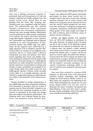there was a spillage, peritoneal irrigation as performed. Upon cyst decompression, its wall was exposed, inspected and finally stripped from the normal ovarian tissue. Should there be any bleeding from the cortex after stripping, such bleeding zones were coagulated using the bipolar forces. The endometrioma was then removed through a 10-mm trocar. When a peritoneal endometriosis was encountered, endometriosis removal was done through ablation. Adhesiolysis was first performed to obtain proper visualization of the lesions. The lesions were then destroyed using either bipolar coagulation or laser vaporization. Vaporization was continued until no pigment remained to be seen.16 Documentation of endometriosis location and rASRM stage was undertaken. All the surgeries were undertaken by a single physician (T.D) to minimize operator bias. Routine follow-up consisted of an obligatory postoperative visit at 1-2 weeks where a physical examination was done and patients were questioned regarding their bowel and bladder functions. Planning on whether to treat the patient with an adjuvant hormonal therapy (i.e., GnRH-agonist injections) was made during this consultation and should a patient be recommended to undergo such therapy, a repeat consultation was arranged at 2-4 weeks during which she would receive her first GnRH-agonist injection. Patients would normally receive either 3 or 4 monthly injections, and the decision to assign which regimen to which patients was subject to the physician's (T.D) clinical assessment.

Women identified as having endometriosis of any rASRM stage were then contacted by telephone from November to December 2016 (on at least 2 separate days for those who didn't respond to our first call) and were requested, by phone, for their consent to participate in the study and divulge their post-surgical reproductive performance. The following items were collected during the interviews: any pregnancy and/or abortion postsurgery; any additional GnRH-agonist injection(s) post-surgery for those whose records were incomplete and/or who had to receive their monthly injections elsewhere due to various reasons; and details of the pregnancy and its outcome for those who did conceive which included the last menstrual date, mechanism of pregnancy (spontaneous conception, intrauterine insemination (IUI), IVF/ ICSI)), gender of the child, weight and length of the child at delivery, date of delivery, means of delivery and site of delivery.

Initially, 166 eligible patients were identified from our 2014-2015 databases to participate in this study. However, 45 patients had to be opted out due to one or more of the following reasons: the patient did not respond to telephone calls on 2 separate days; the patient's contact numbers were inactive, out of reach or incorrect; the patient already had children prior to surgery and did not desire to conceive again; the patient was already > 42 years old at the time of surgery; the patient was widowed prior to surgery and did not remarry; the patient was unmarried until the time of follow-up and the patient's successful conception was by assisted reproduction technology (ART). In the end, 121 patients were included in the final cohort for analysis.

Data were then recorded in a purpose-built database on Microsoft Excel with subsequent statistical analysis undertaken with Statistical Package for Social Sciences (SPSS), version 21. An 80% power was assigned at the beginning of the study, which determined the sample size for each group. Shapiro-Wilk's test was then used to determine the data's normality. Chi-squared and Mann-Whitney U tests were later used to analyze the data. Finally, probability values of less than 5% were considered statistically significant.

# RESULTS

| <b>Table 1.</b> Demographics of Study Population |
|--------------------------------------------------|
|                                                  |

| <b>Variables</b>                  | $GnRH$ -agonist $(+)$ | GnRH-agonist (-) | p-value (Sig.) |
|-----------------------------------|-----------------------|------------------|----------------|
| Age during surgery (mean SD)      | $29.88 \pm 3.87$      | $31.62 \pm 3.93$ | 0.014          |
| Pre-surgical reproductive history |                       |                  |                |
| Parturition                       |                       |                  |                |
| 0                                 | 52                    | 56               |                |
| $\geq 1$                          | 8                     |                  |                |
|                                   |                       |                  |                |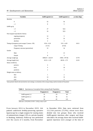| <b>Variables</b>                                  | GnRH-agonist (+)     | GnRH-agonist (-)  | p-value (Sig.) |
|---------------------------------------------------|----------------------|-------------------|----------------|
| Abortion                                          |                      |                   |                |
| $\boldsymbol{0}$                                  | 52                   | 56                |                |
| $\geq 1$                                          | $\, 8$               | 5                 |                |
| GnRH-ag inj.                                      |                      |                   |                |
| $\leq 3$                                          | 27                   | N/A               |                |
| $\geq 4$                                          | 34                   | N/A               |                |
| Post-surgical reproductive history                |                      |                   |                |
| ongoing pregnancy                                 | 12                   | 5                 |                |
| parturition                                       | 15                   | 16                |                |
| abortion                                          | $\overline{4}$       | $\overline{4}$    |                |
| Timing of pregnancy post-surgery* (mean $\pm$ SD) | $8.56 \pm 4.24$      | $5.91\pm6.28$     | 0.011          |
| range of timing                                   | $(3-21)$             | $(0-26)$          |                |
| Pregnancy outcome (parturition)                   | 15                   | 16                |                |
| Gender                                            |                      |                   |                |
| Male                                              | $\overline{7}$       | 13                |                |
| Female                                            | 8                    | 3                 |                |
| Average weight (g)                                | $3008.67 \pm 326.49$ | $2980 \pm 397.06$ | 0.770          |
| Average length (cm)                               | $49.13 \pm 1.25$     | $48.38 \pm 1.79$  | 0.232          |
| Status at delivery                                |                      |                   |                |
| preterm                                           | $\boldsymbol{4}$     | 5                 |                |
| term                                              | $\overline{9}$       | 10                |                |
| postterm                                          | 2                    | $\mathbf{1}$      |                |
| Weight status at delivery                         |                      |                   |                |
| SGA                                               | $\mathbf{1}$         | $\overline{2}$    |                |
| AGA                                               | 14                   | 14                |                |
| LGA                                               | $\boldsymbol{0}$     | $\boldsymbol{0}$  |                |

\*some patients' details who had abortion were missing, so calculation of the average timing could not include all 56 patients

|  |  |  | Table 2. Spontaneous Conception Rates among Study Population |  |
|--|--|--|--------------------------------------------------------------|--|
|--|--|--|--------------------------------------------------------------|--|

|                       | Pregnant $(+)$ | Pregnant (-) | <b>Total</b> |
|-----------------------|----------------|--------------|--------------|
| $GnRH$ -agonist $(+)$ | 31             | 29           | 60           |
| GnRH-agonist (-)      | 25             | 36           | 61           |
| Total                 | 56             | 65           | 121          |

Odd-ratio: 1.539 (95% CI 0.750 - 3.159), p-value: 0.239

From January 2014 to December 2015, 166 patients underwent fertility-preserving operative laparoscopy by a single surgeon for varying states of endometriosis (stages I-IV) at a private hospital in Bandung, Indonesia. Follow-up was performed over the course of 2 months, from November to December 2016. Data were retrieved from 121/166 patients (72.9%), whom were then divided into two groups: those who received GnRH-agonist injections after surgery and those who didn't. On average, those who received GnRHagonist injections were younger at the time of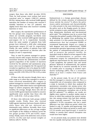surgery than those who didn't (p-value 0.014). Then, for both groups, most women had never conceived prior to surgery (108/121 patients, 89.3%). Among those who received GnRH-agonist injections, the number of women who received 3 monthly injections or less (27 patients) was slightly lower than those who received 4 monthly injections or more.

After surgery, the reproductive performances of the two groups were compared. Firstly, of those whom are currently pregnant, two-thirds come from those who received GnRH-agonist injections post-surgery (12 to 5, respectively). Secondly, about the same number of patients from both groups have delivered a child after undergoing laparoscopic surgery (15 and 16, respectively). Finally, the same number of patients from both groups have experienced an abortion after the surgery (4 and 4, respectively).

Thus, in total 56 patients managed to spontaneously conceive after surgery. However, when the association between the administration of GnRHagonist (regardless of the number of injections received by the patients) and spontaneous pregnancy rates was investigated, the Chi-squared test revealed no significant role to be played by GnRHagonist injections in increasing spontaneous pregnancy rate (OR 1.539; 95% CI 0.750-3.159; p-value 0.239).

Of those who did conceive though, there was a wide range as to when they managed to conceive. Some conceived immediately after surgery (a patient managed to conceive within a single month after surgery) while others had to wait significantly longer to achieve pregnancy (the longest was 26 months). On average, though, those who did not receive GnRH-agonist injections tended to conceive significantly more quickly than those who did  $(5.91 \pm 6.28; 8.56 \pm 4.24;$  p-value: 0.011).

Of those who delivered, both groups yielded notable results. Firstly, those who received GnRH-agonist injections had more female children while those who did not, delivered predominantly male children. Secondly, there were no significant differences on the average weights and lengths of the children at delivery across the two groups (p-value 0.770 and 0.2332, respectively). Finally, most of the deliveries were at term (19/31; 61.3%) and had normal weights at delivery (28/31; 90.3%)

# DISCUSSION

Endometriosis is a benign gynecologic disease defined by the ectopic presence of endometrial tissue outside the uterus. $8$  It affects the pelvic viscera and/or peritoneum and characteristically, it is often present in the most declivitous parts of the pelvis, such as the Douglas pouch. Its characteristic symptom is pain, manifesting as dysmenorrhea, dyspareunia, dyschesia and non-menstrual pelvic pain.5 The symptoms may be so severe that it degrades the patient's quality of life (QoL) as well as debilitating the patient from performing her daily activities. It is this painful characteristic of endometriosis that has prompted ESHRE to recommend laparoscopic surgery as a means to both diagnose and treat endometriosis.<sup>9</sup> ESHRE recommends operative laparoscopy to both relieve the patient of endometriosis-associated pain as well as preserve the patient's fertility. An Australian study by Abbott et al lent support to this ESHRE recommendation as patients who underwent surgery for endometriosis reported significant improvement for the above-mentioned 4 pain symptoms, the patient's QoL and sexual pleasure. Relieved of endometriosis, the patients later should try to conceive naturally for at least 12 months prior to resorting to assisted reproductive technology (ART). This is a recommendation of at least 2 studies from France and Australia.5,11

In the present study, 56 out of 121 patients (46.3%) managed to conceive naturally. This is a comparable rate of conception when compared to a study in Australia in which they analyzed the spontaneous conception rate among nurses who underwent laparoscopic surgery for endometriosis and got a spontaneous conception rate of 46.5%  $(66/142 \text{ patients})$ .<sup>10</sup> In addition, our results are slightly more superior to another similar study in Korea, in which they analyzed the natural conception rate among women who had their endometriosis surgically removed.17 The Korean study exhibited a 41.4% conception rate but a major difference was their follow-up period, which was limited to only 12 months post-laparoscopy. Had they extended the follow-up period to match ours (12-24 months post-laparoscopy), it would be realistic to assume their natural conception rate would have been higher.

In our present study, our patients were divided into two equally sized groups: those who received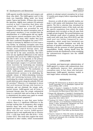GnRh-agonist monthly injections post-surgery and those who didn't. The GnRH-agonist used in this study was leuprolide, falling under two brand names: Tapros and Divalin . Of those who received the injections, slightly more patients (34 patients) received at least 4 injections than those who received only 3 injections or less (27 patients). When this exposure was accounted for and compared towards the natural conception rates of each group's members, it was revealed that the administration of a GnRH-agonist did not significantly improve natural conception rates. This is in agreement with many other studies that have also been conducted throughout the years.14,18-21 A study in Germany by Alkatout et al even went a step further, by analyzing conception rates from women with endometriosis treated with hormonal therapy alone, surgical therapy alone, and combined surgical-hormonal therapy. The results they had led to the same conclusion, that there were not any significant differences in the natural conception rates across the 3 different groups.14 In fact, this result is to be expected, as the primary rationale to prescribe GnRH-agonist injections after laparoscopic surgery is to prevent endometriosis recurrence by inactivating any remaining microscopic endometriosis lesions and not to directly improve fertility.<sup>22,23</sup> The mechanism by which GnRh-agonist administration prevent sendometriosisre currence is by abolishing the pulsatile release of follicle-stimulating hormone (FSH) and luteinizing hormone (LH), thereby inactivating the ectopic endometrial lesions which would otherwise grow along the pulsatile FSH and LH secretion. $24$  However, it is important to stress that such hormonal therapy only function to inactivate and not eliminate the ectopic endometrial lesions. GnRH-agonist and all forms of hormonal therapy place the ectopic endometrial tissue in a quiescent state and as long as the drug is administered, the patient may expect to remain free of endometriosis symptoms.13

It is interesting to note that upon further analysis, there is a significant difference in the average waiting time to pregnancy after surgery between those who were treated with GnRHagonist and those who were not. In our results, those who did not receive GnRH-agonist injections had to wait significantly less to conceive  $(5.91 \pm 6.28)$  than those who did  $(8.56 \pm 4.24)$ , p-value: 0.011. This result does support the views expressed in other studies, which recommended patients to attempt natural conception for at least 12 months post-surgery before requesting the help of ART.10,11

However, as with all other scientific studies, our study is still replete with limitations from various aspects. The first is selection bias, introduced by the non-randomized nature of this study and also the specific population from which the study participants were recruited, as they all came from a single private hospital. The second limitation was the relatively small cohort of patients this study could work with (only from 2014-2015) and this small pool was further hampered by nonresponders, which would have introduced non response bias. Another limitation was with the presence of possible confounders, e.g. male factor infertility and the presence of other gynecologic comorbidities. Finally, missing details from the medical records also disallowed us from stratifying the endometriosis diagnosis into the rASRM classification.

# **CONCLUSION**

To conclude, post-laparoscopic administration of GnRH-agonist to women with endometriosis does not significantly improve their spontaneous conception rates. In fact, those who had postlaparoscopic GnRH-agonist injections tended to wait longer before eventually conceiving.

# **REFERENCES**

- 1. D'Hooghe TM. Endometriosis. In: Berek JS, editor. Berek & Novak's Gynecology. 14nd ed. Philadelphia: Lippincott Williams & Wilkins; 2007: 1138-85.
- 2. Viganò P, Parazzini F, Somigliana E, Vercellini P. Endometriosis: epidemiology and aetiological factors. Best Practice & Research, Clin Obstet Gynecol. 2004; 18(2): 177-200.
- 3. Margari KM, Zafiropoulos A, Hatzidaki E, Giannakopoulou C, Arici A, Matalliotakis I. Peritoneal fluid concentrations of beta-chemokines in endometriosis. Eur J Obstet Gynecol Reprod Biol. 2013; 169(1): 103-7.
- 4. Tinneberg H-R, Tuttlies F, Berkes E, Krombach GA, Hackethal A, Konrad L, et al. Classification of Endometriosis. In: Harada T, editor. Endometriosis: Pathogenesis and Treatment. Tokyo: Springer Japan; 2014: 341-62.
- 5. Abbott JA, Hawe J, Clayton RD, Garry R. The effects and effectiveness of laparoscopic excision of endometriosis: a prospective study with 2-5 year follow up. Hum Reprod. 2003; 18(9): 1922-7.
- 6. Prescott J, Farland LV, Tobias DK, Gaskins AJ, Spiegelman D, Chavarro JE, et al. A prospective cohort study of endometriosis and subsequent risk of infertility. Hum Reprod. 2016; 31(7): 1475-82.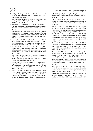- 7. de Ziegler D, Borghese B, Chapron C. Endometriosis and infertility: pathophysiology and management. The Lancet. 2010; 376(9742): 730-8.
- 8. Fritz MA, Speroff L. Clinical Gynecologic Endocrinology and infertility. 8th ed. Philadelphia: Lippincott Williams and Wilkins; 2011: 1221-48.
- 9. Dunselman GAJ, Vermeulen N, Becker C, Calhaz-Jorge C, D'Hooghe T, De Bie B, et al. ESHRE guideline: management of women with endometriosis. Hum Reprod. 2014; 29(3): 400-12.
- 10. Nesbitt-Hawes EM, Campbell N, Maley PE, Won H, Hooshmand D, Henry A, et al. The Surgical Treatment of Severe Endometriosis Positively Affects the Chance of Natural or Assisted Pregnancy Postoperatively. Bio Med Research Int. 2015; 2015: 7.
- 11. Fuchs F, Raynal P, Salama S, Guillot E, Le Tohic A, Chis C, et al. Fertilité après chirurgie cœlioscopique de l'endométriose pelvienne chez des patientes en échec de grossesse. J Gynécol Obstét Biol Reprod. 2007; 36(4): 354-9.
- 12. Khan KN, Kitajima M, Hiraki K, Fujishita A, Sekine I, Ishimaru T, et al. Changes in tissue inflammation, angiogenesis and apoptosis in endometriosis, adenomyosis and uterine myoma after GnRH agonist therapy. Hum Reprod. 2010; 25(3): 642-53.
- 13. Somigliana E, Busnelli'A, Benaglia L, Vigano P, Leonardi M, Paffoni A, et al. Postoperative hormonal therapy after surgical excision of deep endometriosis. Eur J Obstet Gynecol Reprod Biol. 2017; 209: 77-80.
- 14. Alkatout I, Mettler L, Beteta C, Hedderich J, Jonat W, Schollmeyer T, et al. Combined surgical and hormone therapy for endometriosis is the most effective treatment: prospective, randomized, controlled trial. J Minimal Invasive Gynecol. 2013; 20(4): 473-81.
- 15. Sõritsa D, Saare M, Laisk-Podar T, Peters M, Sõritsa A, Matt K, et al. Pregnancy Rate in Endometriosis Patients according to the Severity of the Disease after Using a Combined Approach of Laparoscopy, GnRH Agonist Treatment and in vitro Fertilization. Gynecol Obstet Investi. 2015; 79(1): 34-9.
- 16. Jadoul P, Kitajima M, Donnez O, Squifflet J, Donnez J. Surgical treatment of ovarian endometriomas: state of the art? Fertil Steril. 98(3): 556-63.
- 17. Lee HJ, Lee JE, Ku S-Y, Kim SH, Kim JG, Moon SY, et al. Natural conception rate following laparoscopic surgery in infertile women with endometriosis. Clin Exp Reprod Med. 2013; 40(1): 29-32.
- 18. Bianchi S, Busacca M, Agnoli B, Candiani M, Calia C, Vignali M. Effects of 3 month therapy with danazol after laparoscopic surgery for stage III/IV endometriosis: a randomized study. Hum Reprod (Oxford, England). 1999; 14(5): 1335-7.
- 19. Vercellini P, Crosignani PG, Fadini R, Radici E, Belloni C, Sismondi P. A gonadotrophin-releasing hormone agonist compared with expectant management after conservative surgery for symptomatic endometriosis. BJOG. 1999; 106(7): 672-7.
- 20. Busacca M, Somigliana E, Bianchi S, De Marinis S, Calia C, Candiani M, et al. Post-operative GnRH analogue treatment after conservative surgery for symptomatic endometriosis stage III-IV: a randomized controlled trial. Hum Reprod. 2001; 16(11): 2399-402.
- 21. Parazzini F, Fedele L, Busacca M, Falsetti L, Pellegrini S, Venturini PL, et al. Postsurgical medical treatment of advanced endometriosis: results of a randomized clinical trial. Am J Obstet Gynecol. 1994; 171(5): 1205-7.
- 22. Zheng Q, Mao H, Xu Y, Zhao J, Wei X, Liu P. Can postoperative GnRH agonist treatment prevent endometriosis recurrence? A meta-analysis. Arch Gynecol Obstet. 2016; 294(1): 201-7.
- 23. Jee BC, Lee JY, Suh CS, Kim SH, Choi YM, Moon SY. Impact of GnRH agonist treatment on recurrence of ovarian endometriomas after conservative laparoscopic surgery. Fertil Steril. 2009; 91(1): 40-5.
- 24. Masters SB. Hypothalamic and Pituitary Hormones. In: Katzung BG, Masters SB, Anthony J. Trevor PD, editors. 11nd ed. Boston: Mc Graw Hill; Basic Clin Pharmacol. 2009; 643-63.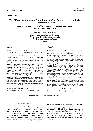# **The Efficacy of Monoplant® and Indoplant® as Contraceptive Methods: A Comparative Study**

**Efektivitas Susuk Monoplant® dan Indoplant® sebagai Kontrasepsi: Sebuah Studi Komparative**

**Eka R Gunardi, Frista Ballo**

Department of Obstetrics and Gynecology Faculty of Medicine Universitas Indonesia/ Dr. Cipto Mangunkusumo Hospital Jakarta

#### **Abstract**

**Objective**: To determine the effectiveness, safety, and time of insertion between Monoplant® with Indoplant® to prevent pregnancy.

**Methods**: Data were collected from November 2015 until May 2016 in Raden Saleh Clinic. A total of 153 patients met the inclusion and exclusion criteria for the study and were divided into 77 patients who received Monoplant® and 76 patients received Indoplant®. The study period was 6 months.

**Results**: The data obtained showed no significant difference in the effectiveness of both contraceptive methods. In addition, side effects such as menstrual disorders and weight gain did not differ significantly in those study groups. However, the time of insertion between Monoplant® and Indoplant® was siginificantly different (162.91 + 197.04 + 49.81 seconds versus 44.96 seconds, p<0.001). For complications such as skin irritation, inflammation, there are no differences between Monoplant® (0.0%) and Indoplant® users (0.0%).

**Conclusion**: There are no significant differences in efficacy and side effects using Monoplant® and Indoplant® during the 6-month follow-up. However, the insertion time of Monoplant® is shorter compared to Indoplant®'s. Monoplant® can be considered for use as contraception with the effectiveness and side effects are almost the same, but with shorter time of insertion compared to Indoplant®.

[Indones J Obstet Gynecol 2017; 5-2: 94-98]

**Keywords**: contraception, implant, indoplant®, monoplant®

#### **Abstrak**

**Tujuan**: Untuk mengetahui efektivitas, keamanan penggunaan, dan waktu penyisipan antara Monoplant® dibandingkan dengan Indoplant® untuk mencegah kehamilan.

**Metode**: Pengambilan data dilakukan sejak November 2015 hingga Mei 2016 di Klinik Raden Saleh. Sebanyak 153 pasien memenuhi kriteria inklusi dan eksklusi penelitian dan dibagi menjadi 77 pasien yang menerima susuk Monoplant® dan 76 pasien menerima susuk Indoplant®. Penelitian dilakukan secara kohort prospektif hingga observasi selama 6 bulan.

**Hasil**: Data yang didapat menunjukkan tidak terdapat perbedaan bermakna pada efektivitas yaitu kejadian hamil pada penggunaan Monoplant® dan Indoplant®. Selain itu, efek samping seperti gangguan haid dan kenaikan berat badan tidak berbeda bermakna pada kedua kelompok penelitian. Namun, waktu penyisipan antara Monoplant® dan penyisipan Indoplant® (162,91 + 49,81 detik vs 197,04 + 44,96 detik, p<0,001) berbeda secara berkmakna. Untuk komplikasi sepert iritasi kulit, peradangan, tidak terdapat perbedaan komplikasi pada saat penyisipan Monoplant® (0,0%), dan Indoplant® (0,0%).

**Kesimpulan**: Tidak terdapat perbedaan bermakna pada efektivitas serta efek samping pada penggunaan Monoplant® dan Indoplant® selama 6 bulan follow-up. Namun, waktu penyisipan lebih singkat untuk penggunaan Monoplant® dibandingkan Indoplant®. Dapat dipertimbangkan untuk menggunakan Monoplant® sebagai implan untuk kontrasepsi dengan efektifitas dan efek samping yang hampir sama, namun waktu penyisipan yang lebih singkat dibanding Indoplant®.

[Maj Obstet Ginekol Indones 2017; 5-2: 94-98] **Kata kunci**: indoplant®, kontrasepi, monoplant®, susuk

**Correspondence:** Frista Ballo. frista\_ballo@yahoo.co.id

# INTRODUCTION

Every contraceptive method has advantages and disadvantages. The advantages of implant are high effectiveness, long-term usage, convenient usage, minimal maintenance, quickly returned after releasing the implant, minimal metabolic effects, and relatively low cost. Limitations of the implant are menstrual disorders, requiring surgical procedures for insertion and removal, and no providing of protection against sexually transmitted infections. The side effects are the main reason that women stop using implants. The side effects include irregular or prolonged bleeding, headaches, mood swings, weight gain, depression or anxiety, acne, abdominal discomfort, and pain in the area of insertion.1-8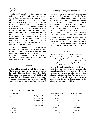Indoplant® has already been marketed in Indonesia since 2005 and gets good response among family planning users in Indonesia. Indoplant®, consistsed of two rods, is reported to have an effective and safe contraceptive based on research.9 Monoplant® is a contraceptive implant containing the same hormonal content as Norplant® but have different packaging because it consists only one rod. Monoplant® is expected to be one of the more desirable contraceptive method because the packaging is simpler which is expected easier insertion and removal. Therefore, it is needed to study further about comparison of the effectiveness and safety of new contraceptive implant that consists of one rod, which is Monoplant®, with Indoplant®.

From the background, it can be formulated whether there are differences in effectiveness. safety, and the time of insertion between Monoplant® compared with Indoplant®. This study aims to determine the effectiveness, safety, and time of insertion between Monoplant® with Indoplant® to prevent pregnancy.

### **METHODS**

A double-blind randomized clinical trial was used. The affordable population were implant acceptors in Family Planning Clinic, RSUPN Dr. Cipto Mangunkusumo from August 1st, 2015 until August 31st, 2018. Inclusion criteria of this study were reproductive age women between 20 and 35 years, healthy, not in a pregnant, had active sexual

April 2017 **The efficacy of monoplant**® and indoplant® 95

intercourse, not used hormonal contraception within 6 months, explained and signed informed consent, were willing to do repetitive visits, and were only using implant as a contraceptive during the three years period of study. Exclusion criteria were having a family history of any type of cancer, abnormal uterine bleeding, cardiovascular problem, mental disorders, tuberculosis, frequent headaches, history of liver disease or active liver disease, using drugs that induce liver enzymes, having high blood pressure, and severe hirsutism.

Data were collected using consecutive sampling. If the corresponding patients were available, they would be recruited as a research subject. Processing and data analysis were performed using the software "SPSS for Windows" version 20.0.

# RESULTS

After the data were collected prospectively in Obstetrics and Gynecology clinic, RSCM, we obtained 153 subjects with 77 subjects of Monoplant® and 76 subjects of Indoplant®. At 1-month follow-up, there were three subjects that is loss-tofollow-up and 16 subjects had not yet reached the period of 1 month during the study period. At 3 month follow-up, there were two subjects who dropped out of the study because they developed intolerable side effects including drastic weight gain and continuous spotting. At 6-month followup, there were four subjects that can be assessed when writing this report. Characteristics of the subjects are presented in Table 1.

**Table 1.** Characteristics of the Subjects

| <b>Characteristics</b> |                 | Monoplant <sup>®</sup> ( $n=77$ ) | Indoplant <sup>®</sup> ( $n=76$ ) |
|------------------------|-----------------|-----------------------------------|-----------------------------------|
| Age                    | 18-19 years old | 0(0.0)                            | 1(1.3)                            |
|                        | 20-24 years old | 15(19.5)                          | 15(19.7)                          |
|                        | 25-29 years old | 22 (28.6)                         | 26 (34.2)                         |
|                        | 30-34 years old | 35(45.5)                          | 28 (36.8)                         |
|                        | 35-40 years old | 5(6.5)                            | 6(7.9)                            |
| Weight (kg)            |                 | $58.78 \pm 11.59$                 | $56.99 \pm 12.52$                 |
| Height (cm)            |                 | $155.31 \pm 6.42$                 | $154.93 \pm 5.25$                 |
| BMI $(kg/m2)$          |                 | $24.37 \pm 4.57$                  | $23.70 + 4.74$                    |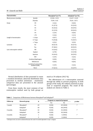| Characteristics           |                                        | Monoplant <sup>®</sup> (n=77) | Indoplant <sup>®</sup> ( $n=76$ ) |
|---------------------------|----------------------------------------|-------------------------------|-----------------------------------|
| Blood pressure (mmHg)     | Systolic                               | $115.06 \pm 12.51$            | $116.47 \pm 14.45$                |
|                           | Diastolic                              | $75.90\pm9.43$                | $75.64 \pm 10.71$                 |
| Parity                    | P <sub>0</sub>                         | 2(2.6)                        | 0(0.0)                            |
|                           | P1                                     | 21 (27.3)                     | 25 (32.9)                         |
|                           | P <sub>2</sub>                         | 34 (44.2)                     | 30 (39.5)                         |
|                           | P <sub>3</sub>                         | 15 (19.5)                     | 20 (26.3)                         |
|                           | <b>P4</b>                              | 3(3.9)                        | 0(0.0)                            |
|                           | $>$ P4                                 | 2(2.6)                        | 1(1.3)                            |
| Length of menstruation    | < 3 days                               | 0(0.7)                        | 1(1.3)                            |
|                           | 3-7 days                               | 73 (94.8)                     | 72 (94.7)                         |
|                           | > 7 days                               | 4(5.2)                        | 3(3.9)                            |
| Lactation                 | N <sub>o</sub>                         | 40 (51.9)                     | 36 (47.4)                         |
|                           | Yes                                    | 37 (48.1)                     | 40 (52.9)                         |
| Last contraceptive method | Pill                                   | 14 (18.2)                     | 13 (17.1)                         |
|                           | Implant                                | 6(7.8)                        | 12 (15.8)                         |
|                           | Injection                              | 34 (44.2)                     | 30 (39.5)                         |
|                           | <b>IUD</b>                             | 3(3.9)                        | 2(2.6)                            |
|                           | Condom/diaphragma                      | 0(0.0)                        | 2(2.6)                            |
|                           | Withdrawal                             | 0(0.0)                        | 0(0.0)                            |
|                           | Lactational amenorrhea<br>method (LAM) | 3(3.9)                        | 2(2.6)                            |
|                           | Never                                  | 17 (22.1)                     | 15 (19.7)                         |

Normal distribution of data presented in mean  $±$  standard deviations; abnormal distribution data presented in median (minimum - maximum); categorical data are presented in the amount (percentage).

From these results, the most common of last contraceptive method used by both groups as much as 34 subjects (44.2 %).

The effectiveness of a contraception assessed through the ability to prevent pregnancy. In both groups of the study, the subjects assessed as pregnant or suspected pregnant. The result of the analysis are shown in Table 2.

| Table 2. Comparison of Effectiveness between Monoplant® and Indoplant® |  |  |
|------------------------------------------------------------------------|--|--|
|                                                                        |  |  |

| <b>Follow-up</b> | Research group         | N  | Pregnant or suspected pregnant |                | p value    |
|------------------|------------------------|----|--------------------------------|----------------|------------|
|                  |                        |    | Yes                            | N <sub>0</sub> |            |
| 1 month          | Monoplant <sup>®</sup> | 69 | 0(0.0)                         | 69 (100.0)     | $_{\star}$ |
|                  | Indoplant®             | 68 | 0(0.0)                         | 68 (100.0)     |            |
| 3 months         | Monoplant <sup>®</sup> | 32 | 0(0.0)                         | 32 (100.0)     | $\cdot^*$  |
|                  | Indoplant <sup>®</sup> | 30 | 0(0.0)                         | 30(100.0)      |            |
| 6 months         | Monoplant <sup>®</sup> |    | 0(0.0)                         | 1(100.0)       | $\cdot^*$  |
|                  | Indoplant <sup>®</sup> | 3  | 0(0.0)                         | 3(100.0)       |            |

\* Chi-Square test can not be conducted because the result of variable dependent is only 1 category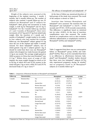Weight of the subjects were assessed at the beginning of the implant insertion, 1 month, 3 months, and 6 months follow-up. The number of subjects who reached 1-month follow-up was 35 subjects for Monoplant® and 37 subjects for Indoplant®. Both group had increments in body weight, ie 0.85 kg for Monoplant® and 0.5 kg to Indoplant®. For the 3-month follow-up, insertion of 1 and 3 months of Monoplant®, there were increments of 0.27 kg and 0.57 kg from initial body weight. After the insertion of 1 month and 3 months of Indoplant®, weight tended to be stable. In four subjects who had reached the 6-month follow-up, one Monoplant<sup>®</sup> subject gained 0.5 kg since the use of the implant and stable 3 months onward. For three Indoplant® subjects, two of which gained 2 kg and 1 subjects gained 1 kg. It should be noted that there was one Monoplant® subject who dropped our study because she gained 11 kg in one month. The average weight gained in 3000 acceptors in China that used Norplant® was 2.5 kg.11 Within three years of usage of LNG implant, the mean weight changed as much as 0.6 to 0.8 kg, of which 49.6 and 52.2% women in the study had gain 1 kg or more, while 29.5 and 29.7% decreased body of 1 kg or more.<sup>12</sup>

At the time of follow-up, menstrual disorders of both groups of the study were assessed. The result of the analysis is shown in Table 3.

Insertion time between Monoplant® and Indoplant® were assessed. The insertion time for Monoplant<sup>®</sup> and Indoplant<sup>®</sup> is 162.91  $\pm$  49.81 seconds and  $197.04 \pm 44.96$  seconds consecutively. This difference is significant based on statistical test (p value <0.001). At the time of insertion, complications were also assessed. The results showed no complications such as skin irritation, infection, inflammation, or anaphylactic reaction in Monoplant<sup>®</sup> (0.0%) and Indoplant<sup>®</sup> (0.0%).

# DISCUSSION

Table 2 suggested that there was no contraceptive failure at Monoplant<sup>®</sup> group  $(0.0\%)$  and Indoplant® (0.0%). Thus, it can be concluded that there is no difference in effectiveness between Indoplant® and Monoplant®. Another studies showed that there were two Indoplant<sup>®</sup> subjects  $(0.7%)$ who experienced pregnancy during  $36$  months<sup>9</sup> and no pregnancy found in 30 Monoplant® subjects at 6 months follow-up.10

**Table 3.** Comparison of Menstrual Disorders in Monoplant® and Indoplant®

| <b>Follow-up</b> | Characteristics |                    | <b>Monoplant®</b> | <b>Indoplant®</b> | p value            |
|------------------|-----------------|--------------------|-------------------|-------------------|--------------------|
| 1 month          | Dismenorrhea    | Yes                | 6(8.7)            | 24(2.9)           | 0.274              |
|                  |                 | No                 | 63 (91.3)         | 30 (97.1)         |                    |
|                  | Menstruation    | Amenorrhea         | 26 (37.7)         | 27 (39.7)         | 0.931              |
|                  |                 | Shorter than usual | 9(13.0)           | 8(11.8)           |                    |
|                  |                 | Normal/usual       | 21 (30.4)         | 18 (26.5)         |                    |
|                  |                 | Longer than usual  | 13 (18.8)         | 15 (22.1)         |                    |
| 3 months         | Dismenorrhea    | Yes                | 1(3.1)            | 0(0.0)            | 1.000a             |
|                  |                 | No                 | 31 (96.9)         | 30 (100.0)        |                    |
|                  | Menstruation    | Amenorrhea         | 9(28.1)           | 10 (33.3)         | 0.937 <sup>b</sup> |
|                  |                 | Shorter than usual | 3(9.4)            | 3(10.0)           |                    |
|                  |                 | Normal/usual       | 8(25.0)           | 8(26.7)           |                    |
|                  |                 | Longer than usual  | 12 (37.5)         | 9(30.0)           |                    |
| 6 months         | Dismenorrhea    | Yes                | 0(0.0)            | 0(0.0)            | $\cdot^*$          |
|                  |                 | No                 | 1(100.0)          | 3(100.0)          |                    |
|                  | Menstruation    | Amenorrhea         | 1(100.0)          | 1(33.3)           | 1.000              |
|                  |                 | Shorter than usual | 0(0.0)            | 0(0.0)            |                    |
|                  |                 | Normal/usual       | 0(0.0)            | 2(66.6)           |                    |
|                  |                 | Longer than usual  | 0(0.0)            | 0(0.0)            |                    |

<sup>a</sup>T-dependent test, <sup>b</sup>Fisher test, \*Chi-Square test can not be conducted because the result of variable dependent is only 1 category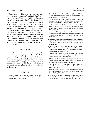There were no differences in menstrual disorders between Monoplant® and Indoplant® at 1, 3, and 6 months follow-up. In addition, there was one subject using Monoplant® who dropped out due to exessive spotting. In both groups, there were increased percentage of subjects with longer menstrual duration. This is contrast with a study conducted by Affandi  $B<sup>9</sup>$  in Indonesia which compared Norplant® and Indoplant®. It is reported that were an increment in the percentage of subjects with shorter periods than usual from the beginning, 12, 24, and 36 months follow-up. This may occur due to differences in measurement time in our study, where the follow-up were conducted at 1, 3, and 6 months, while Affandi  $B^9$  are at 12, 24, and 36 months.

#### CONCLUSION

Both implant have the same effectiveness, safety, no differences in weight gain and menstrual disorders during 1, 3, and 6 months follow-up. However, the insertion of Monoplant® are faster than Indoplant®. Monoplant® can be used as a contraceptive method with the same effectiveness and safety as Indoplant®, yet with shorter insertion time.

### REFERENCES

1. Shoupe D, Mishell DR Jr, Bopp BL, Fielding M. The significance of bleeding patterns in Norplant implant users. Obstet Gynecol. 1991; 77(2): 256-60.

- 2. Fraser IS, Tiitinen A, Affandi B, Brache V, Croxatto HB, Diaz S, et al. Norplant consensus statement and background review. Contracept. 1998; 57(1): 1-9.
- 3. Diaz J, Faundes A, Olmos P, Diaz M. Bleeding complaints during the first year of norplant implants use and their impact on removal rate. Contracept. 1996; 53(2): 91-5.
- 4. Coutinho EM, Athayde C, Barbosa I, Alvarez F, Brache V, Gu ZP, et al. Results of a user satisfaction study carried out in women using Uniplant contraceptive implant. Contracept. 1996; 54(5): 313-7.
- 5. Vekemans M, Delvigne A, Paesmans M. Continuation rates with a levonorgestrel-releasing contraceptive implant (Norplant). A prospective study in Belgium. Contracept. 1997; 56(5): 291-9.
- 6. Fleming D, Davie J, Glasier A. Continuation rates of long-acting methods of contraception. A comparative study of Norplant implants and intrauterine devices. Contracept. 1998; 57(1): 19-21.
- 7. Frank ML, Ditmore JR, Ilegbodu AE, Bateman L, Poindexter AN, 3rd. Characteristics and experiences of American women electing for early removal of contraceptive implants. Contracept. 1995; 52(3): 159-65.
- 8. Croxatto HB. Clinical profile of Implanon: a single-rod etonogestrel contraceptive implant. Eur J Contracept Reprod Health Care. 2000; 5 Suppl 2: 21-8.
- 9. Affandi B. Multi Centers Research Comparative Study of Indoplant and Norplant in Indonesia: The Faculty of Medicine of Universitas Indonesia, Gynecology; 2005.
- 10. Gu S, Du M, Zhang L, Liu Y, Wang S, Sivin I. A five-year evaluation of Norplant II implants in China. Contracept. 1994; 50(1): 27-34
- 11. Meirik O, Farley TM, Sivin I. Safety and efficacy of levonorgestrel implant, intrauterine device, and sterilization. Obstet Gynecol. 2001; 97(4): 539-47.
- 12. Fan H, Han L. A multicenter clinical comparative study of domestically produced implant contraceptives no. 1 and no. II with Norplant®. J Reprod Med 1999; 8 Suppl. 1: 47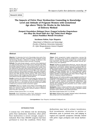# **The Impacts of Pelvic Floor Dysfunction Counseling to Knowledge Level and Attitude of Pregnant Women with Gestational Age above Thirty Six Weeks in the Selection of Delivery Method**

**Dampak Penyuluhan Disfungsi Dasar Panggul terhadap Pengetahuan dan Sikap Ibu Hamil lebih dari Tiga Puluh Enam Minggu dalam Pemilihan Metode Persalinan**

**Surahman Hakim, Fajar Ekaputra**

Department of Obstetrics and Gynecology Faculty of Medicine Universitas Indonesia/ Dr. Cipto Mangunkusumo General Hospital Jakarta

#### **Abstract**

**Objective**: To determine the level of knowledge about pelvic floor dysfunction before and after counseling in term pregnant women and knowing whether a difference a change of attitude in the selection method of delivery before and after counseling.

**Methods**: This study design using pre - post test. At the beginning of our study provide some sort of written test to determine the initial knowledge of participants prior to the extension and the selection of the desired method of delivery. Having obtained the results of the test, followed by education about pelvic floor dysfunction. Then do the post-test to determine the level of knowledge of the subject and mode of delivery that would be pursued. The study took place between February and May 2016 in 5 Public Health Center (PHC) in Jakarta that PHC Warakas (North Jakarta), PHC Tanah Abang (Central Jakarta), PHC Cengkareng (West Jakarta), PHC Jatinegara (East Jakarta) and PHC Jagakarsa (South Jakarta).

**Results**: A total of 102 study subjects who began the study gave the results of the pretest mean  $71 \pm 10.49$  (p<0.0001) and post test results of  $80.725 \pm 7.7$  (p<0.0001). Of the 102 subjects who began the study, there were two people who had previously chose method of delivery by caesarean section turned into vaginal.

**Conclusion**: There is a change scores better in knowledge about pelvic floor dysfunction after counseling. There was no significant difference between selecting the desired method of delivery before the after counseling.

[Indones J Obstet Gynecol 2017; 5-2: 99-104]

**Keywords**: fecal incontinence, pelvic floor dysfunction, sexual dysfunction, stress urinary incontinence, uterine prolapse

#### **Abstrak**

**Tujuan**: Untuk mengetahui tingkat pengetahuan seorang ibu hamil > 36 minggu yang datang ke puskesmas di wilayah DKI Jakarta tentang disfungsi dasar panggul dan apakah edukasi yang diberikan akan mempengaruhi pemilihan metode persalinan yang akan dipilihnya.

**Metode**: Penelitian ini menggunakan desain pre - post tes. Pada awal penelitian kita memberikan semacam tes tertulis untuk mengetahui pengetahuan awal peserta sebelum dilakukan penyuluhan dan pemilihan metode persalinan yang diinginkan. Setelah didapatkan hasil tes, dilanjutkan dengan pemberian edukasi tentang disfungsi dasar panggul. Kemudian dilakukan post tes untuk mengetahui tingkat pengetahuan subjek penelitian dan cara persalinan yang akan ditempuh. Penelitian ini berlangsung pada bulan Februari hingga Mei 2016 di 5 Puskesmas Wilayah DKI Jakarta.

**Hasil**: Sebanyak 102 subjek penelitian yang mengikuti penelitian ini memberikan hasil mean pre-tes 71  $\pm$  10,49 (p<0,0001) dan hasil posttes 80,725 7,7 (p<0,0001). Dari 102 subjek yang mengikuti penelitian ini, setelah mereka mendapat penyuluhan dan pengetahuan yang memilih metode persalinan secara pervaginam sebanyak 97 subjek (95,1%) dan memilih metode persalinan secara seksio sesarea sebanyak 5 orang (4,9%).

**Kesimpulan**: Bahwa terdapat perbedaan skor pengetahuan setelah dilakukan penyuluhan dan terdapat perubahan pemilihan metode persalinan antara sebelum dan sesudah penyuluhan.

[Maj Obstet Ginekol Indones 2017; 5-2: 99-104]

**Kata kunci**: disfungsi dasar panggul, disfungsi seksual, inkontinensia fekal, prolaps uteri, stres inkontinensia urin

**Correspondence:** Fajar Ekaputra; kusikafajart716@gmail.com

# INTRODUCTION

A woman has 11% lifetime risk for developing pelvic floor dysfunction. Sometimes, when pelvic floor dysfunction is severe enough, surgery is indicated. More than 300.000 surgeries had been perfomed to treat the condition. Pelvic floor

dysfunctions may lead to urinary inconticence, fecal incontinence, obstruction in miction or defecation, pain in perineal area, and bulging in vaginal area (specific symptoms clinically related with pelvic organ prolapse) and sexual dysfunction.1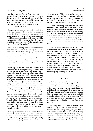As the incidence of pelvic floor dysfunction increases, the demand of cesaeran section in Nigeria also increases. There are several reasons, including labor pain (68.9%), afraid of problems that may occur during labor (60.1%), afraid of fecal incontinence incidence (20.2%) and afraid of urinary incontince incidence (16.8%).2

Pregnancy and labor are the major risk factors in the development of pelvic floor dysfunction. Never the less, women with risk factors have greater chance to develop pelvic floor dysfunction. Budi I Santoso concluded that risk factors could be determined from birth weight of the baby, history of episiotomy, second stage of labor duration, and history of perineal laceration.3

Inaccurate knowledge and understandings will make the wrong choice of delivery mode. Researchers believe that with good, correct, and comprehensive counseling, a woman will be able to choose mode of delivery more rationally and not based on the fear of pelvic floor dysfunction. Discussion about pelvic floor dysfunction needs early recognition of pelvic floor dysfunction risk factors.4

Uterovaginal prolapse can be equated to a herniation, which is the protruding of uterus into, or through the vagina caused by weakening of pelvic floor muscles and ligaments and fascia supporting the uterus. Many factors affecting strength and integrity of pelvic floor fascia will affect pelvic floor function. These factors can be congenital anomaly (such as hyperelasticity of collagen components of fascia) or environmental factors (such as distention or rupture of fascia during labor or weight bearing). Muscles in pelvic floor will experience degradation and denervation along with time. This denervation process is the cause of weakening of pelvic floor muscle. Usually, if a women experienced prolonged second stage of labor, cesarean section can protect from this injury. There is still a debate regarding cause from labor, some believe the rise from the stretch of distal pudendal nerve up to alcock canal in spina schiadica or from crushing injury on neuromuscular junction.

Urinary incontinence is a condition that can disturb all aspects in quality of life of a woman. There is an assumption that loss of bladder control due to labor and ageing is a normal thing. Generally definition and majority of urinary incontinence are when pressure of bladder exceeds pressure in urethra due to weakening urethra sphincter mechanism (urodynamic urinary incontinence) or due to high detrusor pressure (detrusor overactivity, neurogenic detrusor overactivity).

Consensus regarding classifications for sexual dysfunction in women which are sexual desire disorder where there is hypoactive sexual desire disorder, the diminished or lack of sexual fantasy and/or desire or urge to do sexual activity that persists or recurs, which cause personal distress; and there is sexual aversion disorder: rejection or avoidance of sexual contacts with partner that persists or recurrents, which caused personal distress.

There are two components which have major role in the incidence of fecal incontinence, which are anal sphincter (internal and external) and puborectalis muscle. Contraction from smooth muscle of internal anal sphincter can lasts long, in charge of closing anal canal up to 85%, and work 24 hours non stop, including when sleeping. If there is a damage in internal anal sphincter, then it is enough to cause fecal incontinence. External anal sphincter will help internal sphincter during certain sudden times; which is when there is elevation of intra abdominal pressure such as when coughing, sneezing, and more.

#### METHODS

This study used cross sectional as a study design to measure the change in knowldege score and method of delivery mode choice. In the beginning of the study, we gave a written test to know the initial knowledge of subjects before counseling was performed and choice of mode of delivery wanted. After we got the tests result, it was continued with counseling about pelvic floor dysfunction. Then post tests was done to determine level of knowledge of subjects and delivery mode they would undergo.

This study was conducted in public health centers (PHC) in DKI Jakarta, which include Warakas PHC in North Jakarta, Jatinegara PHC in East Jakarta, Tanah Abang PHC and Maternity Hospital, Cengkareng PHC in West Jakarta, and Jagakarsa PHC in South Jakarta. These public health centers were chosen for having maternity hospital facility and having the most antenatal care visitors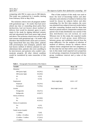April 2017 **The impacts of pelvic floor dysfunction counseling** 101

comparing with PHC in same area in DKI Jakarta. This study was conducted for 4 months, starting from February 2016 to May 2016.

The inclusion criteria were all pregnant mother with gestational age > 36 weeks that had never attend any class or counseling about pelvic floor dysfunction, had not known about method of delivery that would be planned, agree to participate in the study by signing informed consent, and had educational level from junior high school and above. The exclusion criteria were are all pregnant women with gestational age > 36 weeks with disorders that blocked birth canal such as tumors, huge hemorrhoid that may delay labor, patients with preeclampsia and eclampsia, patients that had known method of delivery planned was per abdominam labor, patients who were unwilling to be interviewed, and patients who couldn't communicate properly. All other clinical condition would be considered by main researcher of this study.

Plan of data analysis of this study was used to know the level of knowledge before and after education and selection of method of delivery that would be chosen by subjects before and after counseling. For the first data analysis, the score was obtained from subjects from test results before and after counseling. Analysis used for these data based on paired numeric comparative analysis was paired t-test if data distribution was normal. If the data distribution was not normal, we used Wilcoxon test. In this study, the expected results were mean of each group, mean difference between group, and confidence interval from the mean difference. For the analysis of selection of method of delivery chosen by subjects where subjects choice categorized into two categories, so for this data the test that will be used is McNemar test. In this study result expected were proportion in each group, comparison of proportion between group, confidence interval and p value of the comparison.

| <b>Variable</b>         | n (%)     | <b>Variable</b>     | Mean $\pm$ SD    |
|-------------------------|-----------|---------------------|------------------|
| Education               |           | Age                 | $29.59 \pm 6.2$  |
| SMP (junior high)       | 40 (39.2) |                     |                  |
| SMU (senior high)       | 50 (49.0) |                     |                  |
| D <sub>3</sub>          | 4(3.9)    |                     |                  |
| S1                      | 8(7.8)    |                     |                  |
| Employment              |           | Body weight (kg)    | $64.26 \pm 1.07$ |
| Employed                | 30 (29.4) |                     |                  |
| Unemployed              | 72 (70.6) |                     |                  |
| Gravida                 |           | Body height (meter) | $1.54 \pm 6.05$  |
| Primigravida            | 38 (37.3) |                     |                  |
| Multigravida            | 64 (62.7) |                     |                  |
| History of delivery     |           |                     |                  |
| Yes                     | 60 (58.8) |                     |                  |
| No                      | 42 (41.2) |                     |                  |
| History of complication |           |                     |                  |
| Yes                     | 4(3.9)    |                     |                  |
| $\rm No$                | 98 (96.1) |                     |                  |
| Family income (rupiah)  |           |                     |                  |
| < 1 million             | 7(6.8)    |                     |                  |
| 1 million - 2.5 million | 65 (63.7) |                     |                  |
| 2.5 million - 5 million | 27 (26.4) |                     |                  |
| > 5 million             | 3(2.9)    |                     |                  |

**Table 1.** Demographic Characteristics of the Subjects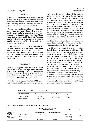# RESULTS

As many 102 respondents fulfilled inclusion criteria. All respondents performed pretest, continued with attending counseling, and ended with perfoming posttest. Demographic characteristic of subjects are presented in Table 1.

There was significant difference between respondent's knowledge about pelvic floor dysfunction before and after counseling. In this study, we achieved that pre-test score with mean 72 and post-test score mean was 80. There was 9 subjects with lower level score of knowledge, 84 subjects with higher level score of knowledge, and 9 subjects with same results.

There was significant difference of subject's delivery methods between before and after counseling. From 102 subjects, there was 9 subjects choosing abdominal delivery methods before counseling but after the counseling, 2 subjects changed their option to choose vaginal delivery method.

### DISCUSSION

A total of 102 subjects were included in this study. Most of the subjects was high-school education (49%), not working (70.6%), multigravida (62.7%), history of delivery (58.8%), absence of complications history (96.1%), and family income was about Rp 1.000.000 - 2.500.000 (63.72%).

Onkokwo NS, et al, reported that 39.6% pregnant woman from 843 subjects choosing cesarean section as a delivery method though there was no medical indication or comorbid disease that was indicated for a cesarean section. This is associated with health care facility type and educational status of subjects. In this study, most of the pregnant woman was high-school graduate (49%) and unemployed (70.6%). This research was done in primary health care facility which with the recent applied reference system, the researcher was easier to get the subjects who met the inclusion criteria than in secondary or tertiary health care facilities. In this research, compared to the previous study, the researcher not only use the physician's information, but also use the education material standardized by IUGA, where we aim to reduce mistakes in giving the information.

In this study, we would like to know whether there is improved knowledge of subjects. In this study, there is improvement in post-test score compared to pre-test score, which there was improvement in mean of score about  $9.725 \pm 2.788$ and p 0.0001. This means that most of the subjects had understand the counseling which was given about the pelvic floor dysfunction, so the subjects can acquire the knowledge and consideration about her delivery method. There was 9 subjects who has the lower post-test score compared than the pre-test score which is after the counseling. The researcher analyzed that education failure according to Clinical Training Skills for Reproductive Health Professionals that the success key of effective clinical education determined by: usage of modelling behavior, competency-based training, and human counseling technique.5

**Table 2.** Pre-test and Post-test Score Comparison

| <b>Knowledge Level</b> | Median (min, max) | <b>Mean Difference</b> |        |
|------------------------|-------------------|------------------------|--------|
| Before counseling      | 72.0 (36, 96)     | $9.725 + 2.788$        | 0.0001 |
| After counseling       | 80.0 (64.100)     |                        |        |

|  | Table 3. Selection of Delivery Method before and after Counseling |
|--|-------------------------------------------------------------------|
|  |                                                                   |

|                      |                    |                         | selection of delivery method<br>after counseling | Total       |       |
|----------------------|--------------------|-------------------------|--------------------------------------------------|-------------|-------|
| selection of         |                    | <b>Vaginal delivery</b> | <b>Abdominal delivery</b>                        |             |       |
| delivery<br>method   | Vaginal delivery   | 93                      |                                                  | 93 (91.17%) |       |
| before<br>counseling | Abdominal delivery |                         |                                                  | $9(8.83\%)$ | 0.063 |
|                      | Total              | 95 (93.1%)              | $7(6.9\%)$                                       | 102 (100%)  |       |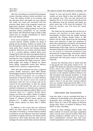After the counseling, we examined that pregnant woman choosing cesarean section procedure was 7 from 102 subjects (6.9%). If we correlate with the education factor and health care type affected this study, the result will contradict with the previous study. Most of the pregnant woman has high-school graduate (49.0%), and only a few (7.8%) which were a college graduate. So, from the education history prospective, we can conclude that woman with educational stage as high as high school have an enough consideration to choose their best delivery method.

From seven pregnant women that choose a c-section delivery method, 42.86% are afraid of getting uterine prolapse, 42.86% are afraid of the pain during labor, and the rest are afraid of getting weak pelvic floor muscles and having straining problems. Moreover, two women who had chosen to do a c-section delivery method before have changed their mind and chose pervaginam delivery instead. That's because after getting counseled and knowing the risks of getting pelvic floor dysfunction, the precautions like Kegel exercises, reduce body weight, and change of lifestyle by reduce heavy lifting, respondents switch their delivery method from c-section to vaginal delivery.

Other than that, Indonesia also have a payment system (health insurance) called BPJS (Badan Penyelenggara Jaminan Sosial) that will make sure all the medical treatments are according to indications. If someone choose a c-section delivery method but she doesn't meet the medical indications, then the cost of actions will not be insured by the government, so that the patient must pay the bill herself. The costs of c-section method in Indonesia are relatively more expensive than the normal pervaginam method. Where in our research, there are 7 subjects (6.8%) whose salaries are below one million rupiah, 65 subjects (63.7%) whose salaries are between 1 - 2.5 million rupiah, 27 subjects (26.4%) whose salaries are between 2.5 - 5 million rupiah, and 3 subjects (2.9%) whose salaries are more than 5 million rupiah.

In addition to the causes that are explained before, the other causes of the lack in awareness and rights of choosing a c-section delivery method in Indonesia are the influence from their husband and family in making a decision. The family and the husband are often make decisions that will not endanger the mom and the baby and also relatively

cheaper in costs and insured. While in Indonesia, women are more likely to obey and follow what the husband says. This was also discussed by Onkokwo NS, et. al. in his research that discovered the influences from the husband and family are pretty much big, 33.3% from the husband, 17% from the parents, and 11% from the family members.

This study has the advantage that carried out in primary care facilities in each region of the municipality of Jakarta that the sample obtained represents the Primary Health Centre in DKI Jakarta and the study subjects got the knowledge about early detection of signs and symptoms of pelvic floor dysfunction, prevention and treatment of pelvic floor dysfunction. However, there is disadvantage of this study, such as: no standarized education materials so the education materials that we use based on education guidelines from International Urogynecology Association (IUGA) so the reseachers aware that not all the subjects understand well with given content of education materials.

Because the education done in indoor hall and in big groups that each group consist of 10 - 15 people. This study was only done in Primary Health Centre where the subjects mostly use BPJS Kesehatan (Badan Penyelenggara Jaminan Sosial) insurance so the selection method of delivery was still associated with financial problems. It would require further research using more samples and conducted also in secondary and tertiary health centers where it can get more research subjects who use another financing beside BPJS so the selection method of delivery does not depend on financial terms.6

# CONCLUSION AND SUGGESTIONS

From this study, it can be concluded that there is a difference in knowledge score about pelvic floor dysfunction after counseling, where the score is better. There are 2 out of 102 subjects (1.9%) that change their choice of method of delivery from before to after counseling.

Based on these findings, further study with better method of research and larger population which covered more research location other than primary healthcare facilities need to be done so more comprehensive research data with more variative population can be acquired. Furthermore,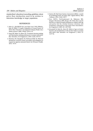standardized education/counseling guidelines about pelvic floor dysfunction need to be written to determine knowledge in larger population.

# REFERENCES

- 1. John O. L. DeLANCEY M, b, Lisa Kane Low P, RN, CNMa,b,c, Janis M. Miller P. Graphic Integration of Causal Factors of Pelvic Floor Disorders: An Integrated Lifespan Model. Am J Obstet Gynecol. 2008; 199(6): 610.e1-.e5.
- 2. Sung VW, Raker CA, Myers DL. Treatment decision-making and information-seeking preferences in women with pelvic floor disorders. Int Urogynecol J. 2010; 21(9): 1071-8.
- 3. Okonkwo NS, Ojengbede OA, Morhason-Bello IO. Maternal demand for cesarean section: perception and willingness to request by nigerian antenatal clients. Int J Women's Health. 2012: 141-8.
- 4. Santoso BI. Budi Iman Santoso Assessment (BISA): a model for predicting levator ani injury after vaginal delivery. Med J Indones. 2012; 21(2): 103-7.
- 5. Hove MCPS-t, Pool-Goudzwaard AL, Eijkemans MJC, Steegers-Theunissen RPM, Burger CW. Pelvic floor muscle function in a general female population in relation with age and parity and the relation between voluntary and involuntary contractions of the pelvic floor musculature. Int Urogynecol J 2009; 20: 1497-504.
- 6. Weemhoff M, Shek KL, Dietz HP. Effects of age on levator function and morphometry of the levator hiatus in women with pelvic floor disorders. Int Urogynecol J. 2010; 21: 1137-42.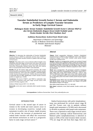# **Vascular Endothelial Growth FactorC Serum and Endostatin Serum as Predictors of Lympho Vascular Invasion in Early Stage Cervical Cancer**

**Hubungan Kadar Serum Vaskular Endothelial Growth FactorC (Serum VEGFC) dan Serum Endostatin dengan Invasi LimfoVaskuler pada Pasien Kanker Serviks Uteri Stadium Awal**

**Andhinna Rusmardiani, Syahrul Rauf, Efendi Lukas**

Department of Obstetrics and Gynecology Faculty of Medicine Universitas Hasanuddin/ Dr. Wahidin Sudirohusodo Hospital Makassar

#### **Abstract**

**Objective**: To determine the relationship of Vascular Endothelial Growth Factors-C (VEGF-C), endostatin and the ratio of VEGF-C/ endostatin with limfo vascular invasion in patient with early stage cervical cancer.

**Methods**: This study used a cross sectional method. Samples were all patients with early stage cervical cancer who came to the several teaching hospitals of Obstetrics and Gynecology Department Universitas Hasanuddin Medical Faculty that meet the criteria, then we measured the levels of VEGF-C and endostatin.

**Results**: We get 30 women with cervical carcinoma. The results showed that the serum levels of VEGF-C was higher in limfo vascular invasion positive ( $p = 0.017$ ); the ratio of VEGF-C/ endostatin higher in limfo vascular invasion positive ( $p = 0.004$ ); whereas serum levels of endostatin did not differ significantly in limfo vascular invasion positive or negative ( $p = 0.522$ ).

**Conclusion**: The level of VEGF-C and VEGF-C/ endostatin ratio was higher in patients with early stage cervical cancer with positive LVSI than negative LVSI.

[Indones J Obstet Gynecol 2017; 5-2: 105-109]

**Keywords**: cervix uteri cancer, endostatin, limfo vascular invasion, VEGF-C

#### **Abstrak**

**Tujuan**: Untuk mengetahui hubungan Vaskular Endothelial Growth Factors-C (VEGF-C) dan Endostatin serta rasio VEGF-C/ endostatin dengan invasi limfo vaskuler pada pasien kanker serviks uteri stadium awal.

**Metode**: Penelitian ini menggunakan metode cross sectional. Sampel penelitian adalah semua penderita kanker serviks uteri stadium awal yang datang ke Bagian Obstetrik dan Ginekologi Rumah Sakit Umum Pendidikan Universitas Hasanuddin dan jejaringnya yang memenuhi kriteria inklus yang kemudian dilakukan pengukuran kadar VEGF-C dan Endostatin.

**Hasil**: Kami mendapatkan 30 perempuan penderita karsinoma serviks. Hasil penelitian menunjukkan bahwa kadar serum VEGF-C lebih tinggi pada invasi limfo-vaskuler positif (p = 0,017); rasio VEGF-C/ Endostatin lebih tinggi pada invasi limfo-vaskuler positif (p = 0,004); sedangkan kadar serum endostatin tidak berbeda secara bermakna pada invasi limfo-vaskuler positif ataupun negatif  $(p = 0.522)$ .

**Kesimpulan**: Kadar VEGF-C dan rasio VEGF-C/Endostatin lebih tinggi pada pasien kanker serviks uteri stadium awal dengan LVSI positif dibandingkan dengan LVSI negatif.

[Maj Obstet Ginekol Indones 2017; 5-2: 105-109]

**Kata kunci**: endostatin, invasi limfo-vaskuler, kanker serviks uteri, VEGF-C

**Correspondence:** Andhinna Rusmardiani. Email: tbm\_andina@yahoo.com

### INTRODUCTION

Cervical cancer is the second type of cancer in women in the world and most cancers occur in women in developing countries. Lymph node metastasis in pelvic, size of tumor, depth invasion of the stroma, the invasion of parametrial and emboli limfo vascular will affect the recurrence and distant metastasis as well as a prognostic factor in early stage cervical cancer. $1,2$ 

Radical hysterectomy with pelvic lymphadenectomy was performed for cervical cancer stage IB and IIA. 5-years cure rate in patients without lymph node metastasis is 70-90% and is decreased to 40-60% in patients with lymph node metastasis. There was a reported in early-stage cervical cancer patients who undergo radical histerectomy and bilateral pelvic lymphadenectomy is detected as many as 83% of the total invasion limfo vascular, 77% are stage IB and from that stage, there are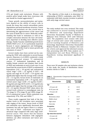21% got lymph node metastasis. Women with positive pelvic lymph nodes have recurrence risk and should be treated aggressively. $1,3$ 

Tumor growth, neovascularization and metastasis depend on the ability of cancer cells to invade the tissue that consist extracellular matrix degradation and basal membrane structure. Tumor invasion and metastasis are also crucial step in determining the aggressiveness of the cancer and the cause of death due to cancer. Molecular understanding that leads to metastasis as well as the complex interaction between the host cell metastasis, important in deciding more effective cancer therapy. Family Vascular endothelial growth factor (VEGF) VEGF-A, B, C, D, E is particularly important because it causes angiogenesis and limfangiogenesis which will further lead to tumor growth and metastasis of cancer.4-6

Several studies have been carried out by comparing the VEGF with endostatin in several human cancers, Shaarawy et al (2001) conducted a study of postmenopausal women: 72 endometrial cancers, 27 endometrial hyperplasia and 30 healthy female controls and compare their levels of VEGF and endostatin at each in each case. It was found that the serum levels of VEGF in endometrial hyperplasia (142  $\pm$  18 ng/ml) and endometrial cancer stage I (291  $\pm$  22 ng/ml), II (623  $\pm$  68 ng/ml) and stage III- IV (1527  $\pm$  119 ng/ml) was significantly higher than the average of the controls  $(12 \pm 1.6 \text{ ng/ml})$ . Serum levels of endostatin on endometrial hyperplasia (149  $\pm$  19 ng/ml), endometrial cancer stage I (320  $\pm$  41 ng/ml), II (644  $\pm$ 86 ng/ml) and stage III-IV (1253  $\pm$  114 ng/ml) also significantly higher than the average of the controls  $(13 \pm 2.4 \text{ ng/ml})$ . Elevated VEGF values above the normal levels achieved in nonmalignant state by 7% (stage I), 37% (stage II) and 100% (stage III-IV) of endometrial cancer. While endostatin was respectively 37%, 59% and 100%.7-9

These results suggested that both of the biomarker levels in the circulation were associated with staging of the tumor. Serum levels of VEGF and endostatin were significantly decreased after treatment, but will rise again if there is a relapse. The ratio of VEGF - endostatin was higher in advanced stage compared with early stage endometrial cancer. This shows that the balance between angiogenic stimulators with angiogenic inhibitor can affect metastasis and tumor progression.7,10

The objective of this study is to determine the relationship of VEGF-C, endostatin, ratio VEGF- C/ endostatin with limfo vascular invasion in patients with early-stage cervical cancer.

# METHODS

The study method was cross sectional. This study was conducted in several teaching hospitals of Obstetrics and Gynecology department Universitas Hasanuddin Faculty of Medicine in Makassar from February 2014 until February 2015. The population were women with early stage of cervical uteri cancer who examined in several teaching hospitals of Obstetrics and Gynecology department Universitas Hasanuddin Medical Faculty in Makassar. Samples who met the criteria and approved the informed consent. Data processing with SPSS. Data analysis use T independent test and Mann Whitney test. Hypothesis testing determined significant if  $\alpha$ <0.05.

### RESULTS

There were 30 samples who met inclusion criteria. In this study, the results of distribution characteristics shown in Table 1.

**Table 1.** Characteristics Comparison Distribution of the Study Sample

| <b>Characteristic</b>  | Sample<br>$(n=30)$ | Percentage<br>$(%=100)$ |
|------------------------|--------------------|-------------------------|
| Age                    |                    |                         |
| < 45 years old         | 13                 | 43.33                   |
| 45-55 years old        | 14                 | 46.67                   |
| > 55 years old         | 3                  | 10.00                   |
| <b>Education</b>       |                    |                         |
| Elementary school      | 7                  | 23.33                   |
| Middle school          | 11                 | 36.67                   |
| High school            | 10                 | 33.33                   |
| University             | $\mathfrak{D}$     | 6.67                    |
| <b>Occupation</b>      |                    |                         |
| Housewife              | 28                 | 93.33                   |
| Enterpreneur           | 2                  | 6.67                    |
| Age when first married |                    |                         |
| $\geq 16$ years old    | 27                 | 90                      |
| < 16 years old         | 3                  | 10                      |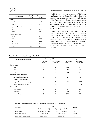Vol 5, No 2

| <b>Characteristic</b>       | <b>Sample</b><br>$(n=30)$ | Percentage<br>$(%=100)$ |
|-----------------------------|---------------------------|-------------------------|
| Parity                      |                           |                         |
| Primipara                   | 2                         | 6.67                    |
| Multipara                   | 28                        | 93.33                   |
| <b>Frequence of married</b> |                           |                         |
| Once                        | 28                        | 93.33                   |
| Twice                       | 2                         | 6.67                    |
| <b>Contraception use</b>    |                           |                         |
| <b>DMPA</b>                 | 7                         | 23.33                   |
| <b>IUD</b>                  | 1                         | 3.33                    |
| Pill                        | $\overline{c}$            | 6.67                    |
| Pill & DMPA                 | 3                         | 10.00                   |
| None                        | 17                        | 56.67                   |

#### April 2017 Lympho vascular invasion in cervical cancer 107

Table 2 shows the characteristics of biological distribution and we obtained sample highest LVSI positives and negatives in stage IB 2 each 6 cases (40%), from that sample the most histopathologic type are invasive squamous cell carcinoma 12 cases (80%) and 7 cases (46.67%), respectively. Middle differentiation was the most in LVSI positive or negative.

Table 3 demonstrates the comparison level of VEGF-C, endostatin and ratio VEGF-C/ endostatin. VEGF-C Serum higher in LVSI positive with mean  $12720.40 \pm 2593.13$  that LVSI negative. Serum levels of endostatin higher in LVSI positive with mean value  $178.20 \pm 33.99$ , and ratio VEGF-C/ endostatin higher in LVSI positive that LVSI negative with a mean value  $71.39 \pm 6.16$  and  $P = 0.04$ .

**Table 2.** Characteristics of Biological Distribution Study Sample

| <b>Biological Characteristic</b> |                           | Sample $(n=30)$           |                            | Persentage                 |
|----------------------------------|---------------------------|---------------------------|----------------------------|----------------------------|
|                                  | LVSI negative<br>$(n=15)$ | LVSI negative<br>$(n=15)$ | LVSI positive<br>$(%=100)$ | LVSI positive<br>$(%=100)$ |
| <b>Clinical stage</b>            |                           |                           |                            |                            |
| IB <sub>1</sub>                  | $\overline{4}$            | 6                         | 26.67                      | 40                         |
| IB <sub>2</sub>                  | 6                         | 6                         | 40                         | 40                         |
| II A                             | 5                         | 3                         | 33.33                      | 40                         |
| Histopathological diagnosis      |                           |                           |                            |                            |
| Servical adenocarcinoma          | 3                         | 6                         | 20                         | 40                         |
| Squamous cell carcinoma          |                           |                           |                            |                            |
| Large cell non keratinizing type | 12                        | 7                         | 80                         | 46.67                      |
| Large cell keratinizing type     | $\Omega$                  | 2                         | $\Omega$                   | 13.33                      |
| <b>Differentiation degree</b>    |                           |                           |                            |                            |
| Well defined                     | 1                         | 3                         | 6.67                       | 20                         |
| Moderate                         | 9                         | 9                         | 60                         | 60                         |
| Poor defined                     | 5                         | 3                         | 33.33                      | 20                         |

**Table 3.** Comparison Level of VEGF-C, Endostatin, and Ratio VEGF-C/ Endostatin

| <b>Variable</b>           | <b>LVSI</b>              | p value                  |       |
|---------------------------|--------------------------|--------------------------|-------|
|                           | Positive (mean $\pm$ SD) | Negative (mean $\pm$ SD) |       |
| Level of VEGF-C           | $12720.40 + 2593.13$     | $10704.46 \pm 16909.86$  | 0.17  |
| Level of endostatin       | $178.20 + 33.99$         | $170.46 + 31.24$         | 0.552 |
| Ratio VEGF- C/ endostatin | $71.39 \pm 6.16$         | $63.58 + 7.50$           | 0.04  |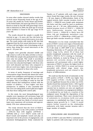### DISCUSSION

In some other studies showed similar results that cervical cancer frequently found at the age of 45- 55 years old, studies by Turah, Hasan and Perfitri. In the United States, the mean age about 52.2 years. Based on study by Aziz MF with gynecologic cancer data in Indonesia on 2009, the peak age of cervical cancer incidence is found in the age range 45-54 years old.

The results showed the sample is usually first married at age  $\geq 16$  years old. One risk factor for cervical carcinoma is sexual intercourse at an early age. The result similar with study by MF Aziz that suggested that the first sexual intercourse at age < 20 years old had higher risk of developing cervical cancer than doing first sexual intercourse at the age of > 20 years old.

Samples were generally educated middle and high school as well as the daily activities as housewife. While the sample who graduated from college were only two people. This result is accordance with a study conducted by MF Aziz that showed that were less educated had higher risk those who were well educated and those who compared to did not work have higher risk of developing cervical cancer compared to those who work.

In terms of parity, frequency of marriage and contraception usage showed that almost the entire sample were multiparas and frequency of marriage was once and samples generally did not use contraception. This is according to study by Aziz MF which showed that multiparous women with the number of children  $\geq 6$  have higher risk than primiparous. In addition, it also concluded that who were not taking birth control pills have higher risk than those taking birth control pills.

In this study, the most histopathological type samples were squamous cell carcinoma, large cell non keratinize type. Based on study conducted by AP Vizcaino, around two thirds of cervical cancer types were squamous cell carcinoma and approximately 15% were adenocarcinoma.

The study showed that the level of VEGF-C serum was higher in the LVSI positive (12720.40  $\pm$  2593.13) than LVSI negative (10704.46  $\pm$ 1609.86) with  $p = 0.17$ . VEGF-C works well on blood vessels and lymphatic vessels and play an important role in the process of angiogenesis, and metastasis limfangiogenesis. Study conducted by Tjandra on 47 patients with early stage cervical cancer found that stage results, the size of lesions > 40 mm, degree of differentiation, limits of the vaginal incision, limfo vascular invasion, levels of VEGF-C > 10066.90 were lymph node metastasis risk factor and they could be used as predictors. Lesions size of > 40 mm, differentiation, parametrial invasion, levels of VEGF-C > 10066.90 were limfovascular invasion risk factor. VEGF-C levels > 10066.90 is likely have 80 times risk get lymphnode metastasis compared to VEGF-C  $\leq$  10066.90 (p < 0.001) and 12.5 times get limfo vascular invasion  $(p = 0.022)$ .

Mitsuhashi A in his study concluded that the levels of VEGF-C serum were signs of biomolecular potential for cervical cancer squamous cell type. Yu H did study in 2007-2009 in Qi Lu Hospital, Shandong University on 97 patients with cervical cancer stage Ia-IIa, which 30 of them had positive lymphnode metastasis with the result of VEGF-C, VEGF-D, FLT-4 relating to limfangiogenesis. Similarly, in study by Wang et al on 89 patients (22 cervicitis chronic, 24 CIN, 43 squamous cell carcinomas) with a result higher expression of VEGF-C in tissue, the higher levels in serum ( $p = 0.024$ ), VEGF-C in serum and tissues associated with clinical stage, tumor size, lymphnode metastasis and not related to the degree of differentiation.

We could see that the levels of endostatin on the LVSI positive (178.20  $\pm$  33.99) was higher than LVSI negative (170.46  $\pm$  31.24), but this result was not significant because the p-value was 0.552. Tjandra found that endostatin levels  $\geq 184.5$  ng/ml was a protection factor of the invasion limfo vascular but in statistics are also not significant  $(p = 0.562)$ . Endostatin is an angiogenesis inhibitor. It is produced by our body as a reaction of the malignant tumor through the degradation of the basement membrane. There were elevated levels of endostatin in circulation (with over gene expression in endothelial) less than 2 times can suppress tumor growth by 2- 3 fold. It would require further research on the relationship endostatin with limfo vascular invasion with a larger number of samples.

# CONCLUSIONS AND SUGGESTIONS

Levels of VEGF-C and ratio VEGF-C/ endostatin are higher in patients with early-stage cervical cancer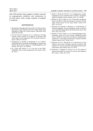with LVSI positive than negative. Further research on angiogenesis inhibitor and endostatin in cervical cancer with a larger number of samples is required.

# **REFFERENCES**

- 1. Chandacham, Monaghan JM, Davies BR, et al. Extent of lymphovascular space invasion and risk of pelvic lymph node metastases in stage 1b1 cervical cancer. J Med Assoc Thai. 2010; 88: S31-S36.
- 2. Yan M, Yoneda J, Kuniyasu H, et al. Influence of lymph vascular space invasion on prognosis of patients with early stage cervical squamous cell carcinoma. Chinese J Cancer. 2010; 29: 425-30.
- 3. Schoppmann S, Bardelli A, Buckhaults P, et al. VEGF-C expressing tumor-associated machrophages in lymph node positive breast cancer: impact on lymphangiogenesis and survival. Sur. 2011; 139: 839-46.
- 4. Su J, Darcy KM, Hutson A, et al. The role of the VEGF-C/VEGFR-3 axis in cancer progression. Bri J Cancer. 2011; 96: 541-5.
- 5. Afonso J, Wong AS, Choi KC, et al. Angiogenesis, Lymphangiogenesis and Lymphovascular Invasion: Prognostic Impact for Bladder Cancer Patients. 2011; 22: 255-88.
- 6. Behtash N, Qiu D, Pallen CJ, et al. Preoperative prognostic factors and effect of adjuvant therapy on outcomes of early stage cervical cancer in iran. Asian Pacific J Cancer Prev. 2011; 10: 613-8.
- 7. Shaarawy M, Andrade L, Martinez, et al. Biomarkers of intrinsik angiogenic and anti-angiogenic acivity in patients with endometrial hyperplasia and endometrial cancer. Acta Onco. 2011; 40: 513-8.
- 8. Tiandra O, Calin G, Russo A, et al. Clinicopathologic factor, endostatin serum level, and vascular endothelial growth factor-C (VEGF-C) serum level as predictors of lymph nodes metastasis in early stage cervical cancer patients. Indones J Obstet Gynecol. 2011; 35(4): 225-9.
- 9. Kajiyama H, Seo Y, Kasuga M, et al. Expression of twist enhances risk of poor oncologic outcome in patients with stage Ib to II cervical carcinoma with lymphovascular space involvement. Hum Pathol. 2013; 44: 181-8.
- 10. Polterauer S, Codegoni A, Fruscio R, et al. The impact of lymph node density on survival of cervical cancer patients. Bri J Cancer. 2010; 103: 613-6.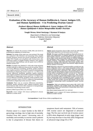# **Evaluation of the Accuracy of Human Kallikrein6, Cancer Antigen125, and Human Epididymis 4 in Predicting Ovarian Cancer**

**Evaluasi Akurasi Human Kallikrein6, Cancer Antigen125, dan Human Epididymis4 dalam Memprediksi Kanker Ovarium**

**Yongki Wenas, Ketut Suwiyoga, I Nyoman H Sanjaya**

Department of Obstetrics and Gynecology Faculty of Medicine Universitas Udayana/ Sanglah Hospital Bali

#### **Abstract**

**Objective**: To evaluate the accuracy of hK6, HE4, and CA125 in predicting the malignancy of ovarian mass.

**Methods**: The design of this study was cross-sectional. This study was conducted in the Obstetrics and Gynecology Clinic, Sanglah Hospital, Denpasar, between the period of September 2014 and August 2016. Samples were all patients with ovarian tumors who underwent surgery at Sanglah Hospital, Denpasar. Data analysis was performed using McNemar and chi square test in SPSS for windows version 17.0.

**Results**: 22 samples were obtained. P > 0.05 value of age and parity variables indicated no differences between the two groups. There is no accuracy differences (sensitivity, specificity, positive predictive value, negative predictive value) of hK6 compared to histopathology examination in diagnosing ovarian cancer  $(p = 1)$ . There is no accuracy differences (sensitivity, specificity, positive predictive value, negative predictive value) of HE4 compared to histopathology examination in diagnosing ovarian cancer  $(p = 1)$ . There is no accuracy difference (sensitivity, specificity, positive predictive value, negative predictive value) of CA125 compared to histopathology examination in diagnosing ovarian cancer ( $p = 0.687$ ).

**Conclusion**: There was no accuracy differences (sensitivity, specificity, positive predictive value, negative predictive value) found between hK6, CA125, HE4 compared to histopathology examination in predicting ovarian cancer.

[Indones J Obstet Gynecol 2017; 5-2: 110-113]

**Keywords**: cancer antigen 125, human epididymis-4, human kallikrein 6, ovarian cancer

#### **Abstrak**

**Tujuan**: Untuk mengetahui akurasi hK6, CA125 dan HE4 dalam memprediksi keganasan ovarium pada massa ovarium.

**Metode**: Rancangan penelitian ini adalah uji diagnostik (cross sectional) yang dilaksanakan di Poliklinik Kebidanan dan Kandungan RSUP Sanglah, Denpasar. Sampel penelitian ini adalah semua penderita dengan tumor ovarium yang datang ke Poliklinik Kebidanan dan Kandungan RSUP Sanglah dan menjalani operasi di RSUP Sanglah, Denpasar. Pengambilan sampel dilakukan dengan cara consecutive sampling mulai September 2014 sampai Agustus 2016. Analisis data memakai uji Chi Square dan McNemar dengan bantuan SPSS for windows 17.0 version.

**Hasil**: Didapatkan sebanyak 22 sampel penelitian variabel usia dan paritas didapatkan nilai p > 0,05, yang menyatakan bahwa tidak adanya perbedaan antara kedua kelompok. Tidak ada perbedaan kurasi hK6 (sensitivitas, spesivisitas, nilai prediksi positif, nilai prediksi negatif) dibandingkan dengan hasil pemeriksaan histopatologi dalam mendiagnosis kanker ovarium (p=1). Tidak ada perbedaan kurasi HE4 (sensitivitas, spesivisitas, nilai prediksi positif, nilai prediksi negatif) dibandingkan dengan hasil pemeriksaan histopatologi dalam mendiagnosis kanker ovarium (p=1). Tidak ada perbedaan kurasi CA125 (sensitivitas, spesifisitas, nilai prediksi positif, nilai prediksi negatif) dibandingkan dengan hasil pemeriksaan histopatologi dalam mendiagnosis kanker ovarium  $(p=0,687)$ .

**Kesimpulan**: Tidak ada perbedaan kurasi antara hK6, CA125, HE4 (sensitivitas, spesifisitas, nilai prediksi positif, nilai prediksi negatif) dibandingkan dengan hasil pemeriksaan histopatologi dalam memprediksi kanker ovarium.

[Maj Obstet Ginekol Indones 2017; 5-2: 110-113]

**Kata kunci**: cancer antigen 125, human epididymis-4, human kallikrein 6, kanker ovarium

**Correspondence:** Yongki Wenas, dokter.yongki@gmail.com

# INTRODUCTION

Ovarian cancer is a major burden in the field of gynecology oncology, due to high rate of mortality resulted from this cancer.<sup>1</sup> Increasing ratio of morbidity and mortality in ovarian cancer patients is due to progression of disease that shows no

symptoms found until metastasis. 70% of women with ovarian cancer are diagnosed at advanced stage. The five year survival rate of ovarian cancer is 85% when diagnosed at early stage (stage I and II), but may decrease to less than 20% if diagnosed at advanced stage (stage III or IV).2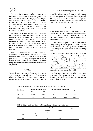Serum of CA125 tumor marker to predict the presence of malignancy in patients with ovarian mass has lower sensitivity and specificity in pre and postmenopausal women.3 Several studies conducted to diagnose ovarian cancer in patients with ovarian mass using tumor marker HE4 and combination of HE4 and CA125 have shown that HE4 has higher sensitivity and specificity compared to CA125.4

Kallikrein 6 gene is a trypsin-like serine protease of human gene, family kallikrein that has great potential to be developed as a tool for early detection for ovarian cancer and various preliminary research have been conducted to support towards it and result of the research can be used as rationale that hK6 can be used as a medium or tool for early detection of ovarian cancer<sup>5</sup>

Based on explanation elaborated above, assessment of the correlation or relationship between hK6 with ovarian cancer will be performed. This study is expected to be a reference or additional consideration to support usage hK6 as the early detection of ovarian cancer diagnostic.

# METHOD

We used cross-sectional study design. This study was conducted at the Obstetrics and Gynecology Clinic, Sanglah Hospital, Denpasar, during the period between September 2014 and August 2016. The subjects were all patients with ovarian tumors who came to Obstetrics Clinic of Sanglah Hospital and underwent surgery in Sanglah Hospital, Denpasar. Data analysis was performed using SPSS for Windows version 17.0.

### RESULT

In this study, T-independent test was conducted toward age and parity variable between the two groups. As seen in Table 1, p value> 0.05 of age and parity was obtained, indicated no differences between both groups.

To determine diagnostic test of hK6 toward histopathology in the diagnosis of ovarian cancer, it was analyzed using Chi-Square test. The results of the analysis are presented in the following table.

Table above with 2x2 cross table, showed 80.0% sensitivity, 75.0% specificity, 72.7% positive predictive value, 81.8% negative predictive value, 27.3% false positive, 18.2% false negative values, and 77.3% accuracy. McNemar test showed no accuracy differences of hK6 (sensitivity, specificity, positive predictive value, negative predictive value) compared to histopathology examination in diagnosing ovarian cancer  $(p = 1.00)$ 

To determine diagnostic test of HE4 compared to histopathology in diagnosis of ovarian cancer, Chi-Square test analysis was conducted. Results are presented in Table 3.

**Table 1.** General and Parity Characteristics Comparison between both Groups

| <b>Risk factor</b> | Malignancy group $(n=10)$ |       | Benign tumor group (n=12) |       | р     |
|--------------------|---------------------------|-------|---------------------------|-------|-------|
|                    | Mean                      | DS    | Mean                      | DS    |       |
| Age (year)         | 52.80                     | 16.72 | 50.50                     | 14.94 | 0.737 |
| Parity             | 2.10                      | 1.10  | 2.08                      | 1.88  | 0.981 |

**Table 2.** Diagnostic Test of hK6 toward Histopathology in Diagnosing Ovarian Cancer

|       |      | Ovarian cancer |        | Total |
|-------|------|----------------|--------|-------|
|       |      | Malignant      | Benign |       |
|       | High | 8              | 3      |       |
| hK6   | Low  | ▵              | 9      | 11    |
| Total |      | 10             | 12     | 22    |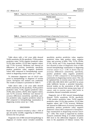|       |      |           | Ovarian cancer |       |
|-------|------|-----------|----------------|-------|
|       |      | Malignant | Benign         | Total |
| HE4   | High | −         |                |       |
|       | Low  | 3         | 10             | 13    |
| Total |      | 10        | 12             | 22    |

**Table 3.** Diagnostic Test of HE4 toward Histopathology in Diagnosing Ovarian Cancer

**Table 4.** Diagnostic Test of CA125 toward Histopathology in Diagnosing Ovarian Cancer

|       |      | Ovarian cancer |        | Total |
|-------|------|----------------|--------|-------|
|       |      | Malignant      | Benign |       |
|       | High | n              |        | 8     |
| CA125 | Low  |                | 10     | 14    |
| Total |      | 10             | 12     | 22    |

Table above with a 2x2 cross table showed 70.0% sensitivity, 83.3% specificity, 77.8% positive predictive value, 76.9% negative predictive value, 22.2% false positive, 23.1% false negative values, and 77.3% accuracy. McNemar test showed no differences of accuracy (sensitivity, specificity, positive predictive value, negative predictive value) HE4 compared to histopathology examination in diagnosing ovarian cancer ( $p = 1.00$ ).

To determine diagnostic test of CA125 compared to histopathology in diagnosis of ovarian cancer, Chi-Square test analysis was conducted. The results of analysis is presented in Table 4.

Table above with a 2x2 cross table showed 60.0% sensitivity, 83.3% specificity, 75.0% positive predictive value, 71.4%, negative predictive value, 25.0%, false positive, 28.6%, false negative values, and 72.7% accuracy. McNemar test showed no accuracy differences (sensitivity, specificity, positive predictive value, negative predictive value) of HE4 compared to histopathology examination in diagnosing ovarian cancer ( $p = 1.00$ ).

# DISCUSSION

Result of the research revealed p value > 0.05 of age and parity variable, suggesting no differences between the two groups.

Diagnostic test of HK6 toward histopathology in diagnosis of ovarian cancer revealed sensitivity, specificity, positive predictive value, negative predictive value, false positive value, negative value, and accuracy of 80%, 75%, 72.7%, 81.8%, 27.3%, 18.2%, and 77.3%, respectively. McNemar test showed p-value of diagnostic tests of hK6 toward histopathology examination in diagnosing ovarian cancer is  $p = 1.00$ . It shows that no accuracy differences (sensitivity, specificity, positive predictive value, negative predictive value) of hK6 compared to histopathology examination in diagnosing ovarian cancer. This can be explained that, in ovarian cancer, the increment of hK5, hK6, hK8, hK10, hK11 and hK14 in serum make kallikrein become a potential biomarker. Several studies on the association of hK6 with ovarian cancer showed that among many types of cancer, only in ovarian cancer, hK6 levels in circulation showed remarkable increase.6

Diagnostic test of HE4 toward histopathology showed 70.0% sensitivity, 83.3% specificity, 77.8% positive predictive value, 76.9% negative predictive value, 22.2% false positive, 23.1% false negative values, and 77.3% accuracy. McNemar test showed no differences of accuracy (sensitivity, specificity, positive predictive value, negative predictive value) HE4 compared to histopathology examination in diagnosing ovarian cancer  $(p = 1.00)$ . This result is supported by another research conducted Wang et al which examined HE4 level in the differential diagnosis of pelvic mass in the population of Chinese women. The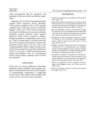study demonstrated that the sensitivity and specificity of HE4 were 86.7% and 98.0%, respectively.7

Diagnostic test of CA125 toward histopathology showed 70.0% sensitivity, 83.3% specificity, 77.8% positive predictive value, 76.9% negative predictive value, 22.2% false positive, 23.1% false negative values, and 77.3% accuracy. McNemar test showed no differences of accuracy (sensitivity, specificity, positive predictive value, negative predictive value) CA125 compared to histopathology examination in diagnosing ovarian cancer  $(p = 1.00)$ . In initial report, it is known that level of CA125 increased by about 80% in women with advanced ovarian cancer and only 1-2% in the normal population. While in stage I ovarian cancer, CA125 level increased less than 50%. Specificity of CA125 is also low in differentiating between benign and malignant cases. In a retrospective study of 9233 women, sensitivity 62% of CA125 was obtained.<sup>8</sup>

# **CONCLUSION**

There were no accuracy differences (sensitivity, specificity, positive predictive value, negative predictive value) between hK6, CA125, HE4 compared to histopathology examination in diagnosing ovarian cancer. Each of hK6, CA125 and HE4 value can be used as an ovarian cancer biomarker.

### **REFFERENCES**

- 1. Azis MF. Gynecological Cancer In Indonesia. J Gynecol Oncol, 2009; 20(1): 8-10.
- 2. Diamandis E, Scorilas A, Fracchioli S, Van Gramberen M, de Bruijn H, Henrik A, et al. Human Kallikrein 6 (hK6): A New Potential Serum Biomarker for Diagnosis and Prognosis of Ovarian Carcinoma. J Clin Oncol, 2003; 21: 1035-43.
- 3. Moore RG, McMeekin DS, Brown AK, Disilvestro P, Miller MC, Allard WJ, et al. A novel multiple bioassay utilizing HE4 and CA125 for the prediction of ovarian cancer in patients with a pelvic mass. Gynecol Oncol, 2009; 112: 40-6.
- 4. Montagnana M, Lippi G, Ruzzenente O, Bresciani V, Danese E, Scevarolli S, et al. The Utility of Human Epididymis Protein 4 (HE4) in Patients with a Pelvic Mass. J Clin Lab Analy, 2009; 23: 331-5.
- 5. Magklara A, Mellati A, Wasney GA, Little SP, Sotiropoulou G, Becker GW, et al. Characterization of the Enzymatic Activity of Human Kallikrein 6: Auto activation, Substrate Specificity, and Regulation by Inhibitors. Biochem Biophysical Research Communications, 2003; 307: 948-55.
- 6. Pampalakis G, Kurlender L, Diamandis EP, Sotiropoulou G. Cloning and Characterization of Novel Isoforms of The Human Kallikrein 6 gene. Biochemical and Biophysical Research Communication. Elsevier. 2004; 320: 54-61.
- 7. Wang S. The Application of HE4 in Diagnosis of Gynecological Pelvic Malignant Tumor. Clin Oncol Cancer Res. 2009; 6: 72-4.
- 8. Daniel N. and Urban, N. CA125 in ovarian cancer. Biomark Med, 2006; 1(4): 513-23.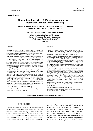# **Human Papilloma Virus Selftesting as an Alternative Method for Cervical Cancer Screening**

**Uji Pemeriksaan Mandiri Human Papilloma Virus sebagai Metode Alternatif untuk Skrining Kanker Serviks**

**Richard Chandra, Syahrul Rauf, Umar Malinta**

Department of Obstetrics and Gynecology Faculty of Medicine Universitas Hasanuddin/ Dr. Wahidin Sudirohusodo Hospital Makassar

#### **Abstract**

**Objective**: To determine the level of acceptance of self Human Papilloma Virus (HPV) examination and to compare the level of sensitivity and specificity of self HPV examination with Fluid Based Cytology on precancerous cervical lesion and cervical cancer.

**Methods**: The analytical method used in this research was cross sectional with purposive sampling. This study is conducted at Wahidin Sudirohusodo Hospital and its affiliation from October 2014 to May 2015 with 101 subjects. The data measurement used self HPV examination tool and fluid based cytology kit. The data collected through questionnaires before and after the examination. The laboratory examination was carried out using the way of HPV Genotyping primary system (MY09/11) method Wl LTS-06, which is able to detect 35 types of HPV viruses.

**Results**: A total of 101 subjects were involved in this study. The subjects were divided into two groups: the abnormal and normal group (n - 50/51). The acceptance level of self HPV examination was  $62.37\%$  (n = 63/101). Majority of subjects (88.21%) were ready to repeat the same examination in the future. The level of sensitivity and specificity for self HPV were (56% (95%CI (41.25 - 70.01%)) vs 98% (95%CI (89.55 - 99.95%)), p=<0.000001, while the level of sensitivity and specificity for fluid based cytology were (40% (95%CI  $(26.41 - 54.82\%)$ ) vs 98% (95%CI (89.35 - 99.95%)), p=0.000002.

**Conclusion**: HPV self-testing is very potential to be used as an alternative method for cervical cancer screening.

[Indones J Obstet Gynecol 2017; 5-2: 114-119]

**Keywords**: cervical cancer, cervical cancer screening, human papilloma virus, sensitivity, specificity

#### **Abstrak**

**Tujuan**: Mengetahui tingkat penerimaan pemeriksaan HPV Mandiri dan membandingkan tingkat sensitivitas dan spesifisitas pemeriksaan mandiri HPV dengan sitologi berbasis cairan, pada lesi pre kanker derajat tinggi dan kanker serviks.

**Metode**: Penelitian merupakan analitik cross sectional secara purposive sampling, single center di RS Wahidin Sudirohusodo dan Afiliasinya pada Bulan Oktober 2014-Mei 2015 berjumlah 101 responden. Pengukuran data menggunakan alat pemeriksaan HPV mandiri serta kit sitologi berbasis cairan. Pengumpulan data menggunakan kuesioner sebelum dan setelah melakukan pemeriksaan. Pemeriksaan laboratorium dilakukan dengan menggunakan cara HPV Genotyping sistem primer (MY09/II) metode WI LTS-06, mampu mendeteksi 35 tipe virus HPV.

**Hasil**: Keseluruhan responden berjumlah 101 orang, terbagi menjadi kelompok abnormal/normal (n=50/51). Tingkat penerimaan pemeriksaan HPV mandiri sebesar 62,37% (n=63/101). Sebagian besar responden (88,21%) bersedia mengulangi pemeriksaan serupa di masa mendatang. Tingkat sensitivitas dan spesifisitas yang didapatkan untuk HPV Mandiri (56% (95%CI (41,26 - 70,01%)) vs 98% (95%CI (89,55 - 99,95%)), p=<0,000001, sedangkan tingkat sensitivitas dan spesifisitas untuk sitologi berbasis cairan (40% (95%CI (26,41 - 54,82%)) vs 98% (95%CI (89,35 - 99,95%)),  $p=0,0000002.$ 

**Kesimpulan**: Pemeriksaan HPV mandiri ini sangat potensial untuk dijadikan metode pemeriksaan alternatif untuk pemeriksaan skrining kanker serviks.

[Maj Obstet Ginekol Indones 2017; 5-2: 114-119]

**Kata kunci**: human papilloma virus, kanker serviks, sensitivitas, skrining kanker serviks, spesifisitas

**Correspondence:** Richard Chandra. Email:half.arc2x@gmail.com

# INTRODUCTION

Cervical cancer is the third most common cancer in the world. It is the only cancer that can be identified early thus making it able to be prevented. Cervical cancer is the fourth cause of death due to cancer in the world. In 2008, it estimated that 530,232 women were diagnosed with cervical cancer worldwide and  $275,000$  of them died.<sup>1</sup> The

majority of cervical cancer (85%) occurred in developing countries, including Indonesia. The prevalence of women with cervical cancer in Indonesia is fairly high; 40-45 new cases were found daily with number of deaths reached 20-25 people while women at risk of cervical cancer was 48 millions.2 Data from health department demonstrated that regions with the highest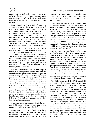number of cervical and breast cancer were Makassar, district of Gowa, Wajo, Bone, and North Luwu. In 2009, it was found that 97 cervical cancer cases was in hospital and 177 cases was in primary health care.3

Human Papilloma Virus (HPV) infection is a significant event for the occurrence of cervical cancer. It is estimated that 50-80% of sexually active women will be infected by HPV in their life and approximately 80% will be infection-free in 2 years and will not cause cancer. Persistent HPV infection is one of the predispositions of dysplasia and cervical cancer. The course of HPV infection developing into cervical cancer may take up to 10-20 years. HPV infection process which later becomes precancerous is mostly asymptomatic.4-6

Cytology examination has become cervical cancer screening standard for more than 50 years. This examination evaluates cell morfology abnormalities from cervical epithelial specimen.7 This examination often results in false negative due to inadequate sample and poor procedure standard. Liquid-based examination may improve this disadvantage. The high false negative result of this examination leads to reevaluation in the interval period of time.<sup>8-10</sup>

HPV DNA examination has the advantage of very high negative predictive value, even towards adenocarcinoma precursor.11 Human papilloma virus has a high sensitivity in detecting high degree precancer lesion and has high positive predictive value.12 The effectiveness of this cervical cancer screening programme may be increased by the use of HPV self examination. According to a study in Netherlands, an HPV self examination tool, Evalyn brush, has a sensitivity and specificity of 81.5% and 66.4%, respectively.13 Efforts on early detection in high risk women are organized into a screening programme or an opportunistic screening. Management and early detection of precancer lesions are 'see and treat' programme and histopathology-based-diagnosis.

A good screening examination should be acurate, highly reproducible, cheap, easy to use, easy to monitor, highly accepted, and safe.14

Examination to be used should have been through long period of evaluation and tested in real life. Clinical application of the proposed HPV DNA examination may be as single primary screening instrument or combination with cytology and monitoring women with precancer lesion who has received treatment in order to predict the success of therapy.

High sensitivity means that HPV examination also has high negative predictive value. Negative result of examination may prolong the need to repeat the cervical cancer screening up to 5-8 years.13 Cytologic examination is often constrained by the lack of infrastructure, particularly in developing countries. Alliance for cervical cancer prevention seeks for alternatives other than cytologic examination, such as acetic acid visual inspection and HPV DNA test. According to a study conducted by Qiao et al, HPV DNA examination and liquid based cytology had higher sensitivities than acetic acid visual inspection.12

Self examination of vaginal or cervical specimen sampling has developed in recent years. Self examination derived from vaginal specimen has the inability of the specimen for cytologic examination. However, vaginal specimens are very suitable for HPV examination sample because the result do not significantly differ from those of liquid based cytology or cervical specimen. In self examination, women would collected their own specimen sample using several tools including brush, tampon, and vagina rinse instrument. Some research showed that self vaginal specimen sampling was sufficient for laboratory analysis, both delivered through liquid or dry media.15

The ability to detect high risk HPV from self HPV examination or liquid based cytology examination shows no significant differences. This explains that there is no difference in the ability to detect HPV between self examination and examination by paramedics. One advantage of self examination is it does not need paramedics to be performed and ensure privacy. Based on user experiences, this examination is considered easy to use. As cervical cancer screening tool, this tool will improve the outreach of screening on women who has not or rarely checked. Most cervical cancer are found in women who never or rarely check.16-18 We aimed to know the level of acceptance of HPV self examination and compare the sensitivity and specificity of HPV self examination and liquid based examination on high degree pre cancer lesion and cervical cancer.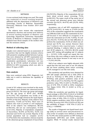# METHODS

A cross sectional study design was used. This study was conducted at several teaching hospitals affiliated with the department of Obstetrics and Gynecology, Faculty of Medicine, Hasanuddin University, Makassar from October 2014 until May 2015.

The subjects were women who experienced spontaneous abortion and normal term delivery in several teaching hospitals of Obstetric and Gynecology Department Universitas Hasanuddin Faculty of Medicine in Makassar. Samples were obtained from blood samples of the mothers who met the inclusion criteria.

# **Method of collecting data**

Samples were selected based on an assessment of researchers that met the eligible inclusion criteria with purposive sampling method between 2 group. Data were obtained by self HPV examination tool, liquid based cytology kit, and before and after examination questionnaire. Laboratory test was done by QI LTS-06 method of primary system (MY09/11) HPV Genotyping which was able to detect 35 types of HPV.

# **Data analysis**

Data were analyzed using SPSS. Diagnostic 2x2 table test is used to determine the capability of each tool.

# RESULTS

A total of 101 subjects were involved in this study. The subjects were divided into abnormal/normal group (n=50/51). The most age group percentage was the age group of 40-49 year, 40.58% (n=41/101). The respondent was mostly at the education level of high school/on the equal degree, 54.45% (n=50/101). Majority of the subjects were housewives, 73.26% (n=74/101). There were 23 subjects who work as private or civil employees. Most of the subjects was multiparous, 88.12%  $(n=89/101)$ , did not use contraception, 57.42% (n=27/101). Majority of respondents complained of leucorrhoea, 45.54% (n=46/101), 56.5% was abnormal and 43.5% was normal. Majority of the normal population had no complain (n=24/ 51.47%) before the examination, whereas majority of the abnormal group complained of leucorrhoea

(26/50.52%). Majority of the respondents did not know about cervical cancer screening, 79.2% (n=80/101). The major result of Pap smear test of the normal and abnormal group were folicular cervicitis [(n=34/51, 66.67%) and (23/50, 46%), respectively].

Acceptance rate of self HPV examination was 62.37% (n=63/101). As many as 37.62% (n=38/ 101) of the respondent suggested the examination was difficult/could not do the examination by herself because it was difficult to recognize or to insert the instrument (n=27/38, 71.05%). 92 subjects (92/101, 91.01%) did not find difficulties to perform the examination, 54.3% of which was abnormal and 45.7% was normal. However there was 5 subjects who reported pain, 1 subject reported bleeding, 2 subjects failed to used the tool. Of 89 subjects (n = 89/101), 88.12% would repeat HPV testing self-sampling and 12 subjects  $(n = 12/101)$  11.8% would not repeat this test. From those who were willing to repeat the examination in the future because it was easy to use (n  $= 75/101$  84.23%.

Half of our subjects were highly educated. 64% stated that this tool were ease to use. 84 subjects did not know anything about cancer screening, 66.2% managed to use this tool easily.

The sensitivity and specificity were obtained for HPV Self sample collection test is 56% (95% CI (41.25 to 70.01%)) vs 98% (95% CI (89.55 to 99.95%)), with positive predictive value of 68, 25%, 95% CI (22.75 to 96.43%); 96.73% negative predictive value, 95% CI (20.9 to 99.28%); Accuracy of 0.78, 95% CI (0.68 to 0.85); Compliance Test Kappa 0.543, 95% CI (0.365 to 0.72); p <0.000001.

While the sensitivity and specificity for liquidbased cytology is 40% (95% CI (26.41 to 54.82%)) vs 98% (95% CI (89.35 to 99.95%)); Positive predictive value of 60%, 95% CI (13.54 to 93.35%,; 95.6% negative predictive value, 95% CI (89.32 to 98.74%); Accuracy 0.69, 95% CI (0.59 to 0.78); test the suitability of Kappa =  $0.38$ ,  $95\%$  CI ( $0.22$  to  $(0.54)$ ; p = 0.000002.

The results of diagnostic test liquid-based cytology (LBC) in cervical cancer and precancerous lesions of the 16 samples were defined as abnormal by 76.19% who tested positive on HPV testing independently (HPV-SSC) and 23.8% expressed negative. While 79 normal results showed that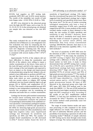83.54% had negative on HPV testing independently (HPV-SSC) and 16.45% tested positive. The results of the suitability test results of both tests Kappa value = 0.524 95% CI (0.28 to .768).

All HPV virus detected in the abnormal group were the high-risk HPV types, such as type 16, 18, 31, 33, 45, 51, 53. In the normal group, we obtained one sample who was detected as low risk HPV type.

### DISCUSSION

This study evaluated the use of HPV self sample collection test in Makassar as a new diagnostic tool. Our evaluation was done by comparing the histopathology, thus we may determine the ability of each new diagnostic screening tool. The Acceptance rate was fairly, good (62.37%). This finding is consistent with several studies  $(73\frac{1}{17})$ ;  $87\frac{18}{18}$ ; 77.1%)19.

Approximately 91.01% of the subjects did not have difficulties in doing the examination and 88.12% of the subjects were willing to repeat a similar examination in the future. Some parts of the tools fell apart and left in the vagina were the short comings of the tool integrity and expected to have an impact on the design and improvement of educational plan using the tool. Subjects who admitted to have difficulties to perform self-HPV testing said that there was no denial of the usage of these tools which we were considered suitable with our society culture or religion. HPV testing self-denial rate was found relatively high in all age groups (30 to 58.8%), and employment (25 to 41.9%). This result is understandable because HPV testing is a new independent examination. We may increase the acceptance rate by considering on education and make this as a routine examination.

Cytology has become gold standard examination for cervical cancer screening more than last 50 years. This examination evaluates the presence of morphological abnormalities from epithelial cervical specimens. Conventional cytological examination has a sensitivity of 30-87% and specificity of 86-100% for detecting high-grade precancerous lesions. Smear results are often unsatisfactory with high false negative value. Later, liquid-based cytology was developed. Its sensitivity and specificity are 80% and 98%. The number of samples found unsatisfactory on LBC decreased 11.45%.20 Several studies found the level of

sensitivity of liquid-based cytology 13% higher than the conventional Pap smear test. These results suggested that liquid-based cytology had a higher level of sensitivity and specificity levels lower than Pap smear test.<sup>20</sup> On the use of routine screening cytological examination only have a level of sensitivity ranged from 47-62% and a specificity ranged from 60-95%. A meta-analysis of the results revealed similar results to those obtained in this study, the rate reaches 97-100% specificity and sensitivity is only 29-56% $2<sup>1</sup>$  However, these results still show a sensitivity level much lower than the results of research in general. The new technology for cervical cancer (NTCC) and Netherland Thin Prep versus Conventional Cytology (NETHCON) indicates that there is no difference in the detection capability CIN2 / 3 on both methods.22

The level of sensitivity of HPV DNA tests for the detection of CIN2 + was better than cytology (94% vs  $65\%$ ).<sup>21,23</sup> In this study, the sensitivity of self-HPV testing is higher than liquid-based cytology with a difference of 16%, the specificity found similar on both tests. A study in China demonstrated that self-HPV testing had a sensitivity of 86.2% and a specificity of 80.7% while liquid-based cytology had lower sensitivity in detecting CIN2.24 High risk HPV DNA can be identified 99.7% of cervical cancers and 95% of high-grade precancerous lesions.25,26 The results of this study showed different results that only high risk HPV types identified (n = 16/32) 50% of cervical cancers and  $(n = 6/19)$  31.57% of highgrade precancerous lesions. All types of HPV detected in the abnormal group were high risk HPV types. HPV DNA PCR method used in this study was GMP09 / 11. The use of PCR method has been shown to have higher sensitivity for detecting high-risk HPV compared to HC2. According to the results of one RCT, amplification method GPM09 / 11 had very low sensitivity level, which accounted for 49%.26 Therefore, our decision to use similar method could potentially cause low levels of sensitivity.

The usage of certain fixation media and specimen processing of cells contained in the media might influence our results. This might be due to the lack of uniformity filtration process and the possibility of not drawing a specimen of cells in the remaining media.20 Methods of sample collection for HPV testing can be done through swab, brush, tampon or lavage. The various methods mentioned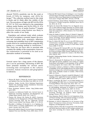showed 78-81% sensitivity rate for the swab or brush, 67-94% for tampons, and <81% for lavage.27 The collection method used in this study is brush, and it's likely affect the validity of the test. The prevalence of high-risk HPV 62.3% (95% CI: 53.7 to 70.2) was detected in the examination without media fixation and 56.2% (95% CI: 47.6 to  $64.4$ ) in the use of media fixation.<sup>28</sup> Sample collection without using fixation was likely to affect the results of our study.

Population and national study which evaluate the level of acceptance, economic impact, the accuracy and precision tools, awareness, adherence screening and suitability level of HPV examination results need to be conducted before using this HPV testing as a screening method in institutions.27 This study has not been able to ascertain with certainty the validity of the examination, however, the examination is potential to be used as an alternative method of screening.

#### CONCLUSIONS

Cervical cancer has a long course of the disease, yet it can be prevented. Self-testing of HPV the latest potential modality for cervical cancer screening that corresponds to the cultural, economic, human resources and geographics in Indonesia.

#### **REFFERENCES**

- 1. Warren JB, Heidi G, Valerie JK. Cervical Cancer Screening and Updated. Prim Care Clin Office Pract 2009; 36: 131-49.
- 2. Adrijono. Kanker Serviks. Divisi Onkologi Departemen Obstetri dan Ginekologi Fakultas Kedokteran Universitas Indonesia ed ke 3, 2010; 1: 1-21.
- 3. Dinas Kesehatan Sulawesi Selatan. http://dinkes-sulsel. go.id, 2009.
- 4. Commitee on Adolescent Health Care. Cervical Cancer in Adolescent: Screening, Evaluation, and Management. Am College Obstet Gynecol, 2010; 116: 2: 469-73.
- 5. Thomas CW, Stewart LM, Charles JD. (2007). Consensus Guidelines for the Management of Women With Abnormal Cervical Screening Tests. Am Soc Colposcopy Cervical Pathol J Lower Genital Tract Disease, 2006; 11: 4: 201-22.
- 6. Mosckiki A, Schiffman M, Burchell A, et al. Updating the natural history of human papillomavirus and anogenital cancer. Vaccine, 2012; 30S: 24-33.
- 7. Warren JB, Gullett H, King VJ. Cervical Cancer Screening and Updated. Prim Care Clin Office Pract, 2009; 36(1): 131-49.
- 8. Mayrand MH, Duarte-Franco E, Rodrigues I, et al. Canadian Cervical Cancer Screening Trial Study Group. Human papillomavirus DNA versus Papanicolaou screening tests for cervical cancer. N Engl J Med 2007; 357(16): 1579-88.
- 9. Daniel Echelman, Sarah Feldman. Management of Cervical Precancers: A Global Perspective Hematol Oncol Clin N Am, 2012; 26: 31-44.
- 10. Ogilvie GS, Patrick DM, Schulzer M, et al. Diagnostic Accuracy of Self Collected Vaginal Specimen for Human Papilloma Virus Compared to Clinician Collected Human Papilloma Virus Specimen: a Meta Analysis. Sex Trans Infect, 2005; 81: 207-12.
- 11. Arbyn M, Anttila A, Jordan J, Ronco G, Schenk U, Segnan N, et al. European Guidelines for Quality Assurance in Cervical Cancer Screening. Second Edition-Summary Document. Annals Oncol, 2010; 21(3): 448-58.
- 12. Qiao YL, Sellors JW, Eder PS, et al. A new HPV-DNA test for cervical-cancer screening in developing regions: a crosssectional study of clinical accuracy in rural China. Lancet Oncol, 2008; 9: 929-36.
- 13. Baars R, Bosgraaf RP, Harmsel BW, et al. Dry storage and transport of a cervicovaginal self sample by use of the Evalyn brush, providing reliable Human Papillomavirus Detection combined with comfort for women. J Clin Micro Biol, 2012; 50(12): 3937.
- 14. Rasijidi I. Epidemiologi Kanker Serviks. J Indonesia Cancer, 2009; 3(3): 103-8.
- 15. Murat G, Kemenade FJ, Heideman DA, et al. Experience with high-risk human papilloma virus testing on vaginal brush-based self-samples of non-attendees of the cervical screening program. Int J Cancer, 2012; 130: 1128-35.
- 16. Szarewski A, Cadman L, Ashdown L, Waller J. Exploring the acceptability of two self-sampling devices for human papillomavirus testing in the cervical screening context: a qualitative study of Muslim women in London. J Med Screen, 2009; 16: 193-8.
- 17. Sanner K, Wikström I, Strand A, Lindell M, Wilander E. Selfsampling of the vaginal fluid at home combined with highrisk HPV testing. Br J Cancer, 2009; 101: 871-4.
- 18. Zhao F, Lewkowitz AK, Chen F, et al. Pooled Analysis of a Self-Sampling HPV DNA Test as a Cervical Cancer Primary Screening Method. J Nat Cancer Inst, 2012; 104: 1-11.
- 19. Anne S, Louise C, Susan M. Human papilloma virus testing by self-sampling: assessment of accuracy in an unsupervised clinical setting. J Med Screen, 2007; 14: 34-42.
- 20. Alfred Chang, Patricia A, Daniel, et al. Cervical Cancer Screening. Oncology: An Evidence Based Approach. Springer Science, 2012; 24: 322-4.
- 21. Setsu Akamatsu, Shoji K, Yukari H, et al. Comparison of Liquid Based Cytology with Conventional Cytology in Cervical Cancer Screening. Acta Cytol, 2012 5; 56: 370-4.
- 22. Marinder A, Parta B, Dipanwita B, et al. Accuracy of Pap Smear. Precancerous Lesion of Cervix: Prevention, Early Diagnosis, and Management, 2014: 65-6.
- 23. Cuzick J, Clavel C, Petry KU, et al. Overview of the European and North American studies on HPV testing in primary cervical cancer screening. Int J Cancer, 2006; 119(5): 1095- 101.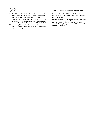- 24. Zhao F, Lewkowitz AK, Chen F, et al. Pooled Analysis of a Self-Sampling HPV DNA Test as a Cervical Cancer Primary Screening Method. J Natl Cancer Inst, 2012; 104: 1-11.
- 25. Bhatla N, Singla S, Awasthi D. Human papillomavirus deoxyribonucleic acid testing in developed countries. Best Practice & Research, Clin Obstet Gynecol, 2012; 26: 209-20.
- 26. Eduardo LP, Attila T, Leticia T. Specimen self-collection and HPV DNA screening in a pilot study of 100,242 women Int. J. Cancer, 2014; 135: 109-16.
- 27. Othman N, Hariati F. Self Collection Tools for Routine Cervical Cancer Screening: A Review. Asian Pac J Cancer Prev. 2014; 15(20): 8563-9.
- 28. Catarino R, Vassilakos P, Bilancioni A, et al. Randomized Comparison of Two Vaginal Self Sampling Method for Human Papilloma Virus Detection: Dry Swab Versus FTA Cartridge. PLOS One, 2015; 10(12): e0143644.doi:10.1371/ journal.pone.0143644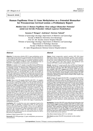# **Human Papilloma Virus L1 Gene Methylation as a Potential Biomarker for Precancerous Cervical Lesion: a Preliminary Report**

**Metilasi Gen L1 Human Papilloma Virus sebagai Biomarker Potensial untuk Lesi Serviks Prekanker: Sebuah Laporan Pendahuluan**

**Suzanna P Mongan1, Andrijono2, Hartono Tjahadi3**

 $1$ Division of Gynecology Oncology, Department of Obstetrics and Gynecology Faculty of Medicine Universitas Sam Ratulangi/ Prof. Dr. R.D. Kandou General Hospital Manado <sup>2</sup>Division of Gynecology Oncology, Department of Obstetrics and Gynecology <sup>3</sup>Department of Pathology Anatomy Faculty of Medicine Universitas Indonesia/ Dr. Cipto Mangunkusumo National General Hospital Jakarta

#### **Abstract**

**Objective**: To determine whether HPV L1 gene methylation can be used in triage of precancerous cervical lesions. The main objective is to determine the genotype of HPV in cervical precancerous lesions and to determine the percentage, the sensitivity, specificity, positive predictive value, negative predictive value, and likelihood ratio of DNA HPV L1 methylation in precancerous cervical lesions.

**Methods**: A number of 57 samples of paraffin blocks (FFPE) from precancerous lesions and cervical cancer biopsies in the Department of Pathology Faculty of Medicine-Cipto Mangunkusumo General Hospital that had been re-evaluated by the pathologist, underwent extraction of HPV DNA. The genotypes of HPV DNA were examined using primers GP5 / 6 and specific HPV 16, HPV 18 and HPV 52 probes and analyzed by real time PCR. Sequencing was performed on samples with unknown HPV DNA type that were detected using the specific probes to determine the type of HPV. Bisulfite conversion procedure was then performed for the samples that met the inclusion criteria.

**Results**: There were 30 samples (52.6%) with CIN 1, 12 samples (21.1%) CIN 2, 9 samples (15.8%) CIN 3 and 6 samples (10.5%) of cervical cancer. Most of the samples were 36-45 years (35.1%). Of the total 57 samples, 55 samples were successfully extracted and determined the DNA genotyping of HPV (96.5%). HPV 16 infections both in the form of single or multiple was found to be 76.36%. The samples were mostly dominated by co-infection of HPV16 and 18 (49.1%) followed by HPV 16 (24.6%) and HPV 18 (14.0%). Based on the sequencing results there were other types of high risk HPV infection found: HPV 33, HPV 35, HPV 58 and also undeterminate risk HPV 53 and low risk HPV 54. After several procedures of optimization for methylation examination of HPV DNA L1 there was thin band found in electrophoresis procedure in 8 of 42 samples (19%) of HPV 16 after bisulfite conversion but once it was purified there weren't any band found so we can not proceed to the stage sequencing. Until now we are still in the stage of optimizing the methylation procedure.

**Conclusion**: HPV 16 infection were most commonly found in the form of single or multiple. Co-infection of HPV 16 and 18 were found in the majority of the samples. There were no significant correlation between HPV type and the severity of cervical lesions. Until now, the examination of DNA methylation HPV L1 already obtained eight samples of HPV 16 with a thin band on electrophoresis but the result could not be concluded because it is still in the process of optimization.

[Indones J Obstet Gynecol 2017; 5-2: 120-126]

**Keywords**: HPV DNA genotype, L1 gene methylation, precancerous cervical lesions

#### **Abstrak**

**Tujuan**: Untuk mengetahui apakah metilasi HPV DNA dapat digunakan dalam triage lesi prakanker serviks. Tujuan khususnya adalah untuk mengetahui genotipe HPV pada lesi prakanker serviks dan untuk mengetahui persentase, sensitivitas, spesifisitas, nilai duga positif, nilai duga negatif, dan likelihood ratio metilasi HPV DNA L1 pada lesi prakanker serviks.

**Metode**: Sejumlah 57 sampel paraffin block (FFPE) hasil biopsi lesi prakanker dan kanker serviks di Departemen Patologi Anatomi FKUI-RSCM dilakukan ekstraksi DNA HPV. Dilanjutkan dengan pemeriksaan genotipe DNA HPV menggunakan primer GP5/6 dan probe khusus HPV 16, HPV 18 dan HPV 52 yang kemudian dianalisis dengan real time PCR. Dilakukan sequencing pada sampel dengan DNA HPV yang tidak dikenal dengan probe spesifik untuk mengetahui tipe HPV. Selanjutnya dilakukan prosedur konversi bisulfit untuk sampel yang memenuhi kriteria inklusi.

**Hasil**: Terdapat 30 sampel (52,6%) NIS 1, 12 sampel (21,1%) NIS 2, 9 sampel (15,8%) NIS 3 dan 6 sampel (10,5%) kanker serviks. Kelompok usia terbanyak adalah 36-45 tahun (35,1%). Dari total 57 sampel terdapat 55 sampel yang berhasil diekstraksi dan diperiksa genotyping DNA HPV (96,5%). Infeksi HPV 16 baik dalam bentuk tunggal maupun multipel ditemukan sebesar 76,36%. Genotipe HPV yang terbanyak ditemukan adalah ko-infeksi HPV tipe 16 & 18 (49,1%) diikuti dengan tipe 16 (24,6%) dan tipe 18 (14,0%). Berdasarkan hasil sequencing ditemukan infeksi high risk HPV 33, HPV 35, HPV 58, undeterminate risk HPV 53 dan low risk HPV 54 pada masing-masing 1 sampel. Setelah dilakukan beberapa prosedur tahap anoptimasi untuk pemeriksaan metilasi HPV DNA L1, didapatkan band yang tipis pada 8 dari 42 sampel (19%) HPV 16 hasil konversi bisulfit tetapi setelah dipurifikasi masih belum didapatkan adanya band pada proses elektro foresis sehingga belum dapat dilanjutkan ke tahap sequencing. Saat ini masih dilakukan proses optimasi untuk pemeriksaan metilasi HPV DNA L1.

**Kesimpulan**: Genotipe DNA HPV yang paling banyak ditemukan baik dalam bentuk tunggal maupun multipel adalah HPV 16. Infeksi multipel (ko-infeksi) HPV 16 dan 18 ditemukan pada sebagian besar sampel penelitian. Tidak didapatkan hubungan bermakna antara tipe HPV dan derajat beratnya lesi serviks. Hingga saat ini pada pemeriksaan metilasi HPV DNA L1 sudah didapatkan 8 sampel HPV 16 dengan band yang tipis pada elektro foresis namun belum dapat disimpulkan karena masih dalam proses optimasi.

[Maj Obstet Ginekol Indones 2017; 5-2: 120-126]

**Kata kunci**: genotipe DNA HPV, lesi prakanker serviks, metilasi gen L1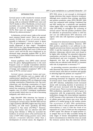Cervical cancer is still a burden for women around the world. It is the third most common cancer among, with an estimated 528,000 new cases and 35,673 deaths in 2012. Worldwide, cervical cancer mortality rates are substantially lower than the incidence of mortality. The incidence ratio was 50.3%. Most cases are squamous cell carcinoma, followed by adenocarcinoma. $1,2$ 

In Indonesia, cervical cancer ranks as the second most common female cancer. There are approximately 20,928 new cases of cervical cancer annually in Indonesia.<sup>1,2</sup> Cervical cancer is about 75% of gynecological cancer in Indonesia. It is mostly diagnosed at later stages.3 Throughout 2005-2010 at Dr. Cipto Mangunkusumo National General Hospital (RSCM), there were 2,298 cervical cancer cases and 66.4% were diagnosed at an advanced stage, generally stadium IIIB.4 In 2013, according to a report INASGO there were 823 new cases in RSCM.5

Human papilloma virus (HPV) which derived from the genus Alphapapillomavirus is the most frequent cause of sexually transmitted infection most frequently worldwide with a broad spectrum of benign and malignant neoplasms.6 HPV is the cause of 99.7% cervical cancer.7

Cervical cancer, precancer lesion and nonneoplastic HPV infection such as atypical cells of undetermined significance (ASCUS) and cervical intraepithelial neoplasia (CIN) are diagnosed using cytology examination (Papanicolau test, Pap test), colposcopy and histology examination of tissue biopsy. Methods of screening with cytology (Pap smear) has sensitivity (51-86%) with a high false negative rate  $(15-45%)$ .<sup>8</sup> Cytological examination can not predict which ones are at risk of becoming malignant, and which are not.

High Risk-HPV DNA detection has become a powerful criteria to improve the sensitivity of screening for cervical cancer. HR-HPV DNA test has a high sensitivity (88-98%) higher than Pap smear (51-86%), yet with lower specificity (83-94%) compared to Pap smear  $(92-99\%)$ <sup>11</sup> However, since most women who are infected with HPV during their lifetime (> 80%) far exceeded the incidence of cervical cancer (1%) and because the value of HPV DNA testing positive more often indicate a transient infection rather than a development of cervical cancer, the diagnosis of HPV DNA alone is not enough to distinguish benign infections that require intensive treatment. Although more sensitive than cytology, specificity and positive predictive value (PPV) HR-HPV DNA were low compared with cytology. Combined Pap and HPV testing has a sensitivity and specificity values higher with a very high negative predictive value (99-100%) to strengthen the screening of cervical cancer.8 But the positive predictive value for detection of precancerous lesions is still low and can not differentiate HPV infections will regress with who will experience progression to cancer.

Treatment for abnormal screening tests includes colposcopy vs close-surveillance. However, HPV DNA positive specificity is not sufficient to distinguish precancerous lesions associated with HPV (CIN2 +) and the transients are clinically a benign infection. Colposcopy referral rates were found to be higher after skrining.<sup>9</sup> An unneeded colposcopy examination, can lead to over diagnosis CIN (misclassification) and over treatment. Therefore, a diagnostic test that can differentiate between women who are infected with HR-HPV is transient with risk of progression is necessary.<sup>10-12</sup>

In preventing excessive procedures in patients with abnormal Pap smears who are not at risk for cervical cancer, tests that are sensitive and specific in detecting high-risk patients are required.6,13-15

HPV DNA methylation has emerged as a promising biomarker for diagnosis and prognosis of cervical cancer. Some studies show that women with HPV infection, methylation levels increased slowly with increasing duration of persistence of HPV and more increased with the diagnosis of cervical cancer. There is an increasing trend of HPV DNA methylation, especially in L1 and L2 genes in conjunction with the progressivity disease. DNA methylation changes the transcriptional regulation of HPV because of the repression of the expression of cellular genes and viruses may occur with the addition of a methyl group to the residue cytosin. The occurrence of HPV DNA methylation, especially in the L1 and L2 genes will prevent the transcription L1 and L2 with the result of no expression of L1 and L2 which are the components of HPV capsid. The absence of capsid protein L1, as antigen that can be fully accessible during the early stages of lesions intraepithelial squamous lead to circumstances in which the virus can evade the immune system thus the infection will be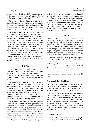retained causing dysplasia which is not recognized by the immune system, then it will proceed further on the transformation malignant.6,13,14,16-19

This opens up the possibility to predict which woman has the chance of disease progression into cervical cancer. Thus, HPV DNA methylation can be considered as a potential biomarker in the triage of patients with cervical cancer risk.

This study is conducted to determine whether HPV DNA methylation can be used in triage of cervical precancerous lesions or not. The main objective is to determine the genotype of HPV in cervical precancerous lesions and to determine the percentage, the sensitivity, specificity, positive predictive value, negative predictive value, and likelihood ratio of HPV L1 gene methylation in precancerous cervical lesions. By knowing the correlation of HPV L1 gene methylation in precancerous cervical lesions, it is expected that this examination can be a triage tool to help identify patients with HPV positive who would undergo regression and those at risk of progression into cervical cancer.

### METHODS

A cross sectional study design was used to determine the genotype of HPV, assess the sensitivity, specificity, positive predictive value, negative predictive value, and the like hood ratio of HPV DNA L1 methylation in precancerous lesions of the cervix.

The study was conducted at the Division of Gynecologic Oncology, Department of Obstetrics and Gynecology, Faculty of Medicine, Universitas Indonesia - Dr. Cipto Mangunkusumo Hospital, the samples were from the paraffin block bank at the Department of Pathology Anatomy, Faculty of Medicine, Universitas Indonesia - Dr. Cipto Mangunkusumo Hospital and examined in the research and esoteric laboratory Prodia.

The samples were obtained from tha paraffin blocks of tissue biopsies from patients with precancerous lesions and cervical cancer of the Department of Pathology Anatomy. Slides of precancerous lesions and cervical cancer to be sampled underwent re-evaluation by the Pathologist. Samples were taken from formalin fixed paraffin embedded tissue (FFPE) biopsy of cervical precancerous and cervical cancer lesions from Department of Pathology Anatomy. For

each sample taken 5 slides of FFPE were obtained. Samples along with the examination request form were then sent to research and esoteric laboratory Prodia. HPV DNA was extracted from formalinfixed tissue Paraffin Embedded (FFPE) biopsy of the cervix. Genotyping of HPV DNA types (HPV 16, 18 and 52) was performed before proceeding to the examination DNA methylation in genes L1 with Bisulfite sequencing.

# RESULTS

The study was conducted at the Division of Gynecology Oncology, Department of Obstetrics and Gynecology, Faculty of Medicine, Universitas Indonesia - RSCM in January-September 2016 and in the Laboratory of Clinical Research & Esoteric Prodia. Samples were taken from the paraffin block biopsies of precancerous lesions and cervical cancer in the Department of Anatomical Pathology, Faculty of Medicine, Universitas Indonesia-RSCM.

Samples were re-evaluated by the Pathologist to ensure the validity of the sample met the criteria of precancerous lesions and cervical cancer. For uniformity of precancerous cervical lesions samples taken were sampled with pure CIN 1, CIN 2, and CIN 3 lesions. Histopathologic type of cervical cancer samples was squamous cell carcinoma of the cervix. There were 57 sample of precancerous lesions and cervical cancer included in this study.

# **Characteristics of subjects**

The mean age of study subjects was 44 years old. There were 30 samples (52.6%) with CIN 1 lesion, 12 samples (21.1%) CIN 2, 9 samples (15.8%) CIN 3, and 6 samples (10.5%) of cervical cancer.

In type 1 CIN lesions, the largest age group as 26-35 years old (10%). In CIN 2, the age group 26-35 years old and 36-45 years old respectively occupies 41.7%. For CIN 3 age group 36-45 years old and 46-55 years old respectively gained 33.3%. In cervical cancer was found most in the age group of 36-45 years old (50%). There was no significant relationship between the age groups with the degree of lesion ( $p = 0.525$ ).

# **Genotyping HPV**

Of the total 57 samples there were 55 samples successfully extracted and detected its HPV DNA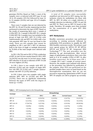genotype (96.5%). Based on Table 1, most of the samples were co-infected with HPV type 16 and 18 in 28 samples (49.1%) followed by type 16 in 14 samples (24.6%) and type 18 in 8 samples  $(14.0\%)$ .

There were 5 samples that are not detected by the HPV 16, 18 and 52 probe, sequencing was then performed to determine the type of HPV. Based on the results of sequencing there were 1 sample of (1.8%) HPV 33; 1 sample (1.8%) HPV 35; 1 sample (1.8%) HPV 58; 2 samples were not included in the group of high risk HPV: HPV 53 (1.8%) with undeterminate risk and HPV 54 (1.8%) with a low risk potential. HPV type 52 was not found in this study. There are two samples that cannot be amplified in CIN 2 and CIN 3. HPV 16 infections both in the form of single or multiple discovered by 76.36% of the total sample were infected with HPV.

In CIN 1 (56.7%) and in CIN 3 (75%), coinfection of HPV 16 and 18 were mostly found In CIN 2, HPV 16 (54.5%) was the most. In cervical cancer, single HPV infection of 18 and co-infection of HPV 16 and 18 were highest (33.3%).

In CIN 1 there is one sample with HPV 35 infection (3.3%) and one sample of single HPV low risk HPV 54 (3.3%) and 1 sample undeterminate risk HPV 53 (3.3%) infection.

In CIN 3 there were two samples with single infection HPV; HPV 16 (12.5%) and HPV 58 (12.5%). There was no significant relationship between the types of HPV with the degree of lesion ( $p = 0.181$ ).

A total of 55 samples were successfully amplified and detected its HPV typing, but the inclusion criteria for methylation are those with HPV 16, HPV 18 either as a single infection or multiple infection (co-infection of HPV 16 and 18) and HPV 52. There was no HPV 52 found in this study. Therefore, 50 samples were then included for the examination of L1 gene HPV DNA methylation.

# **HPV Methylation**

Bisulfite conversion procedure was performed according to existing protocols followed by methylation PCR procedures to amplify the HPV DNA bisulfite conversion results. The primers used were special primer for HPV16 FP, RP HPV16, HPV18 and HPV18 FP RP, Integrated DNA Technology.20-22 The next procedure was the detection by gel electrophoresis. After several stages of optimization procedures, there were thin band in 8 of 42 samples (19%) of HPV 16 after bisulfite conversion. Six of them were CIN 1, 1 sample CIN 2 and 1 sample of cervical cancer. However, the samples were polluted with dimers, so the procedure was followed by purification of the samples. After PCR was performed on the purified samples there were no band found on the electrophoresis examination, thus we can not proceed to sequencing. Optimization of HPV 16 and HPV 18 samples are still in progress up currently.

| Genotype      | <b>Histopathology</b> |             |                  |                        |              |
|---------------|-----------------------|-------------|------------------|------------------------|--------------|
|               | CIN <sub>1</sub>      | CIN2        | CIN <sub>3</sub> | <b>Cervical Cancer</b> | <b>Total</b> |
| <b>HPV 16</b> | 6(20%)                | 6(54.5%)    | $1(12.5\%)$      | $1(16.7\%)$            | 14 (25.5%)   |
| <b>HPV 18</b> | 4 (13.3%)             | $2(18.2\%)$ | $0(0.0\%)$       | $2(33.3\%)$            | 8 (14.5%)    |
| HPV 16 & 18   | 17 (56.7%)            | 3(27.3%)    | $6(75.0\%)$      | $2(33.3\%)$            | 28 (50.9%)   |
| <b>HPV 33</b> | $0(0.0\%)$            | $0(0.0\%)$  | $0(0.0\%)$       | $1(16.7\%)$            | $1(1.8\%)$   |
| <b>HPV 35</b> | $1(3.3\%)$            | $0(0.0\%)$  | $0(0.0\%)$       | $0(0.0\%)$             | $1(1.8\%)$   |
| <b>HPV 58</b> | $0(0.0\%)$            | $0(0.0\%)$  | 1 (12.5%)        | $0(0.0\%)$             | $1(1.8\%)$   |
| <b>HPV 53</b> | $1(3.3\%)$            | $0(0.0\%)$  | $0(0.0\%)$       | $0(0.0\%)$             | $1(1.8\%)$   |
| <b>HPV 54</b> | $1(3.3\%)$            | $0(0.0\%)$  | $0(0.0\%)$       | $0(0.0\%)$             | $1(1.8\%)$   |
| Total         | 30 (100%)             | 11 (100%)   | 8 (100%)         | $6(100\%)$             | 55 (100%)    |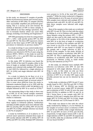# DISCUSSION

In this study, we obtained 57 samples of paraffin blocks of precancerous lesions and cervical cancer. After extraction of HPV DNA, 55 samples (96.5%) were successfully amplified and performed genotyping. This is a success of its own because the method of detection of HPV in tissue samples is more difficult to do than sitology specimens. This due to formalin fixation which can cause DNA damage, including cross-linking and fragmentasi.23

HPV DNA genotyping was done by using primers  $GP5 + / GP6 + with specific probes HPV 16, HPV$ 18, and HPV 52. The three HPV typeswere chosen based on the three types of HPV with the highest prevalence in Indonesia on previous studies.24-27

In a study involving 11 case control studies from nine countries conducted by Munoz N., et al HPV infection was detected in 90.7% of cases using the primers MY09 / MY011. In this study we used the primers GP5 +  $/$  6 +, and HPV DNA was detected in 96.6% of patients.28

In this study, HPV 16 infection was found the most, 76.36% of the total 55 samples, either in the form of single or multiple infections. Most of the samples were infected with multiple HPV infection 16 and 1849.1%, followed by a single infection of HPV 16 (24%) and single infection with HPV 18  $(14\%)$ .

In a study in Jakarta by de Boer et al, it is reported that HPV 16 (35%) and HPV 18 (28%) were the most common types of cervical cancer.<sup>26</sup> This is some what different from the study in Indonesia conducted Bosch et al in 1995 with the highest prevalence of HPV is HPV 18 (48.9%) in 45 samples followed by HPV 16 as much as 31.9%.<sup>29</sup>

One interesting thing in this study is there was no of HPV 52 on the overall samples examined. This is different to that obtained in previous studies in Indonesia.

The study conducted by the JNI Vet et al in the three regions in Indonesia (Jakarta, Tasikmalaya and Bali) of 2686 samples most were infected with HPV 52 (23.2%), HPV 16 (18%), HPV 18 (16.1%) and HPV 39 (11.8%). Multiple infection was found in 20.7% of samples.25

A study by Schellekens et al in Jakarta on 74 cervical cancer specimens obtained three types of HPV mostly infected with HPV 16 (44%), HPV 18 (39%) and HPV 52 (14%). Multiple HPV infections

were present in 14.1% of the total HPV positive samples.<sup>24</sup> While the study conducted in Singapore by Sahiratmadja et al in 96 cases of cervical cancer 90% samples were infected with multiple HPV 16 infections both with HPV 18, HPV 45 and HPV 52. Only three samples were infected with single HPV 16.27

Most of the samples in this study are co-infected with HPV 16 and 18. This is in line with the cohort by Siddiqa A., et al in Pakistan with samples FFPE tissue biopsies using the primers  $GPS + / GP6 +$ . which are also used in this study, and they found HPV positive in 94, 81% of the samples. Infection with HPV 16 in the form of single or co-infection was found in 64.94% of the samples and HPV 18 was found in 66.23% of the samples. Single infection with HPV 16 was found in 24.68% of the sample and a single infection of HPV in 25.97% of the samples. In this study, 40.26% of samples found positive co-infection with HPV 16 and HPV 18. This is significantly higher than the incidence of co-infection with HPV 16/18 found previously in Pakistan (<2%), in Saudi Arabia  $(6.7\%)$  and Indonesia  $(4.1\%)$ <sup>24,30-32</sup>

In this study, we obtained more multiple HPV infection (co-infection with HPV 16 and 18) compared to with single infection. However, one thing to note, in this study we only use three probes specifically for HPV 16, 18 and 52 so coinfection of HPV 16 or 18 other HPV types could possibly present but can not be detected by the probes.

In this study, co-infection of HPV 16 and 17 were mostly found in CIN 1 (56.7%) and CIN 3 (75%). In CIN 2 lesions, HPV 16 (54.5%) was mostly found. In cervical cancer, single HPV 18 infection and co-infection of HPV 16 and 18 were the most found (33.3%). In addition to HPV 16 and 18, in CIN 1 lesion there is one sample with HPV 35 infection (3.3%) and 2 samples were HPV low risk single HPV 53 (3.3%) and HPV 54 (3.3%). Single HPV 58 infection was 12.5% found in CIN 3.

This study was almost in line with the cohort study conducted by Siddiqa A., et al in Pakistan. In the samples of cervical cancer co-infection of HPV 16 and 18 was 34.88%, while a single infection by HPV 16 and HPV 18 were 27.91% and 30.23%, respectively. In high degree lesions (CIN 2 and 3) single infection of HPV 16 and HPV 18 respectively was 18.18%, while the co-infection of HPV 16 and 18 was found 54.54%.30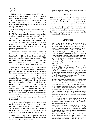Differences in the prevalence of HPV can be caused by several factors, including the sensitivity of PCR (primary election: MY09 / MY11 versus GP  $5 + / 6 +$ , the quality of the specimen and specimen storage. Thus, the extent of variability that exists is difficult to compare the prevalence of HPV among research.33

HPV DNA methylation is a promising biomarker for diagnosis and prognosis of cervical cancer. After HPV DNA genotyping, 50 samples with either single or multiple infection (co-infection) of HPV 16 and 18 were preceded to the examination methylation. Samples with co-infection of HPV 16 and 18 were examined in a both the group of HPV single infection using primers specific for HPV 16 and also with the single HPV 18 group using primers specific for HPV 18.

The bisulfite conversion procedures uses the EZ DNA methylation Kit reagen, Cat No. D5001 Lot.ZRC186674 (Zymo Research Corp., CA, USA). After the bisulfite conversion procedure, PCR procedure was then performed. Primers used for this procedure were HPV16 FP, RP HPV16, HPV18 and HPV18 FP RP, Integrated DNA Technology.20-22

After several stages of optimization, we obtained a thin band on 8 samples (19%) HPV 16 but were polluted with dimers. Purification of the samples was then performed. On the electrophoresis reading after the PCR examination of the purified samples there were no band visible. This is likely due to small amount of DNA yield. It can also occur because the samples have been through the stages of bisulfite treatment that alter the components cytosintothiamine, which has a lower binding affinity. HPV detection methods on the tissue samples that have been processed with paraffin are more difficult to examine compared to the citology specimens. This can be caused by formalin fixation can cause DNA damage, including cross-linking and fragmentation.23

As in the case of genotyping procedures that needed several stage of optimization, HPV DNA methylation procedures also needs some optimization. We plan to add the volume of templates and make modifications to the protocol procedures as a part of optimization to achieve valid results.

Until now, the optimization process for HPV DNA methylation is still carried out and therefore we can not take final conclusion.

### CONCLUSION

HPV 16 infection were most commonly found in the form of single or multiple. Co-infection of HPV 16 and 18 were found in the majority of the samples. There were no significant correlation between HPV type and the severity of cervical lesions. We already obtained eight samples of HPV 16 with a thin band on electrophoresis, however the result could not be concluded because the optimization is still ongoing.

#### **REFERENCES**

- 1. Bruni L B-RL, Serrano B, Brotons M, Cosano R, Munoz J, Bosch FX, de Sanjose S, Castellsague X. Human Papilomavirus and Related Diseases in Indonesia. Summary Report. Barcelona, Spain: ICO Information Centre on HPV and Cancer (HPV Information Centre), 2014-03-17.
- 2. J. Ferlay IS, M. Ervik, D. Forman, F. Bray, R. Dikshit, S. Elser, C. Mathers, M. Rebelo, DM. Parkin. Globocan 2012 v1.0, Cancer Incidence and Mortality Worldwide: IARC CancerBase No. 11 (Internet) Lyon, France: International Agency for Research on Cancer; 2013 [cited 2014 August 17]. Available from: http://globocan.iarc.fr.
- 3. Aziz MF. Gynecological cancer in Indonesia. J Gynecol Oncol. 2009; 20(1): 8-10.
- 4. Tricia D. Anggraeni LN, Catherine, Cecep S. Sobur, Fitri Rahardja, Christin W. Hia, Towan w. Utami, Kartiwa H. Nuryanto, Andi D. Putra, Hariyono Winarto, Gatot Purwoto, Sigit Purbadi, Andrijono, Muhammad F. Aziz. Distribution of age, stage, and Histopathology of Cervical Cancer: A Rectrospective Study on Patients at Dr. Cipto Mangunkusumo Hospital Jakarta, Indonesia, 2006-2010. Indones J Obstet Gynecol. 2011; 35(1): 21-4.
- 5. Cervical Cancer Regional Data RSCM [Internet]. [cited August 23, 2014]. Available from: http://www.inasgo.org.
- 6. Megan A. Clarke NW, Lisa Mirabello, Arpita Ghosh, Sholom Wacholder, Ariana Harari, Attila Lorincz, Mark Schiffman, Robert D. Burk. Human papillomavirus DNA Methylation as a Potential Biomarker for Cervical Cancer. Cancer Epidemiolo, Biomarkers Prev. 2012; 21: 2125-37.
- 7. Hilda Jimenez-Wences OP-Z, Gloria Fernandez-Tilapa. Human papilloma virus, DNA methylation and micro RNA expression in cervical cancer (Review). Oncol Reports. 2014; 31: 2467-76.
- 8. Prof. Dr. dr. Andrijono SK. Kanker Serviks. In: Prof. Dr. dr. Andrijono SK, editor. Sinopsis Kanker Ginekologi. Ke-empat ed. Jakarta: Balai Penerbit Fakultas Kedokteran Universitas Indonesia; 2013: 60-144.
- 9. Brandsma JL, Harigopal M, Kiviat NB, Sun Y, Deng Y, Zelterman D, et al. Methylation of twelve CpGs in human papillomavirus type 16 (HPV16) as an informative biomarker for the triage of women positive for HPV16 infection. Cancer Preve Research. 2014; 7(5): 526-33.
- 10. Frimer M, Sun C, McAndrew T, Smith B, Harari A, Chen Z, et al. HPV16 CpG methyl-haplotypes are associated with cervix precancer and cancer in the Guanacaste natural history study. Gynecol Oncol. 2015; 138(1): 94-100.